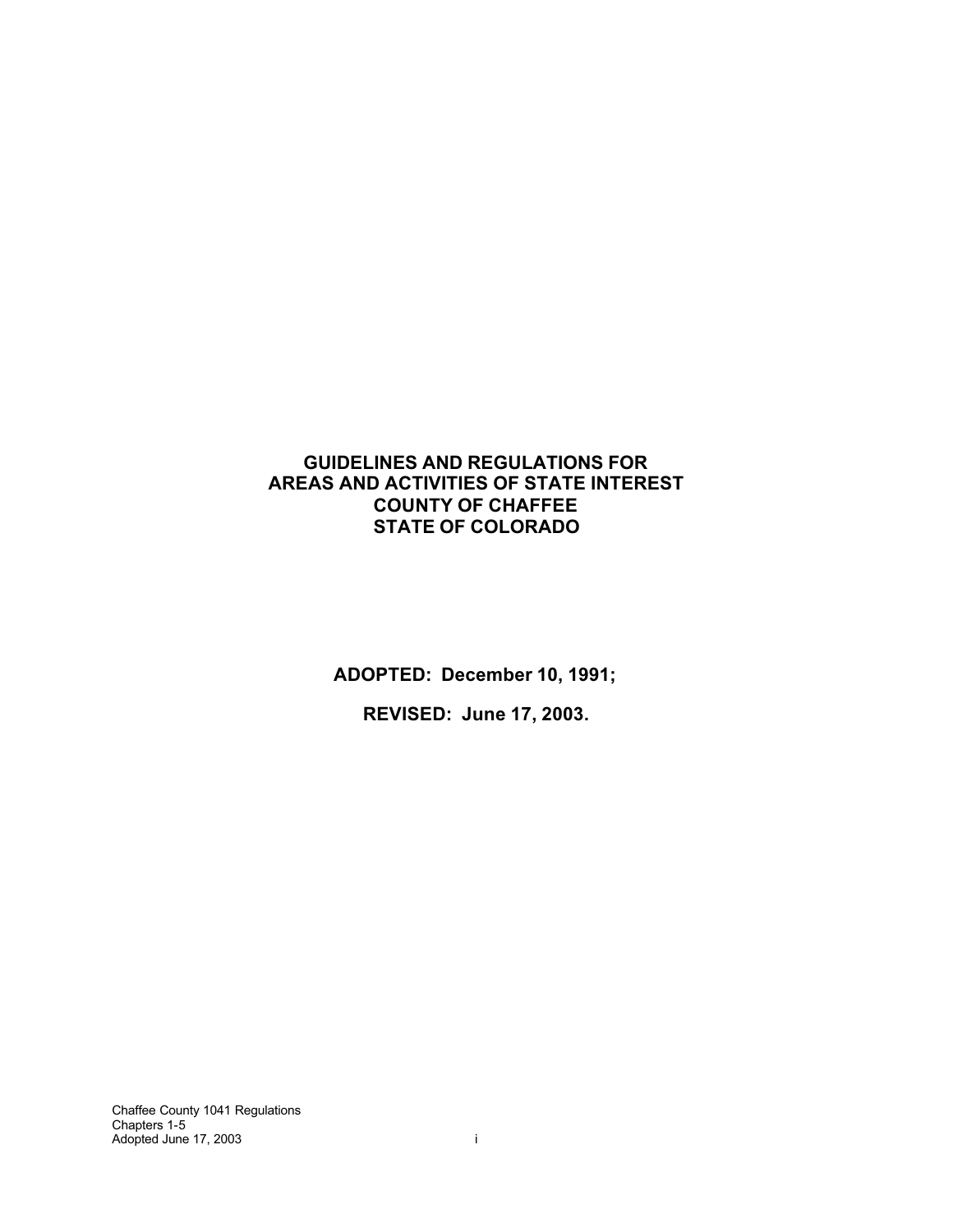### **GUIDELINES AND REGULATIONS FOR AREAS AND ACTIVITIES OF STATE INTEREST COUNTY OF CHAFFEE STATE OF COLORADO**

**ADOPTED: December 10, 1991;**

**REVISED: June 17, 2003.**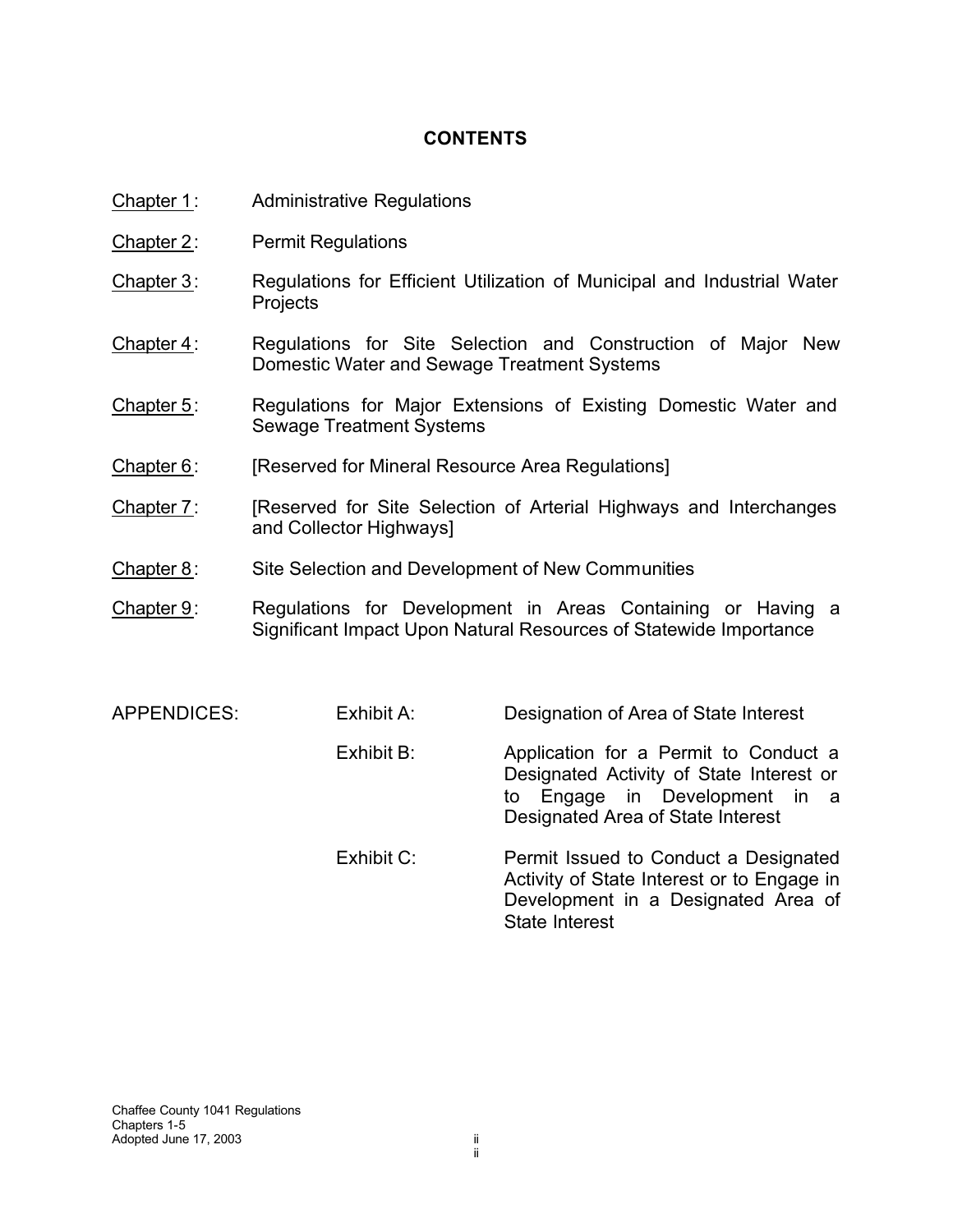## **CONTENTS**

- Chapter 1: Administrative Regulations
- Chapter 2: Permit Regulations
- Chapter 3: Regulations for Efficient Utilization of Municipal and Industrial Water **Projects**
- Chapter 4: Regulations for Site Selection and Construction of Major New Domestic Water and Sewage Treatment Systems
- Chapter 5: Regulations for Major Extensions of Existing Domestic Water and Sewage Treatment Systems
- Chapter 6: [Reserved for Mineral Resource Area Regulations]
- Chapter 7: [Reserved for Site Selection of Arterial Highways and Interchanges and Collector Highways]
- Chapter 8: Site Selection and Development of New Communities
- Chapter 9: Regulations for Development in Areas Containing or Having a Significant Impact Upon Natural Resources of Statewide Importance
- APPENDICES: Exhibit A: Designation of Area of State Interest Exhibit B: Application for a Permit to Conduct a Designated Activity of State Interest or to Engage in Development in a Designated Area of State Interest Exhibit C: Permit Issued to Conduct a Designated Activity of State Interest or to Engage in Development in a Designated Area of State Interest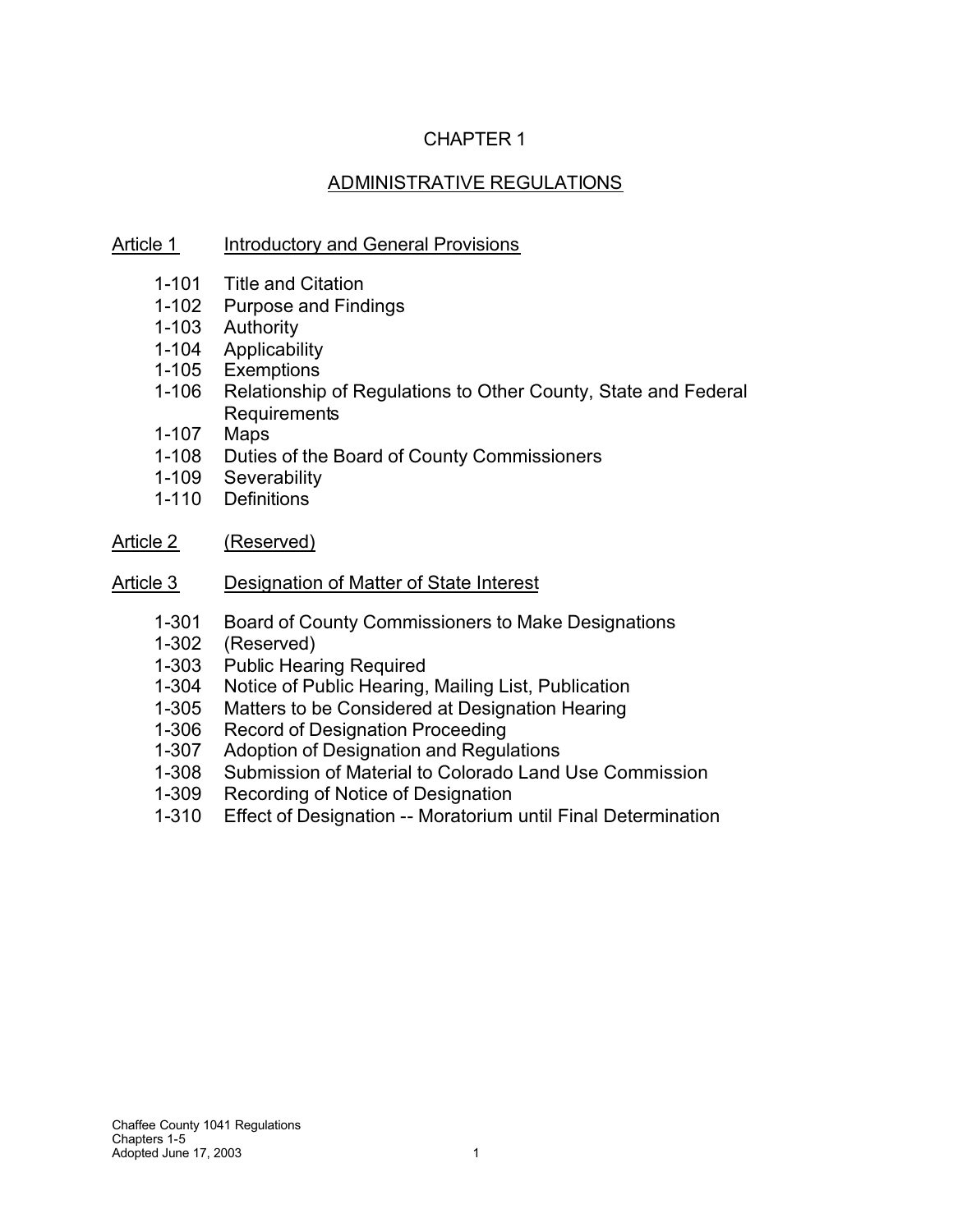# CHAPTER 1

# ADMINISTRATIVE REGULATIONS

## Article 1 Introductory and General Provisions

- 1-101 Title and Citation
- 1-102 Purpose and Findings
- 1-103 Authority
- 1-104 Applicability
- 1-105 Exemptions
- 1-106 Relationship of Regulations to Other County, State and Federal **Requirements**
- 1-107 Maps
- 1-108 Duties of the Board of County Commissioners
- 1-109 Severability
- 1-110 Definitions
- Article 2 (Reserved)
- Article 3 Designation of Matter of State Interest
	- 1-301 Board of County Commissioners to Make Designations
	- 1-302 (Reserved)
	- 1-303 Public Hearing Required<br>1-304 Notice of Public Hearing.
	- Notice of Public Hearing, Mailing List, Publication
	- 1-305 Matters to be Considered at Designation Hearing<br>1-306 Record of Designation Proceeding
	- Record of Designation Proceeding
	- 1-307 Adoption of Designation and Regulations
	- 1-308 Submission of Material to Colorado Land Use Commission
	- 1-309 Recording of Notice of Designation
	- 1-310 Effect of Designation -- Moratorium until Final Determination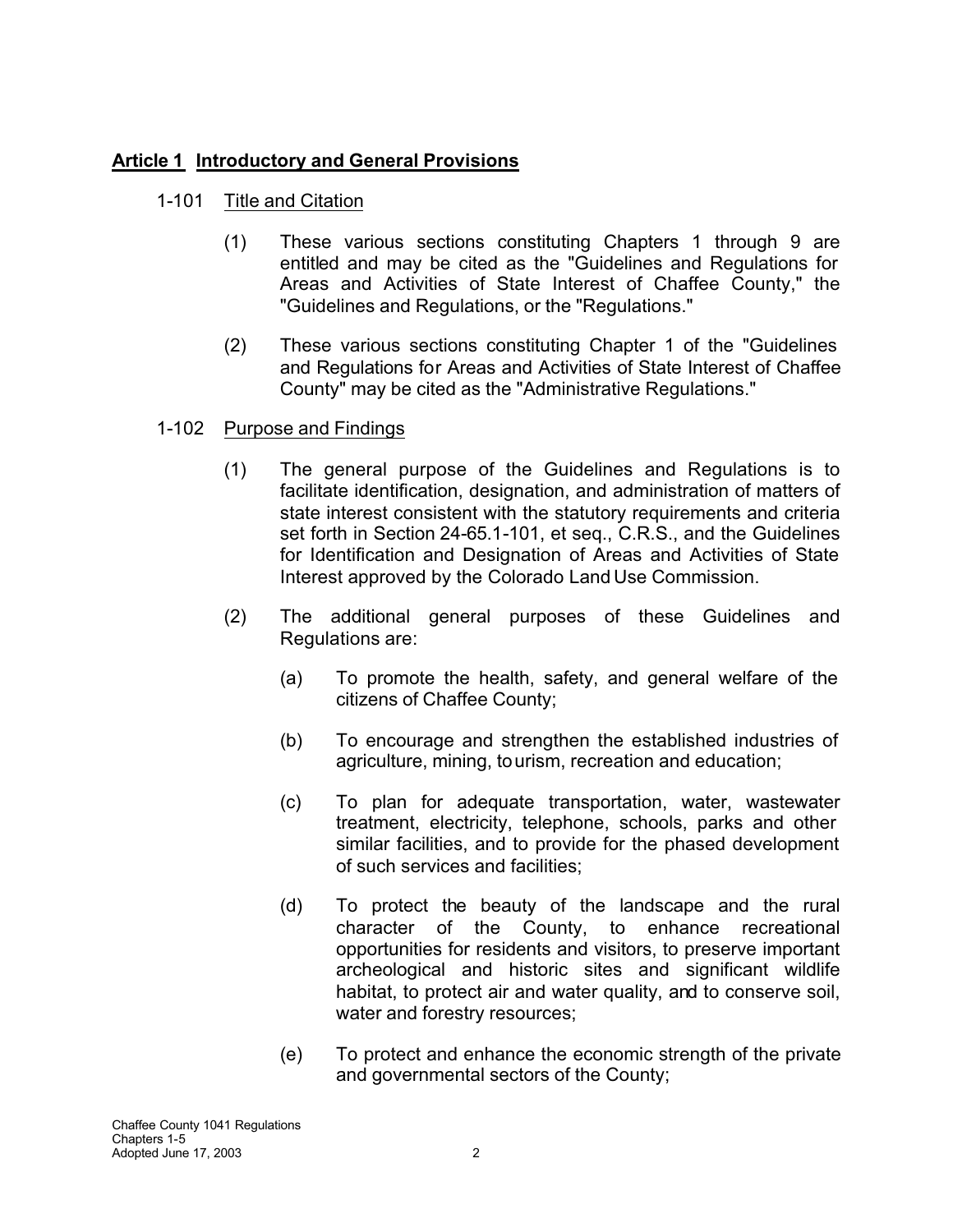# **Article 1 Introductory and General Provisions**

# 1-101 Title and Citation

- (1) These various sections constituting Chapters 1 through 9 are entitled and may be cited as the "Guidelines and Regulations for Areas and Activities of State Interest of Chaffee County," the "Guidelines and Regulations, or the "Regulations."
- (2) These various sections constituting Chapter 1 of the "Guidelines and Regulations for Areas and Activities of State Interest of Chaffee County" may be cited as the "Administrative Regulations."

# 1-102 Purpose and Findings

- (1) The general purpose of the Guidelines and Regulations is to facilitate identification, designation, and administration of matters of state interest consistent with the statutory requirements and criteria set forth in Section 24-65.1-101, et seq., C.R.S., and the Guidelines for Identification and Designation of Areas and Activities of State Interest approved by the Colorado Land Use Commission.
- (2) The additional general purposes of these Guidelines and Regulations are:
	- (a) To promote the health, safety, and general welfare of the citizens of Chaffee County;
	- (b) To encourage and strengthen the established industries of agriculture, mining, tourism, recreation and education;
	- (c) To plan for adequate transportation, water, wastewater treatment, electricity, telephone, schools, parks and other similar facilities, and to provide for the phased development of such services and facilities;
	- (d) To protect the beauty of the landscape and the rural character of the County, to enhance recreational opportunities for residents and visitors, to preserve important archeological and historic sites and significant wildlife habitat, to protect air and water quality, and to conserve soil, water and forestry resources;
	- (e) To protect and enhance the economic strength of the private and governmental sectors of the County;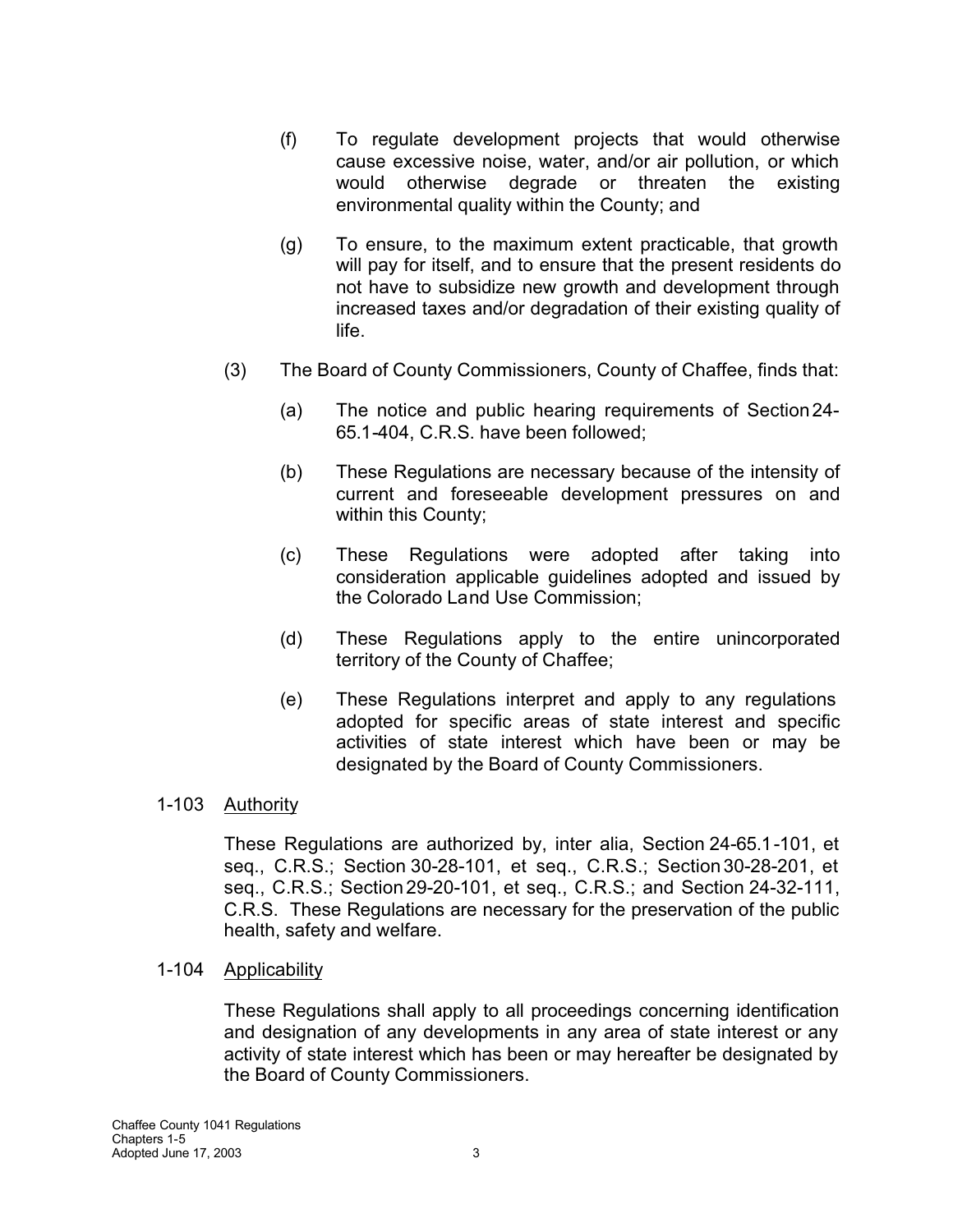- (f) To regulate development projects that would otherwise cause excessive noise, water, and/or air pollution, or which would otherwise degrade or threaten the existing environmental quality within the County; and
- (g) To ensure, to the maximum extent practicable, that growth will pay for itself, and to ensure that the present residents do not have to subsidize new growth and development through increased taxes and/or degradation of their existing quality of life.
- (3) The Board of County Commissioners, County of Chaffee, finds that:
	- (a) The notice and public hearing requirements of Section24- 65.1-404, C.R.S. have been followed;
	- (b) These Regulations are necessary because of the intensity of current and foreseeable development pressures on and within this County;
	- (c) These Regulations were adopted after taking into consideration applicable guidelines adopted and issued by the Colorado Land Use Commission;
	- (d) These Regulations apply to the entire unincorporated territory of the County of Chaffee;
	- (e) These Regulations interpret and apply to any regulations adopted for specific areas of state interest and specific activities of state interest which have been or may be designated by the Board of County Commissioners.

### 1-103 Authority

These Regulations are authorized by, inter alia, Section 24-65.1-101, et seq., C.R.S.; Section 30-28-101, et seq., C.R.S.; Section30-28-201, et seq., C.R.S.; Section29-20-101, et seq., C.R.S.; and Section 24-32-111, C.R.S. These Regulations are necessary for the preservation of the public health, safety and welfare.

#### 1-104 Applicability

These Regulations shall apply to all proceedings concerning identification and designation of any developments in any area of state interest or any activity of state interest which has been or may hereafter be designated by the Board of County Commissioners.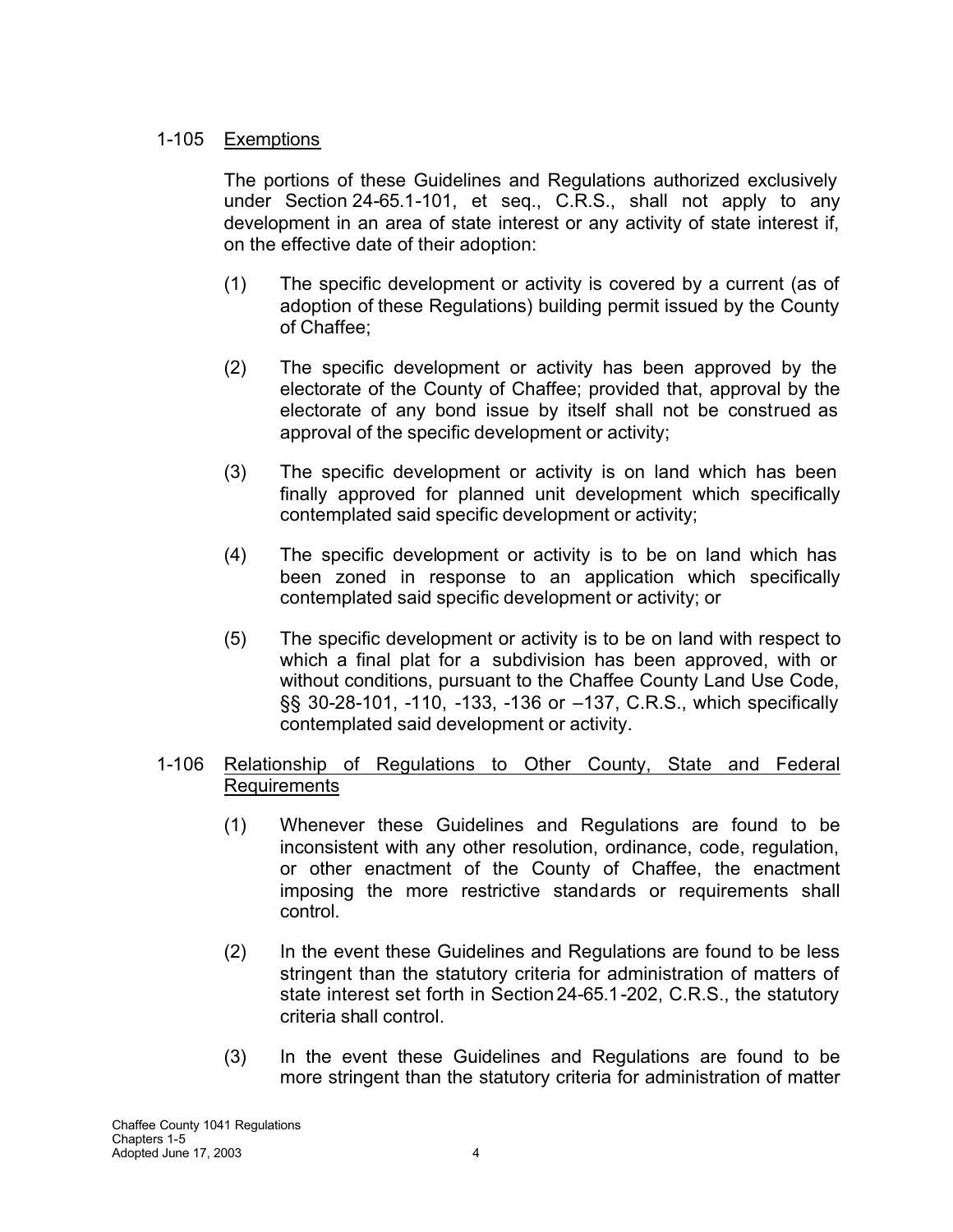## 1-105 Exemptions

The portions of these Guidelines and Regulations authorized exclusively under Section 24-65.1-101, et seq., C.R.S., shall not apply to any development in an area of state interest or any activity of state interest if, on the effective date of their adoption:

- (1) The specific development or activity is covered by a current (as of adoption of these Regulations) building permit issued by the County of Chaffee;
- (2) The specific development or activity has been approved by the electorate of the County of Chaffee; provided that, approval by the electorate of any bond issue by itself shall not be construed as approval of the specific development or activity;
- (3) The specific development or activity is on land which has been finally approved for planned unit development which specifically contemplated said specific development or activity;
- (4) The specific development or activity is to be on land which has been zoned in response to an application which specifically contemplated said specific development or activity; or
- (5) The specific development or activity is to be on land with respect to which a final plat for a subdivision has been approved, with or without conditions, pursuant to the Chaffee County Land Use Code, §§ 30-28-101, -110, -133, -136 or –137, C.R.S., which specifically contemplated said development or activity.

## 1-106 Relationship of Regulations to Other County, State and Federal Requirements

- (1) Whenever these Guidelines and Regulations are found to be inconsistent with any other resolution, ordinance, code, regulation, or other enactment of the County of Chaffee, the enactment imposing the more restrictive standards or requirements shall control.
- (2) In the event these Guidelines and Regulations are found to be less stringent than the statutory criteria for administration of matters of state interest set forth in Section24-65.1-202, C.R.S., the statutory criteria shall control.
- (3) In the event these Guidelines and Regulations are found to be more stringent than the statutory criteria for administration of matter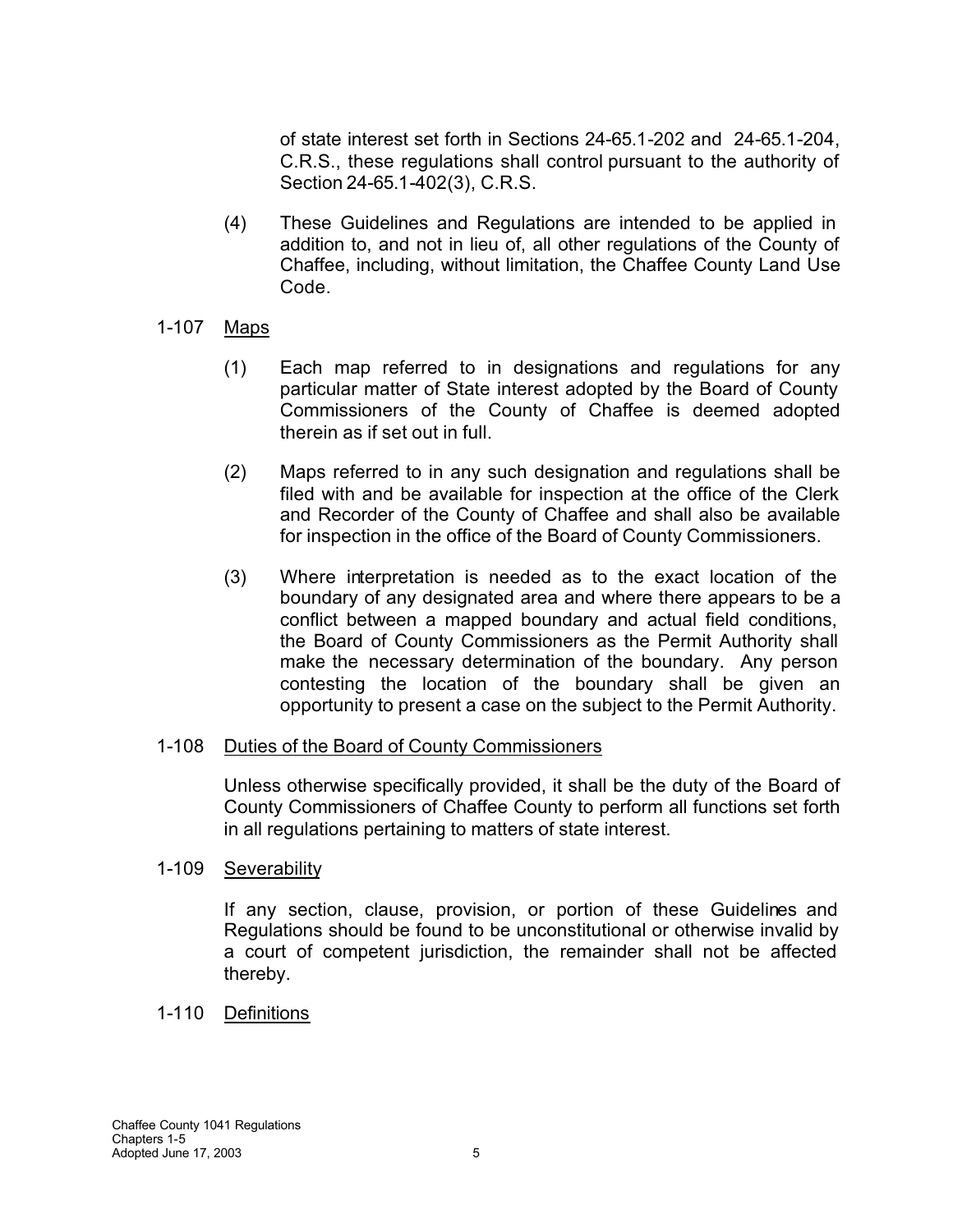of state interest set forth in Sections 24-65.1-202 and 24-65.1-204, C.R.S., these regulations shall control pursuant to the authority of Section 24-65.1-402(3), C.R.S.

(4) These Guidelines and Regulations are intended to be applied in addition to, and not in lieu of, all other regulations of the County of Chaffee, including, without limitation, the Chaffee County Land Use Code.

### 1-107 Maps

- (1) Each map referred to in designations and regulations for any particular matter of State interest adopted by the Board of County Commissioners of the County of Chaffee is deemed adopted therein as if set out in full.
- (2) Maps referred to in any such designation and regulations shall be filed with and be available for inspection at the office of the Clerk and Recorder of the County of Chaffee and shall also be available for inspection in the office of the Board of County Commissioners.
- (3) Where interpretation is needed as to the exact location of the boundary of any designated area and where there appears to be a conflict between a mapped boundary and actual field conditions, the Board of County Commissioners as the Permit Authority shall make the necessary determination of the boundary. Any person contesting the location of the boundary shall be given an opportunity to present a case on the subject to the Permit Authority.

#### 1-108 Duties of the Board of County Commissioners

Unless otherwise specifically provided, it shall be the duty of the Board of County Commissioners of Chaffee County to perform all functions set forth in all regulations pertaining to matters of state interest.

### 1-109 Severability

If any section, clause, provision, or portion of these Guidelines and Regulations should be found to be unconstitutional or otherwise invalid by a court of competent jurisdiction, the remainder shall not be affected thereby.

### 1-110 Definitions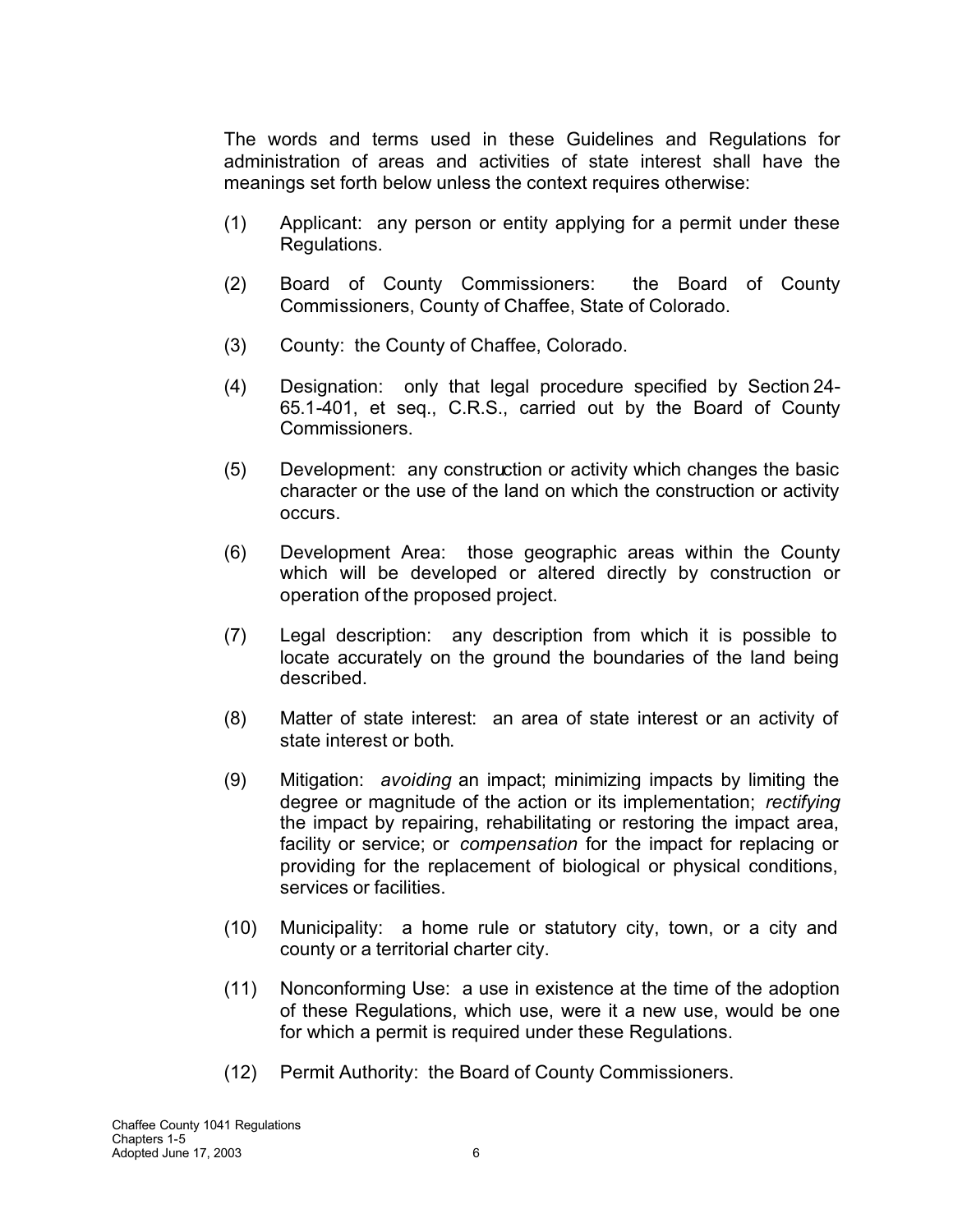The words and terms used in these Guidelines and Regulations for administration of areas and activities of state interest shall have the meanings set forth below unless the context requires otherwise:

- (1) Applicant: any person or entity applying for a permit under these Regulations.
- (2) Board of County Commissioners: the Board of County Commissioners, County of Chaffee, State of Colorado.
- (3) County: the County of Chaffee, Colorado.
- (4) Designation: only that legal procedure specified by Section 24- 65.1-401, et seq., C.R.S., carried out by the Board of County Commissioners.
- (5) Development: any construction or activity which changes the basic character or the use of the land on which the construction or activity occurs.
- (6) Development Area: those geographic areas within the County which will be developed or altered directly by construction or operation of the proposed project.
- (7) Legal description: any description from which it is possible to locate accurately on the ground the boundaries of the land being described.
- (8) Matter of state interest: an area of state interest or an activity of state interest or both.
- (9) Mitigation: *avoiding* an impact; minimizing impacts by limiting the degree or magnitude of the action or its implementation; *rectifying* the impact by repairing, rehabilitating or restoring the impact area, facility or service; or *compensation* for the impact for replacing or providing for the replacement of biological or physical conditions, services or facilities.
- (10) Municipality: a home rule or statutory city, town, or a city and county or a territorial charter city.
- (11) Nonconforming Use: a use in existence at the time of the adoption of these Regulations, which use, were it a new use, would be one for which a permit is required under these Regulations.
- (12) Permit Authority: the Board of County Commissioners.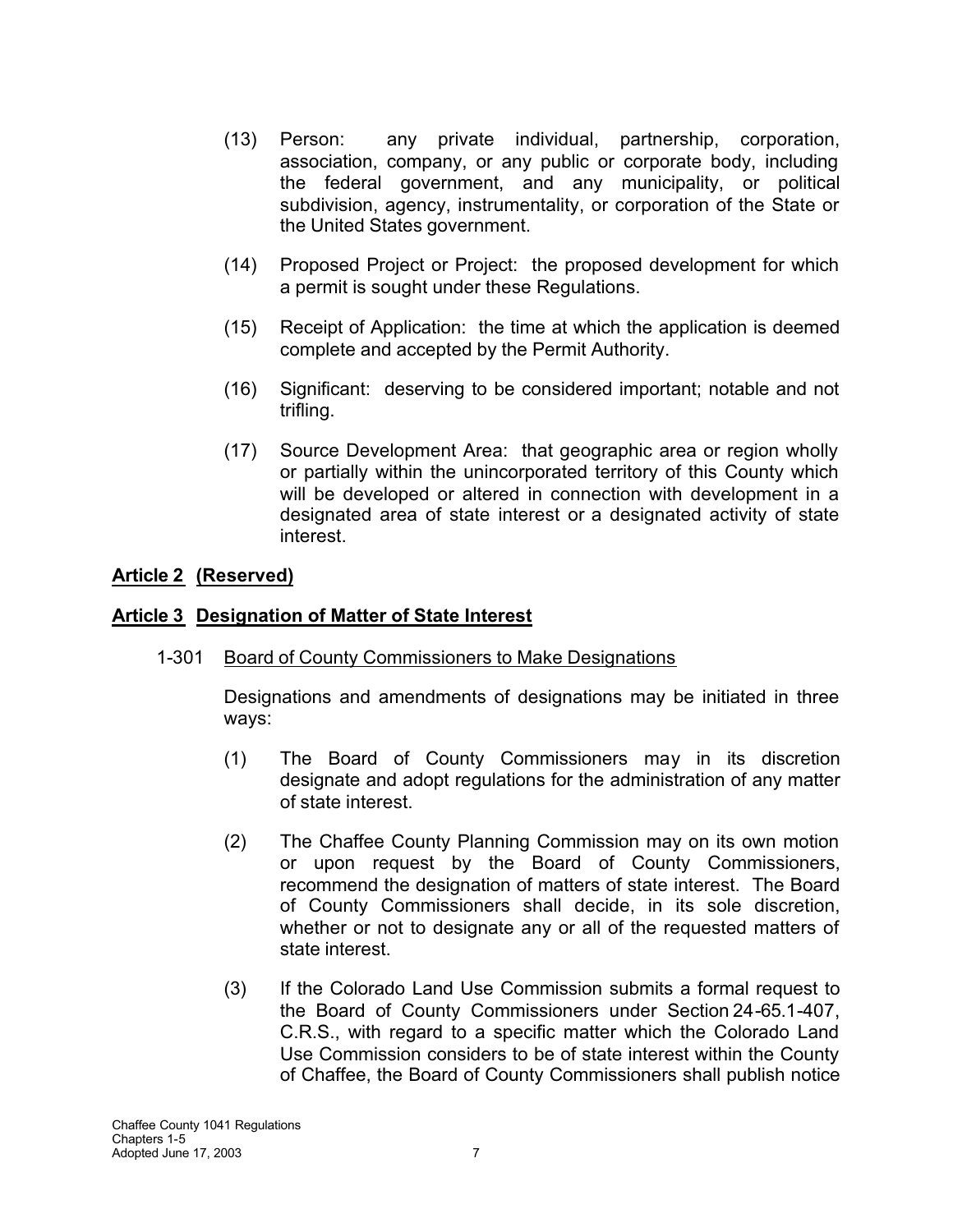- (13) Person: any private individual, partnership, corporation, association, company, or any public or corporate body, including the federal government, and any municipality, or political subdivision, agency, instrumentality, or corporation of the State or the United States government.
- (14) Proposed Project or Project: the proposed development for which a permit is sought under these Regulations.
- (15) Receipt of Application: the time at which the application is deemed complete and accepted by the Permit Authority.
- (16) Significant: deserving to be considered important; notable and not trifling.
- (17) Source Development Area: that geographic area or region wholly or partially within the unincorporated territory of this County which will be developed or altered in connection with development in a designated area of state interest or a designated activity of state interest.

# **Article 2 (Reserved)**

## **Article 3 Designation of Matter of State Interest**

1-301 Board of County Commissioners to Make Designations

Designations and amendments of designations may be initiated in three ways:

- (1) The Board of County Commissioners may in its discretion designate and adopt regulations for the administration of any matter of state interest.
- (2) The Chaffee County Planning Commission may on its own motion or upon request by the Board of County Commissioners, recommend the designation of matters of state interest. The Board of County Commissioners shall decide, in its sole discretion, whether or not to designate any or all of the requested matters of state interest.
- (3) If the Colorado Land Use Commission submits a formal request to the Board of County Commissioners under Section 24-65.1-407, C.R.S., with regard to a specific matter which the Colorado Land Use Commission considers to be of state interest within the County of Chaffee, the Board of County Commissioners shall publish notice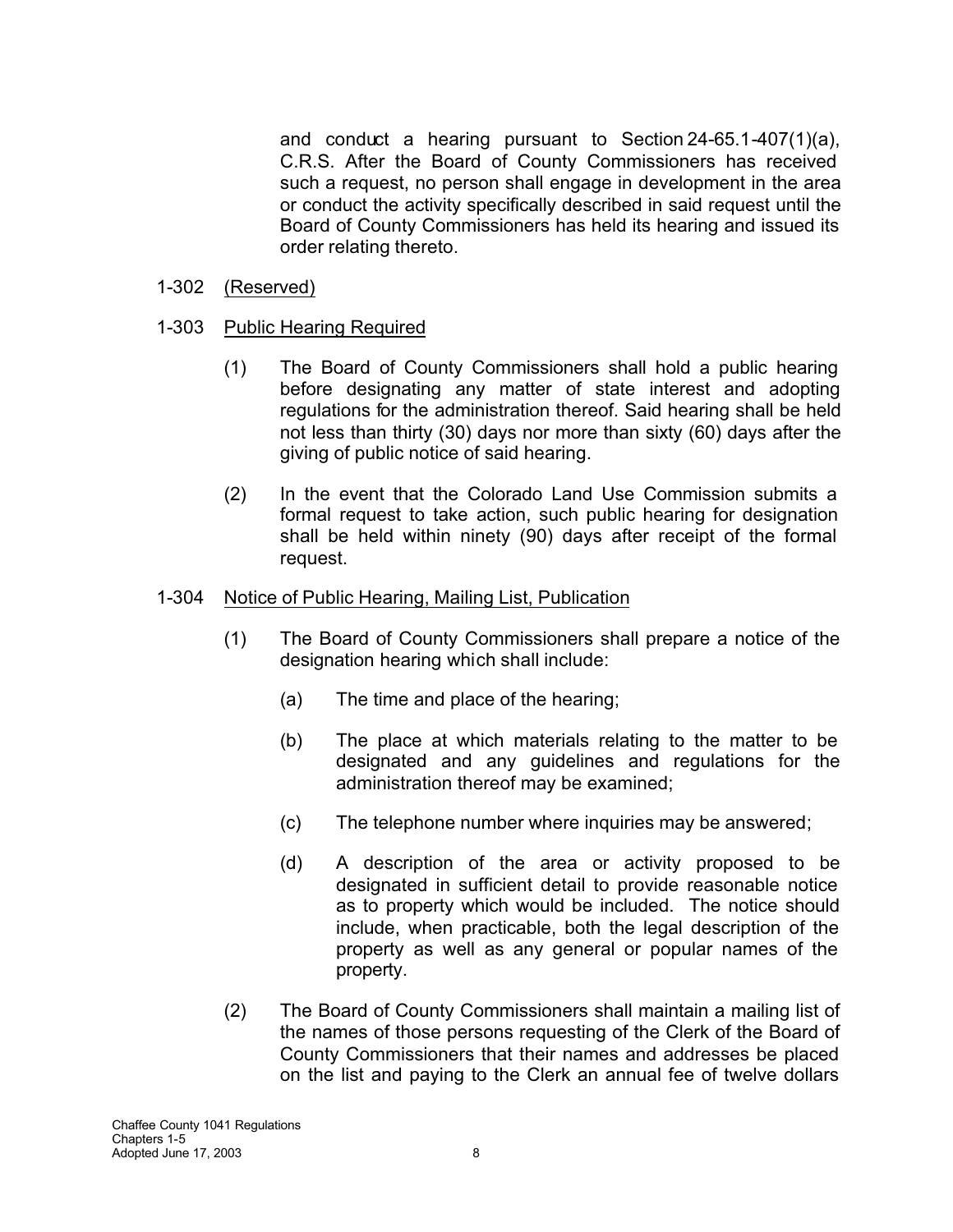and conduct a hearing pursuant to Section 24-65.1-407(1)(a), C.R.S. After the Board of County Commissioners has received such a request, no person shall engage in development in the area or conduct the activity specifically described in said request until the Board of County Commissioners has held its hearing and issued its order relating thereto.

- 1-302 (Reserved)
- 1-303 Public Hearing Required
	- (1) The Board of County Commissioners shall hold a public hearing before designating any matter of state interest and adopting regulations for the administration thereof. Said hearing shall be held not less than thirty (30) days nor more than sixty (60) days after the giving of public notice of said hearing.
	- (2) In the event that the Colorado Land Use Commission submits a formal request to take action, such public hearing for designation shall be held within ninety (90) days after receipt of the formal request.

### 1-304 Notice of Public Hearing, Mailing List, Publication

- (1) The Board of County Commissioners shall prepare a notice of the designation hearing which shall include:
	- (a) The time and place of the hearing;
	- (b) The place at which materials relating to the matter to be designated and any guidelines and regulations for the administration thereof may be examined;
	- (c) The telephone number where inquiries may be answered;
	- (d) A description of the area or activity proposed to be designated in sufficient detail to provide reasonable notice as to property which would be included. The notice should include, when practicable, both the legal description of the property as well as any general or popular names of the property.
- (2) The Board of County Commissioners shall maintain a mailing list of the names of those persons requesting of the Clerk of the Board of County Commissioners that their names and addresses be placed on the list and paying to the Clerk an annual fee of twelve dollars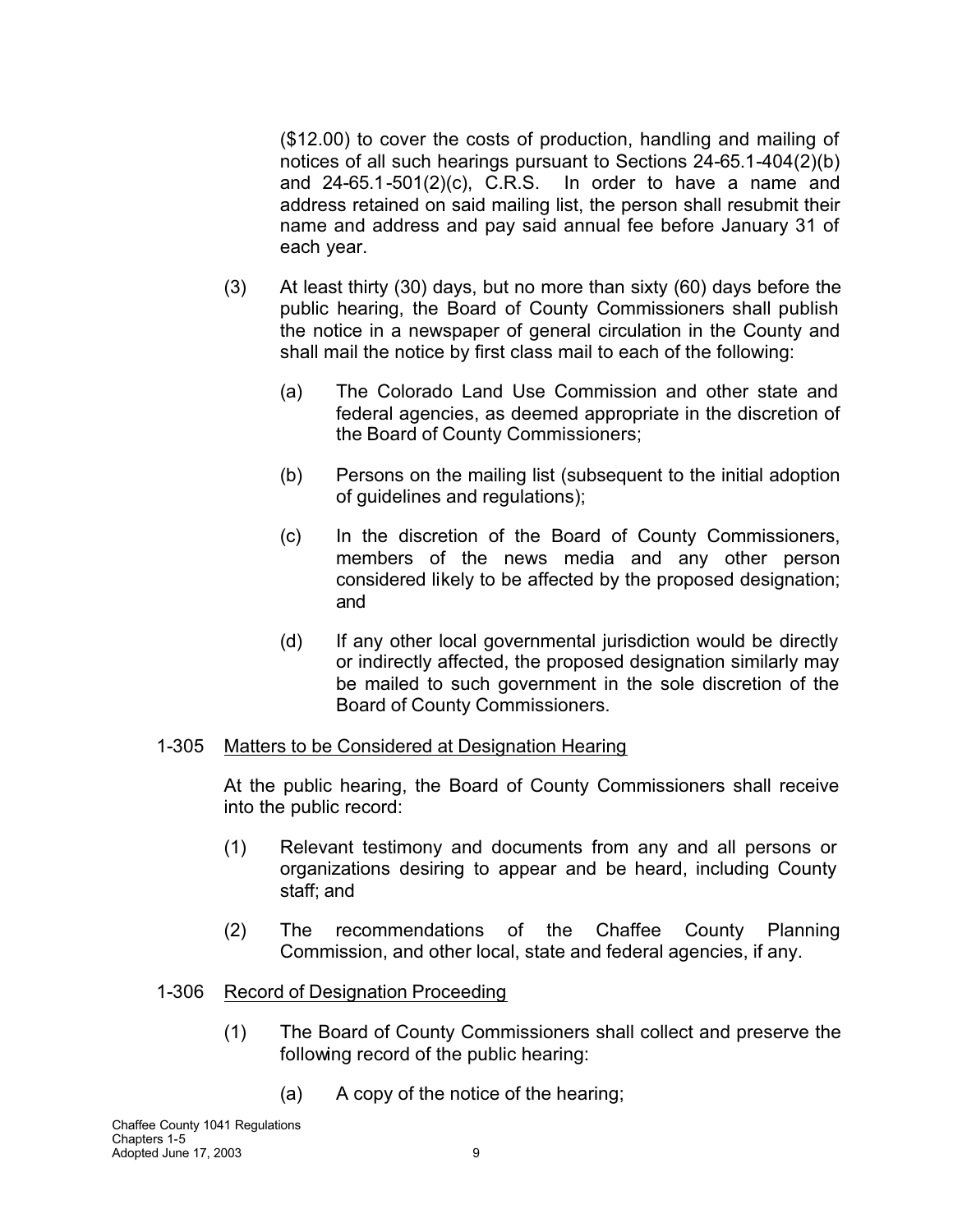(\$12.00) to cover the costs of production, handling and mailing of notices of all such hearings pursuant to Sections 24-65.1-404(2)(b) and 24-65.1-501(2)(c), C.R.S. In order to have a name and address retained on said mailing list, the person shall resubmit their name and address and pay said annual fee before January 31 of each year.

- (3) At least thirty (30) days, but no more than sixty (60) days before the public hearing, the Board of County Commissioners shall publish the notice in a newspaper of general circulation in the County and shall mail the notice by first class mail to each of the following:
	- (a) The Colorado Land Use Commission and other state and federal agencies, as deemed appropriate in the discretion of the Board of County Commissioners;
	- (b) Persons on the mailing list (subsequent to the initial adoption of guidelines and regulations);
	- (c) In the discretion of the Board of County Commissioners, members of the news media and any other person considered likely to be affected by the proposed designation; and
	- (d) If any other local governmental jurisdiction would be directly or indirectly affected, the proposed designation similarly may be mailed to such government in the sole discretion of the Board of County Commissioners.

#### 1-305 Matters to be Considered at Designation Hearing

At the public hearing, the Board of County Commissioners shall receive into the public record:

- (1) Relevant testimony and documents from any and all persons or organizations desiring to appear and be heard, including County staff; and
- (2) The recommendations of the Chaffee County Planning Commission, and other local, state and federal agencies, if any.

### 1-306 Record of Designation Proceeding

- (1) The Board of County Commissioners shall collect and preserve the following record of the public hearing:
	- (a) A copy of the notice of the hearing;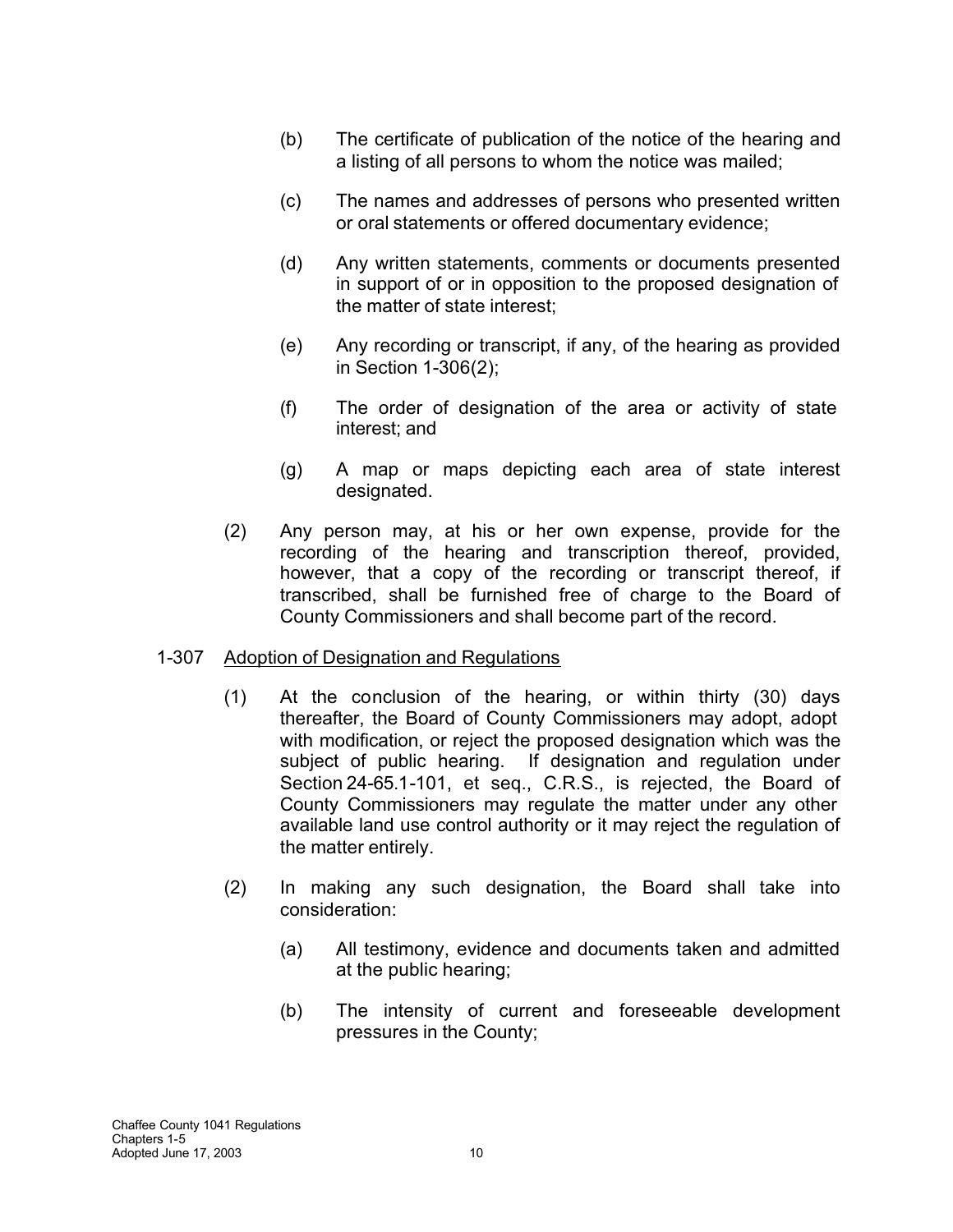- (b) The certificate of publication of the notice of the hearing and a listing of all persons to whom the notice was mailed;
- (c) The names and addresses of persons who presented written or oral statements or offered documentary evidence;
- (d) Any written statements, comments or documents presented in support of or in opposition to the proposed designation of the matter of state interest;
- (e) Any recording or transcript, if any, of the hearing as provided in Section 1-306(2);
- (f) The order of designation of the area or activity of state interest; and
- (g) A map or maps depicting each area of state interest designated.
- (2) Any person may, at his or her own expense, provide for the recording of the hearing and transcription thereof, provided, however, that a copy of the recording or transcript thereof, if transcribed, shall be furnished free of charge to the Board of County Commissioners and shall become part of the record.

### 1-307 Adoption of Designation and Regulations

- (1) At the conclusion of the hearing, or within thirty (30) days thereafter, the Board of County Commissioners may adopt, adopt with modification, or reject the proposed designation which was the subject of public hearing. If designation and regulation under Section 24-65.1-101, et seq., C.R.S., is rejected, the Board of County Commissioners may regulate the matter under any other available land use control authority or it may reject the regulation of the matter entirely.
- (2) In making any such designation, the Board shall take into consideration:
	- (a) All testimony, evidence and documents taken and admitted at the public hearing;
	- (b) The intensity of current and foreseeable development pressures in the County;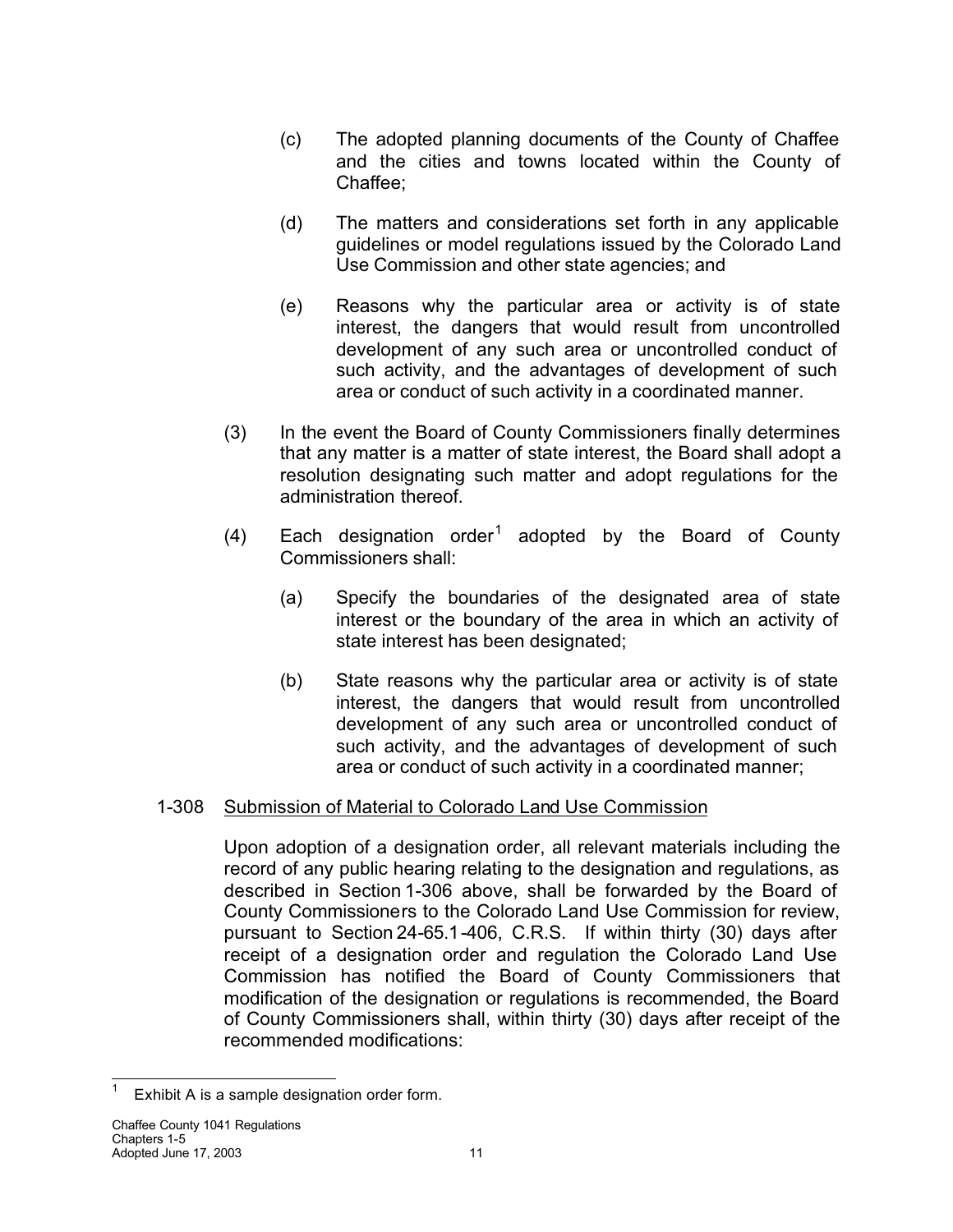- (c) The adopted planning documents of the County of Chaffee and the cities and towns located within the County of Chaffee;
- (d) The matters and considerations set forth in any applicable guidelines or model regulations issued by the Colorado Land Use Commission and other state agencies; and
- (e) Reasons why the particular area or activity is of state interest, the dangers that would result from uncontrolled development of any such area or uncontrolled conduct of such activity, and the advantages of development of such area or conduct of such activity in a coordinated manner.
- (3) In the event the Board of County Commissioners finally determines that any matter is a matter of state interest, the Board shall adopt a resolution designating such matter and adopt regulations for the administration thereof.
- (4) Each designation order<sup>1</sup> adopted by the Board of County Commissioners shall:
	- (a) Specify the boundaries of the designated area of state interest or the boundary of the area in which an activity of state interest has been designated;
	- (b) State reasons why the particular area or activity is of state interest, the dangers that would result from uncontrolled development of any such area or uncontrolled conduct of such activity, and the advantages of development of such area or conduct of such activity in a coordinated manner;

# 1-308 Submission of Material to Colorado Land Use Commission

Upon adoption of a designation order, all relevant materials including the record of any public hearing relating to the designation and regulations, as described in Section 1-306 above, shall be forwarded by the Board of County Commissioners to the Colorado Land Use Commission for review, pursuant to Section 24-65.1-406, C.R.S. If within thirty (30) days after receipt of a designation order and regulation the Colorado Land Use Commission has notified the Board of County Commissioners that modification of the designation or regulations is recommended, the Board of County Commissioners shall, within thirty (30) days after receipt of the recommended modifications:

<sup>1</sup> Exhibit A is a sample designation order form.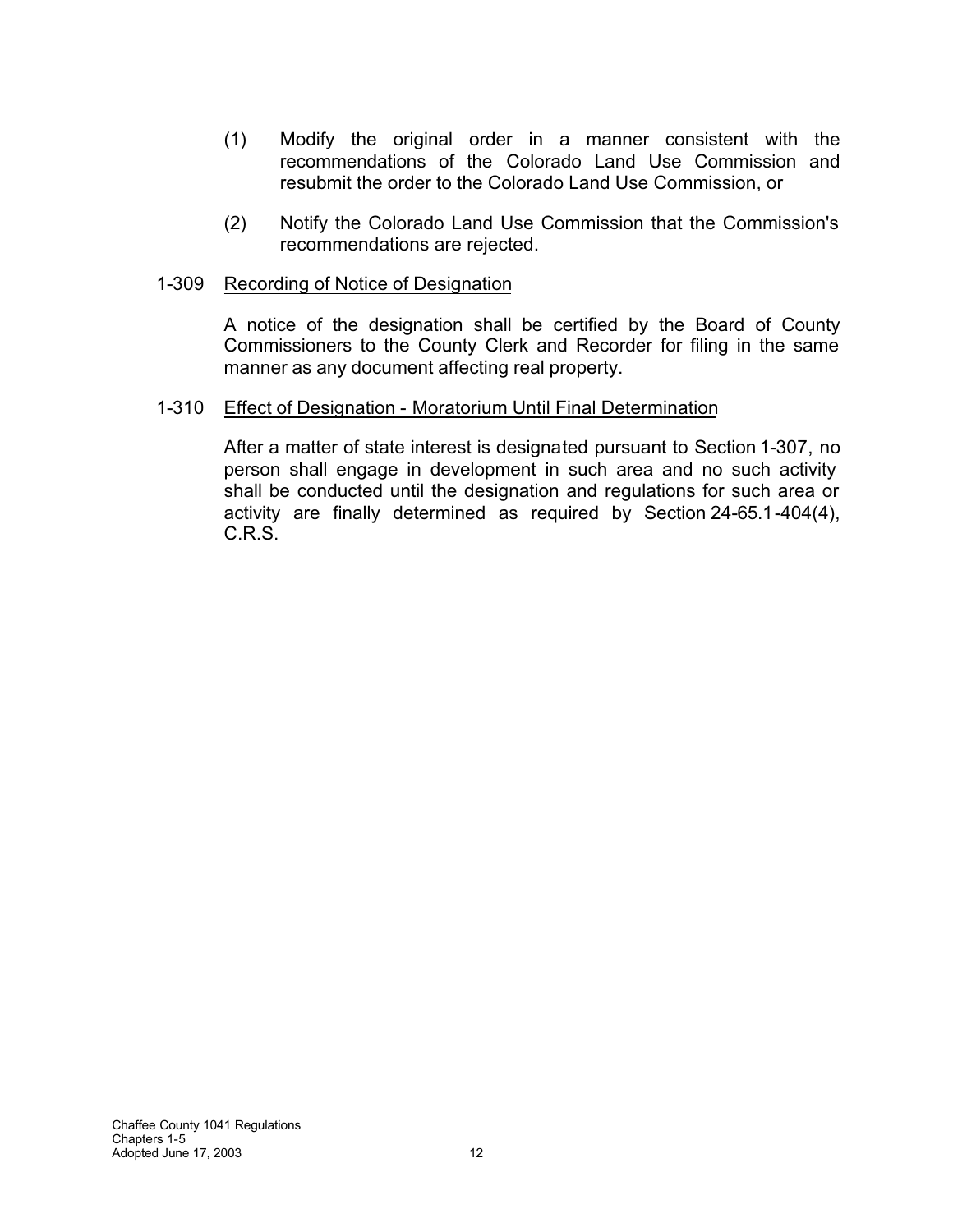- (1) Modify the original order in a manner consistent with the recommendations of the Colorado Land Use Commission and resubmit the order to the Colorado Land Use Commission, or
- (2) Notify the Colorado Land Use Commission that the Commission's recommendations are rejected.

### 1-309 Recording of Notice of Designation

A notice of the designation shall be certified by the Board of County Commissioners to the County Clerk and Recorder for filing in the same manner as any document affecting real property.

### 1-310 Effect of Designation - Moratorium Until Final Determination

After a matter of state interest is designated pursuant to Section 1-307, no person shall engage in development in such area and no such activity shall be conducted until the designation and regulations for such area or activity are finally determined as required by Section 24-65.1-404(4), C.R.S.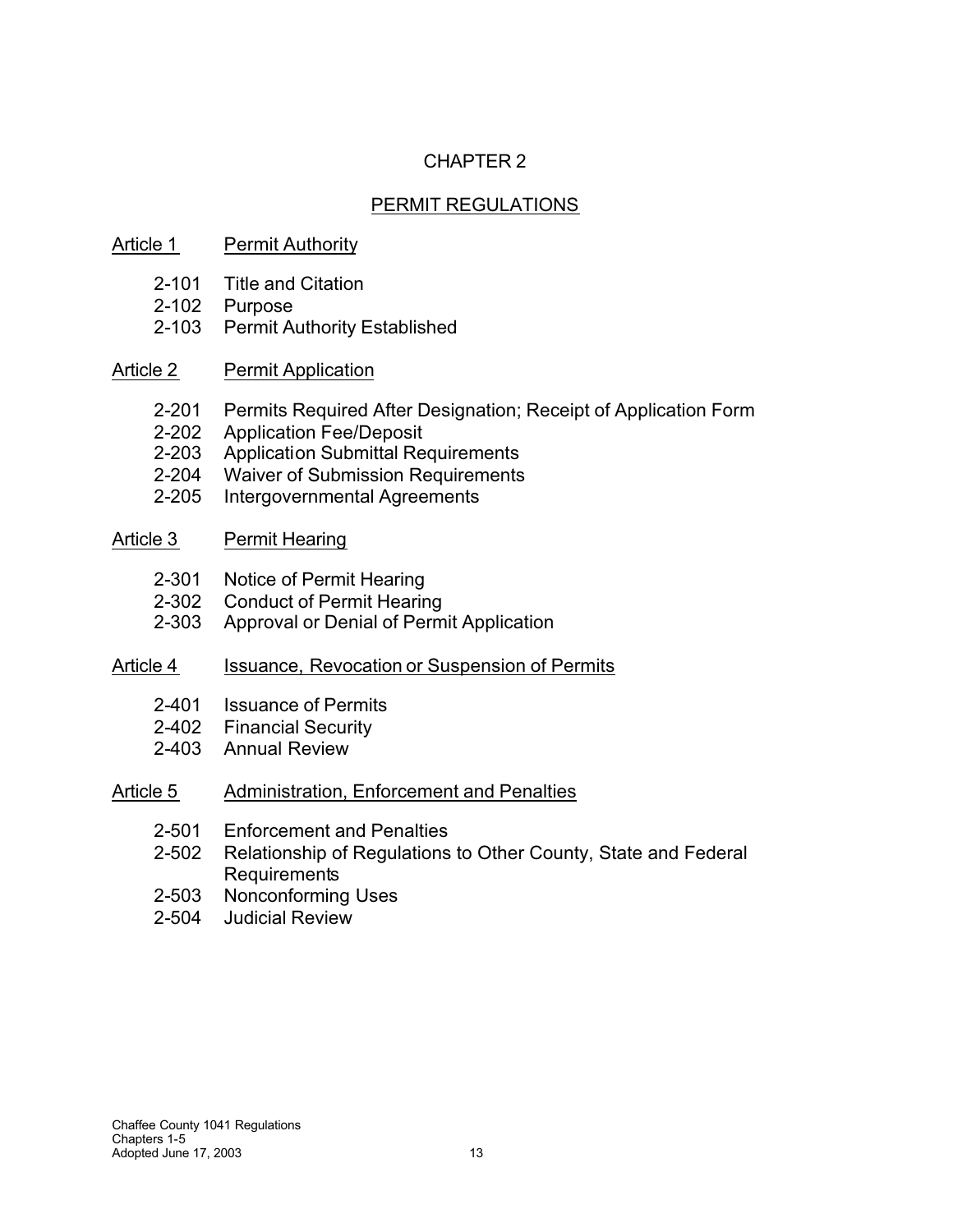# CHAPTER 2

# PERMIT REGULATIONS

## Article 1 Permit Authority

- 2-101 Title and Citation
- 2-102 Purpose
- 2-103 Permit Authority Established
- Article 2 Permit Application
	- 2-201 Permits Required After Designation; Receipt of Application Form
	- 2-202 Application Fee/Deposit
	- 2-203 Application Submittal Requirements
	- 2-204 Waiver of Submission Requirements
	- 2-205 Intergovernmental Agreements

### Article 3 Permit Hearing

- 2-301 Notice of Permit Hearing
- 2-302 Conduct of Permit Hearing
- 2-303 Approval or Denial of Permit Application

### Article 4 Issuance, Revocation or Suspension of Permits

- 2-401 Issuance of Permits
- 2-402 Financial Security
- 2-403 Annual Review

### Article 5 Administration, Enforcement and Penalties

- 2-501 Enforcement and Penalties
- 2-502 Relationship of Regulations to Other County, State and Federal **Requirements**
- 2-503 Nonconforming Uses
- 2-504 Judicial Review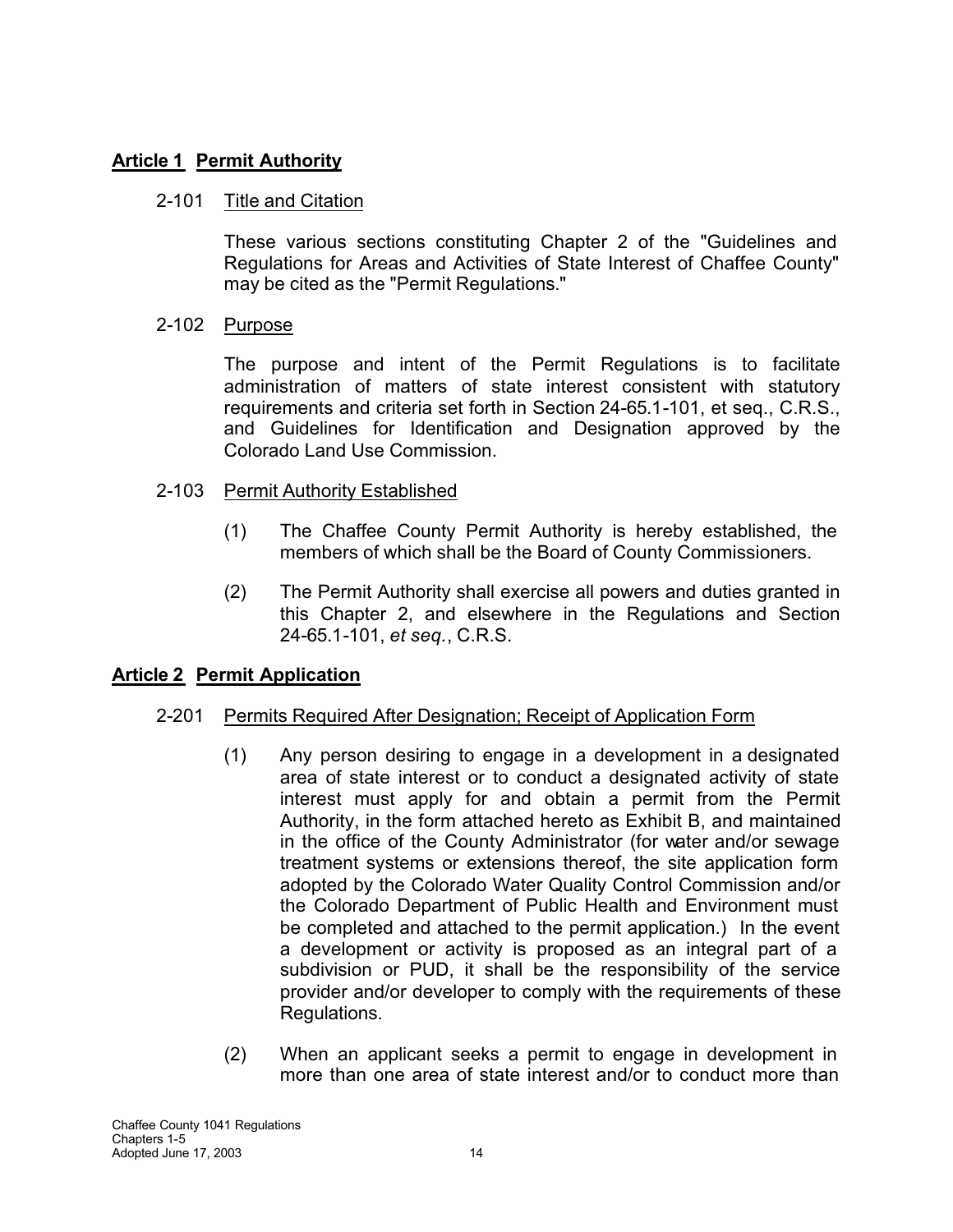# **Article 1 Permit Authority**

### 2-101 Title and Citation

These various sections constituting Chapter 2 of the "Guidelines and Regulations for Areas and Activities of State Interest of Chaffee County" may be cited as the "Permit Regulations."

### 2-102 Purpose

The purpose and intent of the Permit Regulations is to facilitate administration of matters of state interest consistent with statutory requirements and criteria set forth in Section 24-65.1-101, et seq., C.R.S., and Guidelines for Identification and Designation approved by the Colorado Land Use Commission.

### 2-103 Permit Authority Established

- (1) The Chaffee County Permit Authority is hereby established, the members of which shall be the Board of County Commissioners.
- (2) The Permit Authority shall exercise all powers and duties granted in this Chapter 2, and elsewhere in the Regulations and Section 24-65.1-101, *et seq.*, C.R.S.

### **Article 2 Permit Application**

### 2-201 Permits Required After Designation; Receipt of Application Form

- (1) Any person desiring to engage in a development in a designated area of state interest or to conduct a designated activity of state interest must apply for and obtain a permit from the Permit Authority, in the form attached hereto as Exhibit B, and maintained in the office of the County Administrator (for water and/or sewage treatment systems or extensions thereof, the site application form adopted by the Colorado Water Quality Control Commission and/or the Colorado Department of Public Health and Environment must be completed and attached to the permit application.) In the event a development or activity is proposed as an integral part of a subdivision or PUD, it shall be the responsibility of the service provider and/or developer to comply with the requirements of these Regulations.
- (2) When an applicant seeks a permit to engage in development in more than one area of state interest and/or to conduct more than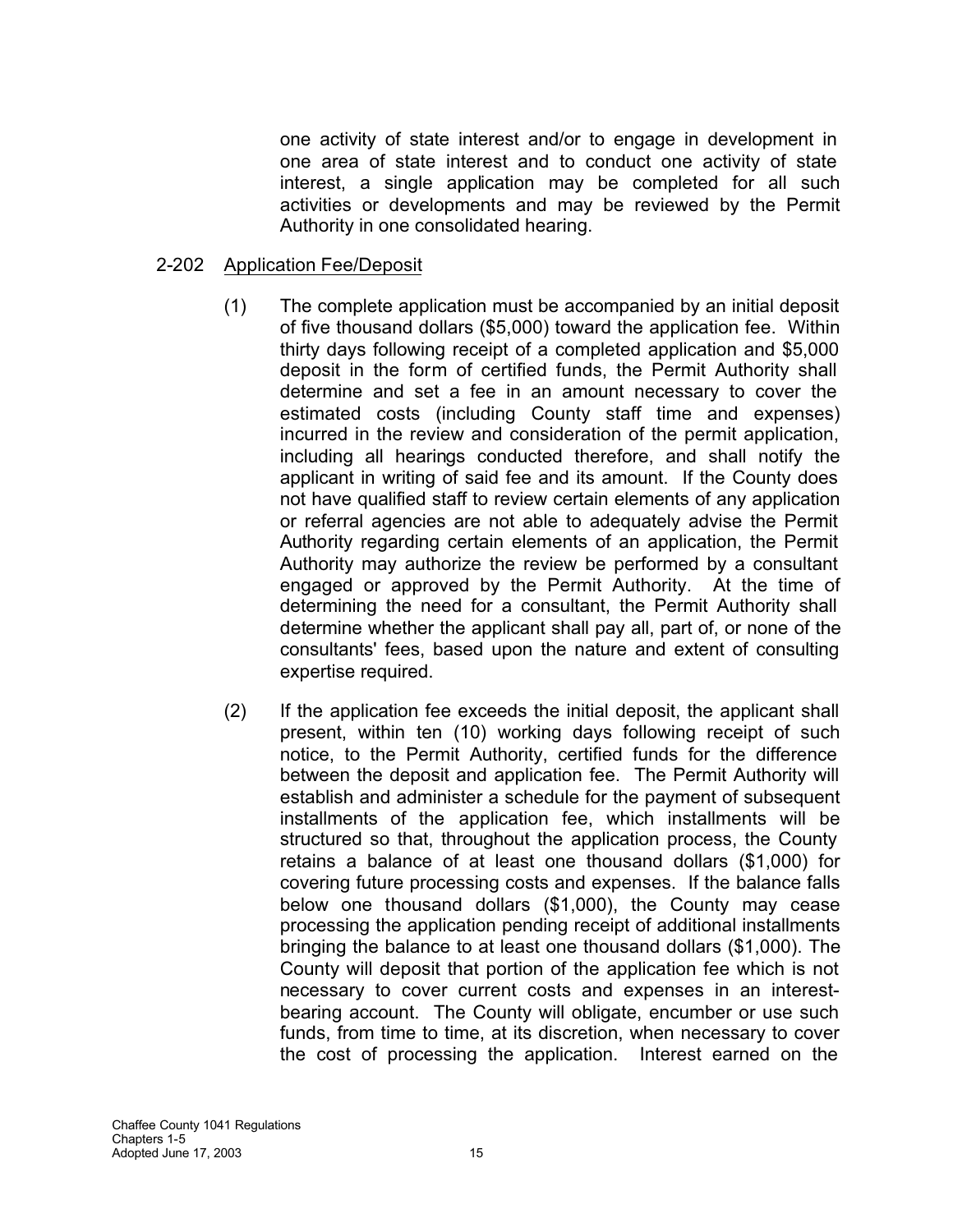one activity of state interest and/or to engage in development in one area of state interest and to conduct one activity of state interest, a single application may be completed for all such activities or developments and may be reviewed by the Permit Authority in one consolidated hearing.

### 2-202 Application Fee/Deposit

- (1) The complete application must be accompanied by an initial deposit of five thousand dollars (\$5,000) toward the application fee. Within thirty days following receipt of a completed application and \$5,000 deposit in the form of certified funds, the Permit Authority shall determine and set a fee in an amount necessary to cover the estimated costs (including County staff time and expenses) incurred in the review and consideration of the permit application, including all hearings conducted therefore, and shall notify the applicant in writing of said fee and its amount. If the County does not have qualified staff to review certain elements of any application or referral agencies are not able to adequately advise the Permit Authority regarding certain elements of an application, the Permit Authority may authorize the review be performed by a consultant engaged or approved by the Permit Authority. At the time of determining the need for a consultant, the Permit Authority shall determine whether the applicant shall pay all, part of, or none of the consultants' fees, based upon the nature and extent of consulting expertise required.
- (2) If the application fee exceeds the initial deposit, the applicant shall present, within ten (10) working days following receipt of such notice, to the Permit Authority, certified funds for the difference between the deposit and application fee. The Permit Authority will establish and administer a schedule for the payment of subsequent installments of the application fee, which installments will be structured so that, throughout the application process, the County retains a balance of at least one thousand dollars (\$1,000) for covering future processing costs and expenses. If the balance falls below one thousand dollars (\$1,000), the County may cease processing the application pending receipt of additional installments bringing the balance to at least one thousand dollars (\$1,000). The County will deposit that portion of the application fee which is not necessary to cover current costs and expenses in an interestbearing account. The County will obligate, encumber or use such funds, from time to time, at its discretion, when necessary to cover the cost of processing the application. Interest earned on the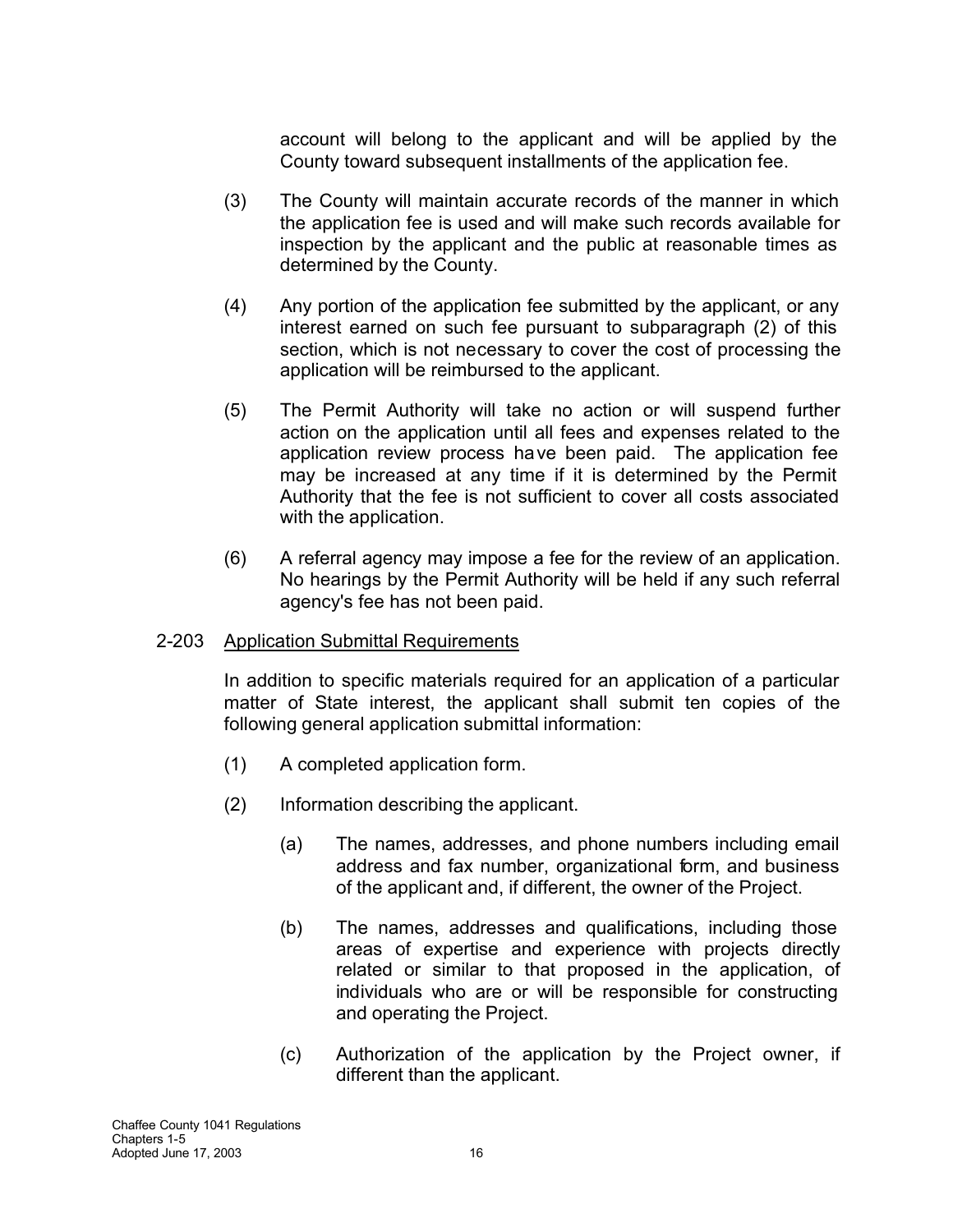account will belong to the applicant and will be applied by the County toward subsequent installments of the application fee.

- (3) The County will maintain accurate records of the manner in which the application fee is used and will make such records available for inspection by the applicant and the public at reasonable times as determined by the County.
- (4) Any portion of the application fee submitted by the applicant, or any interest earned on such fee pursuant to subparagraph (2) of this section, which is not necessary to cover the cost of processing the application will be reimbursed to the applicant.
- (5) The Permit Authority will take no action or will suspend further action on the application until all fees and expenses related to the application review process have been paid. The application fee may be increased at any time if it is determined by the Permit Authority that the fee is not sufficient to cover all costs associated with the application.
- (6) A referral agency may impose a fee for the review of an application. No hearings by the Permit Authority will be held if any such referral agency's fee has not been paid.

### 2-203 Application Submittal Requirements

In addition to specific materials required for an application of a particular matter of State interest, the applicant shall submit ten copies of the following general application submittal information:

- (1) A completed application form.
- (2) Information describing the applicant.
	- (a) The names, addresses, and phone numbers including email address and fax number, organizational form, and business of the applicant and, if different, the owner of the Project.
	- (b) The names, addresses and qualifications, including those areas of expertise and experience with projects directly related or similar to that proposed in the application, of individuals who are or will be responsible for constructing and operating the Project.
	- (c) Authorization of the application by the Project owner, if different than the applicant.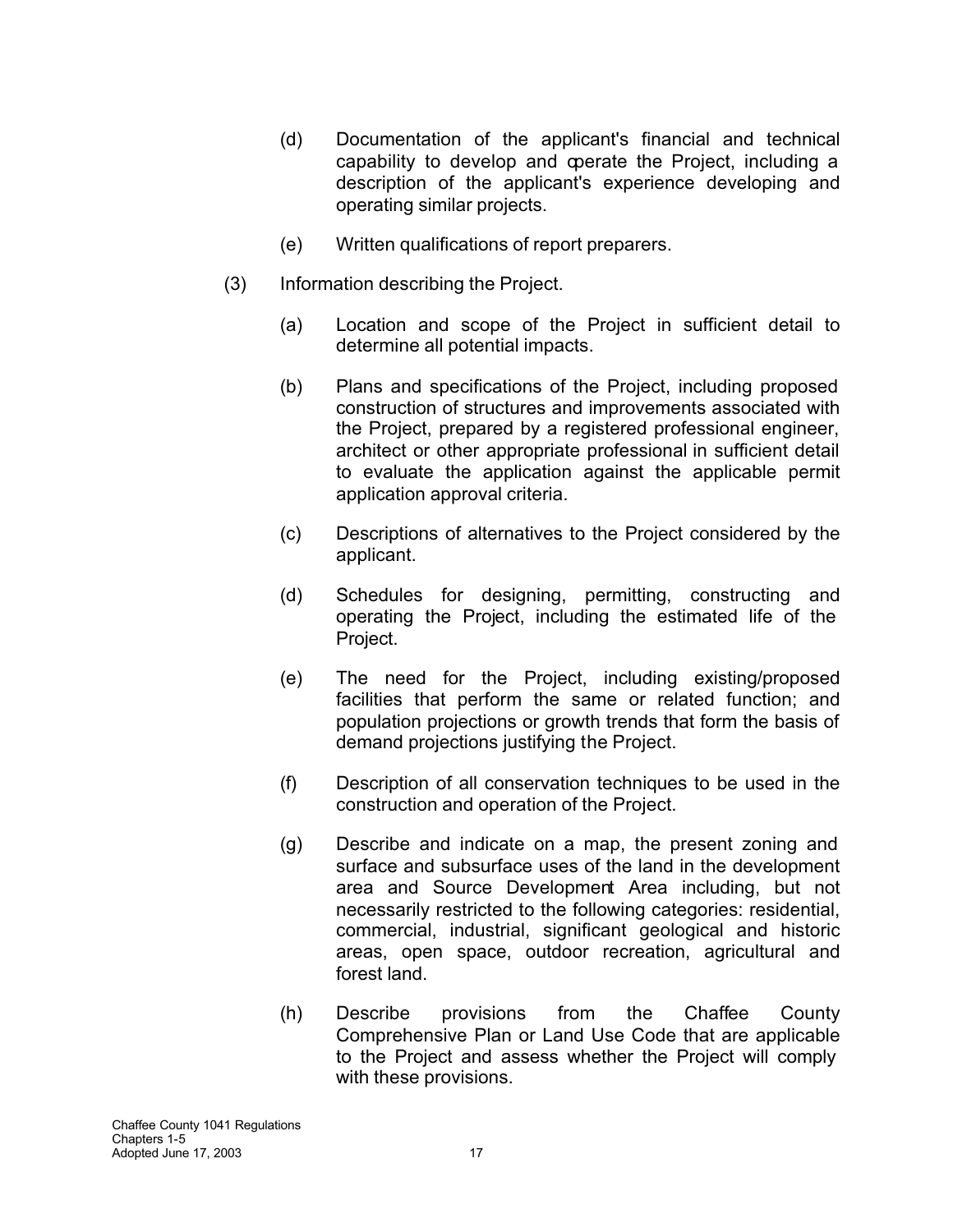- (d) Documentation of the applicant's financial and technical capability to develop and operate the Project, including a description of the applicant's experience developing and operating similar projects.
- (e) Written qualifications of report preparers.
- (3) Information describing the Project.
	- (a) Location and scope of the Project in sufficient detail to determine all potential impacts.
	- (b) Plans and specifications of the Project, including proposed construction of structures and improvements associated with the Project, prepared by a registered professional engineer, architect or other appropriate professional in sufficient detail to evaluate the application against the applicable permit application approval criteria.
	- (c) Descriptions of alternatives to the Project considered by the applicant.
	- (d) Schedules for designing, permitting, constructing and operating the Project, including the estimated life of the Project.
	- (e) The need for the Project, including existing/proposed facilities that perform the same or related function; and population projections or growth trends that form the basis of demand projections justifying the Project.
	- (f) Description of all conservation techniques to be used in the construction and operation of the Project.
	- (g) Describe and indicate on a map, the present zoning and surface and subsurface uses of the land in the development area and Source Development Area including, but not necessarily restricted to the following categories: residential, commercial, industrial, significant geological and historic areas, open space, outdoor recreation, agricultural and forest land.
	- (h) Describe provisions from the Chaffee County Comprehensive Plan or Land Use Code that are applicable to the Project and assess whether the Project will comply with these provisions.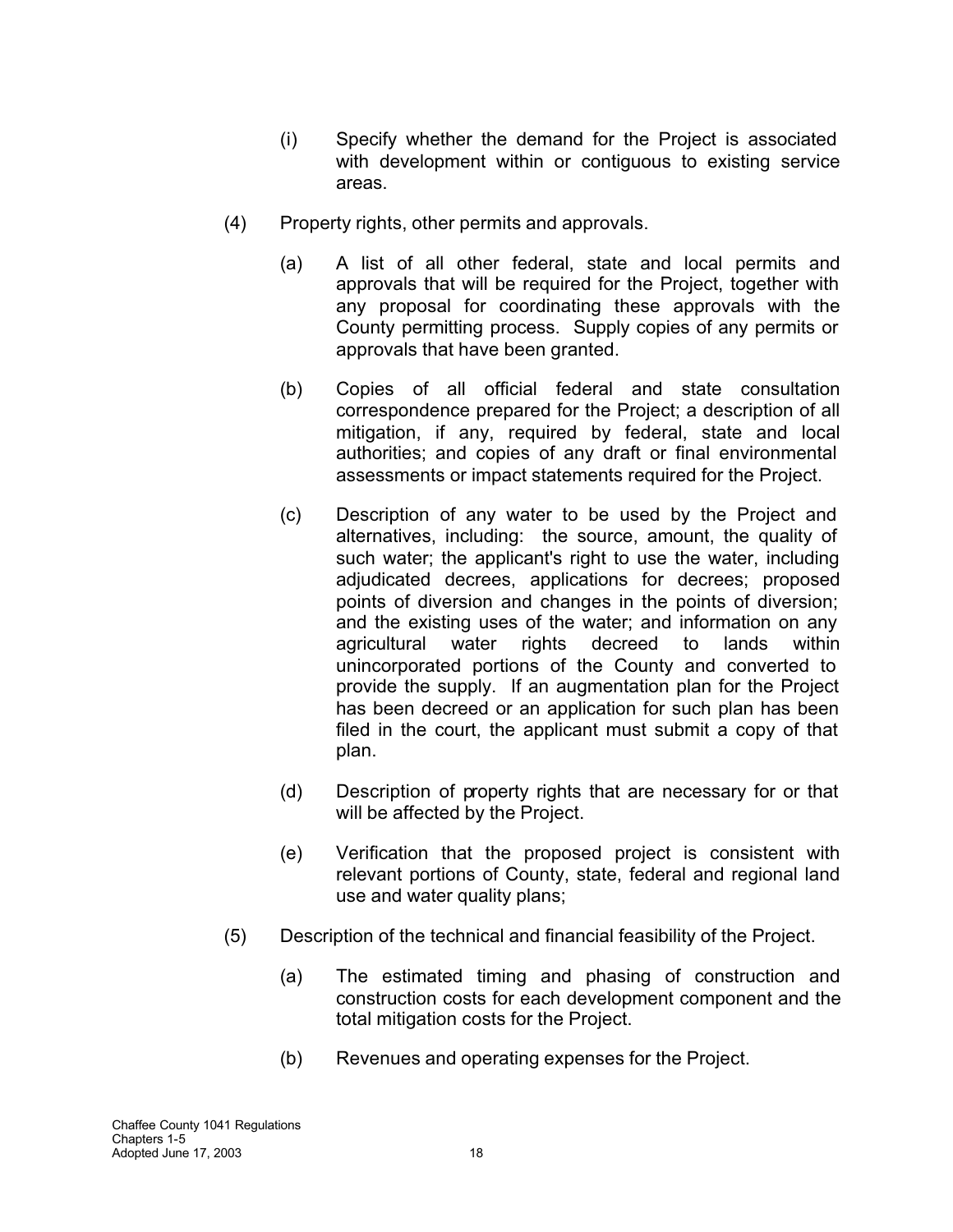- (i) Specify whether the demand for the Project is associated with development within or contiguous to existing service areas.
- (4) Property rights, other permits and approvals.
	- (a) A list of all other federal, state and local permits and approvals that will be required for the Project, together with any proposal for coordinating these approvals with the County permitting process. Supply copies of any permits or approvals that have been granted.
	- (b) Copies of all official federal and state consultation correspondence prepared for the Project; a description of all mitigation, if any, required by federal, state and local authorities; and copies of any draft or final environmental assessments or impact statements required for the Project.
	- (c) Description of any water to be used by the Project and alternatives, including: the source, amount, the quality of such water; the applicant's right to use the water, including adjudicated decrees, applications for decrees; proposed points of diversion and changes in the points of diversion; and the existing uses of the water; and information on any agricultural water rights decreed to lands within unincorporated portions of the County and converted to provide the supply. If an augmentation plan for the Project has been decreed or an application for such plan has been filed in the court, the applicant must submit a copy of that plan.
	- (d) Description of property rights that are necessary for or that will be affected by the Project.
	- (e) Verification that the proposed project is consistent with relevant portions of County, state, federal and regional land use and water quality plans;
- (5) Description of the technical and financial feasibility of the Project.
	- (a) The estimated timing and phasing of construction and construction costs for each development component and the total mitigation costs for the Project.
	- (b) Revenues and operating expenses for the Project.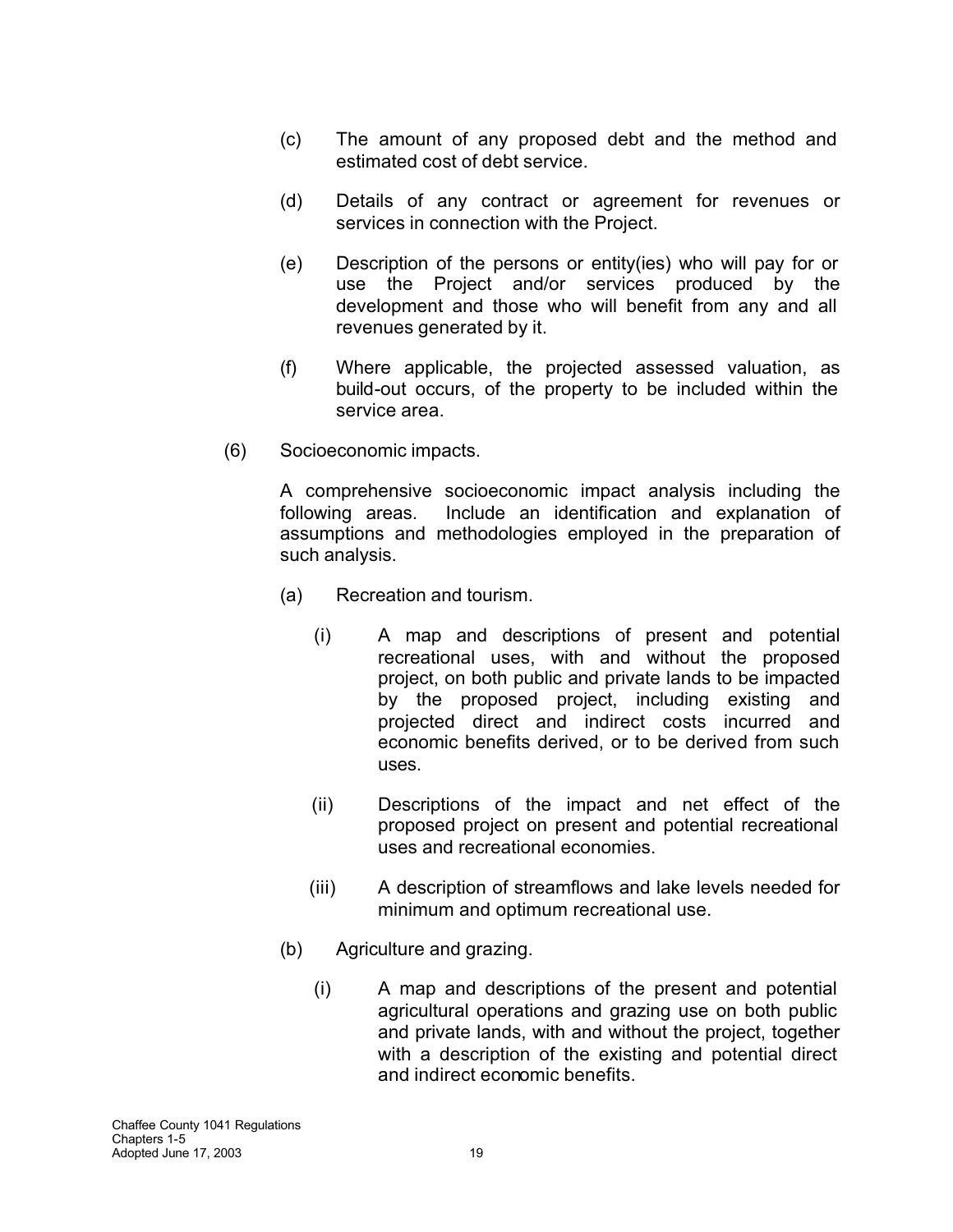- (c) The amount of any proposed debt and the method and estimated cost of debt service.
- (d) Details of any contract or agreement for revenues or services in connection with the Project.
- (e) Description of the persons or entity(ies) who will pay for or use the Project and/or services produced by the development and those who will benefit from any and all revenues generated by it.
- (f) Where applicable, the projected assessed valuation, as build-out occurs, of the property to be included within the service area.
- (6) Socioeconomic impacts.

A comprehensive socioeconomic impact analysis including the following areas. Include an identification and explanation of assumptions and methodologies employed in the preparation of such analysis.

- (a) Recreation and tourism.
	- (i) A map and descriptions of present and potential recreational uses, with and without the proposed project, on both public and private lands to be impacted by the proposed project, including existing and projected direct and indirect costs incurred and economic benefits derived, or to be derived from such uses.
	- (ii) Descriptions of the impact and net effect of the proposed project on present and potential recreational uses and recreational economies.
	- (iii) A description of streamflows and lake levels needed for minimum and optimum recreational use.
- (b) Agriculture and grazing.
	- (i) A map and descriptions of the present and potential agricultural operations and grazing use on both public and private lands, with and without the project, together with a description of the existing and potential direct and indirect economic benefits.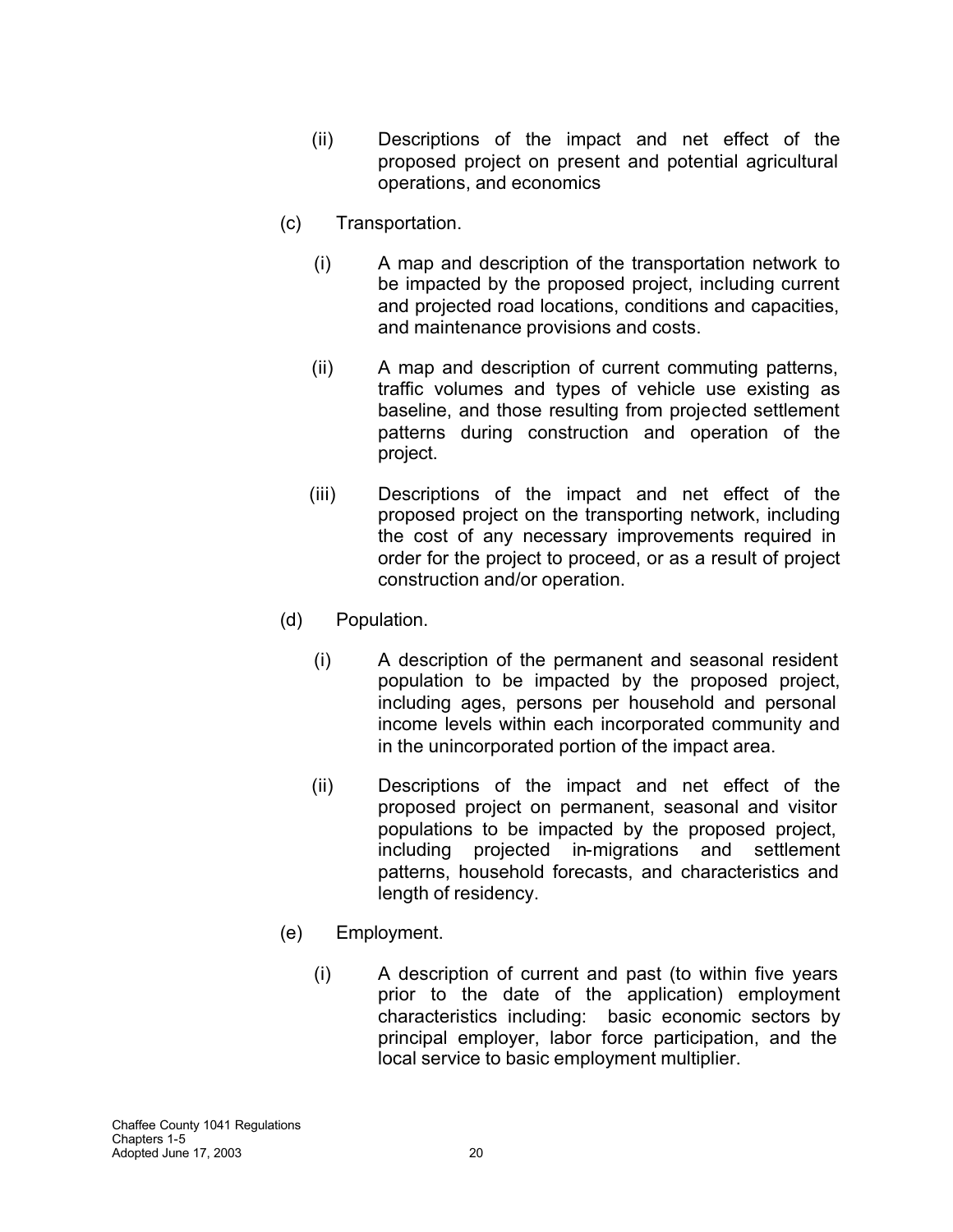- (ii) Descriptions of the impact and net effect of the proposed project on present and potential agricultural operations, and economics
- (c) Transportation.
	- (i) A map and description of the transportation network to be impacted by the proposed project, including current and projected road locations, conditions and capacities, and maintenance provisions and costs.
	- (ii) A map and description of current commuting patterns, traffic volumes and types of vehicle use existing as baseline, and those resulting from projected settlement patterns during construction and operation of the project.
	- (iii) Descriptions of the impact and net effect of the proposed project on the transporting network, including the cost of any necessary improvements required in order for the project to proceed, or as a result of project construction and/or operation.
- (d) Population.
	- (i) A description of the permanent and seasonal resident population to be impacted by the proposed project, including ages, persons per household and personal income levels within each incorporated community and in the unincorporated portion of the impact area.
	- (ii) Descriptions of the impact and net effect of the proposed project on permanent, seasonal and visitor populations to be impacted by the proposed project, including projected in-migrations and settlement patterns, household forecasts, and characteristics and length of residency.
- (e) Employment.
	- (i) A description of current and past (to within five years prior to the date of the application) employment characteristics including: basic economic sectors by principal employer, labor force participation, and the local service to basic employment multiplier.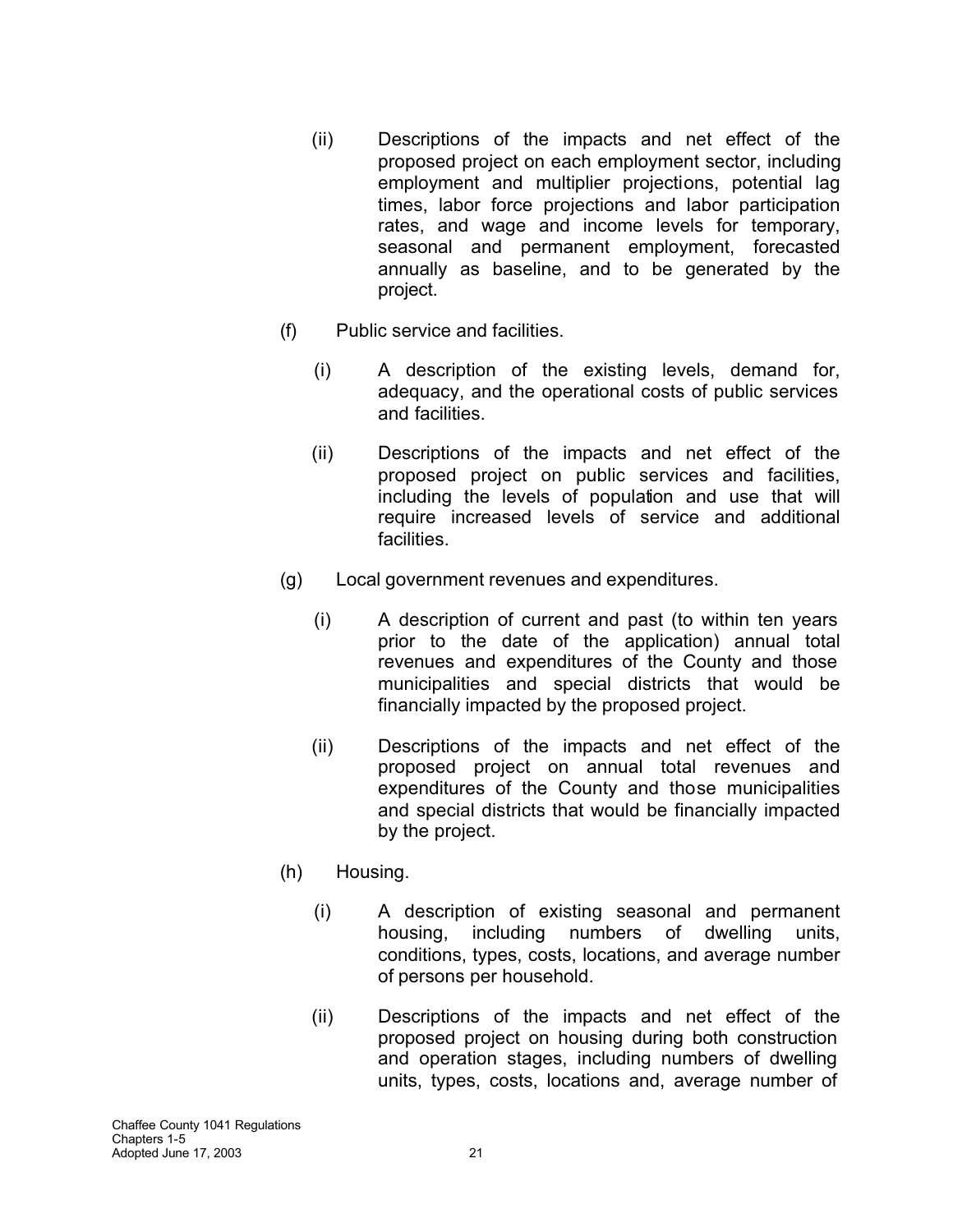- (ii) Descriptions of the impacts and net effect of the proposed project on each employment sector, including employment and multiplier projections, potential lag times, labor force projections and labor participation rates, and wage and income levels for temporary, seasonal and permanent employment, forecasted annually as baseline, and to be generated by the project.
- (f) Public service and facilities.
	- (i) A description of the existing levels, demand for, adequacy, and the operational costs of public services and facilities.
	- (ii) Descriptions of the impacts and net effect of the proposed project on public services and facilities, including the levels of population and use that will require increased levels of service and additional facilities.
- (g) Local government revenues and expenditures.
	- (i) A description of current and past (to within ten years prior to the date of the application) annual total revenues and expenditures of the County and those municipalities and special districts that would be financially impacted by the proposed project.
	- (ii) Descriptions of the impacts and net effect of the proposed project on annual total revenues and expenditures of the County and those municipalities and special districts that would be financially impacted by the project.
- (h) Housing.
	- (i) A description of existing seasonal and permanent housing, including numbers of dwelling units, conditions, types, costs, locations, and average number of persons per household.
	- (ii) Descriptions of the impacts and net effect of the proposed project on housing during both construction and operation stages, including numbers of dwelling units, types, costs, locations and, average number of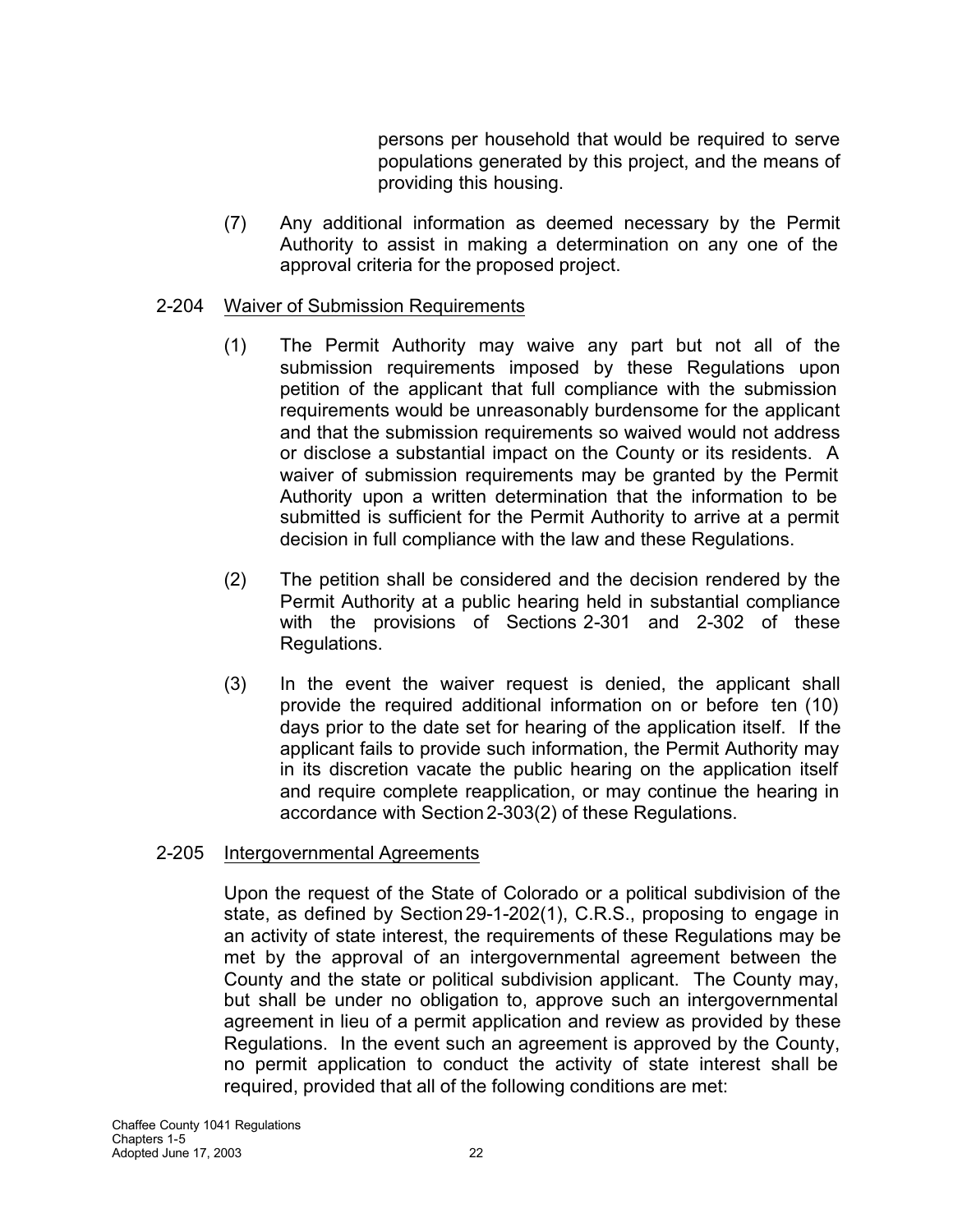persons per household that would be required to serve populations generated by this project, and the means of providing this housing.

(7) Any additional information as deemed necessary by the Permit Authority to assist in making a determination on any one of the approval criteria for the proposed project.

## 2-204 Waiver of Submission Requirements

- (1) The Permit Authority may waive any part but not all of the submission requirements imposed by these Regulations upon petition of the applicant that full compliance with the submission requirements would be unreasonably burdensome for the applicant and that the submission requirements so waived would not address or disclose a substantial impact on the County or its residents. A waiver of submission requirements may be granted by the Permit Authority upon a written determination that the information to be submitted is sufficient for the Permit Authority to arrive at a permit decision in full compliance with the law and these Regulations.
- (2) The petition shall be considered and the decision rendered by the Permit Authority at a public hearing held in substantial compliance with the provisions of Sections 2-301 and 2-302 of these Regulations.
- (3) In the event the waiver request is denied, the applicant shall provide the required additional information on or before ten (10) days prior to the date set for hearing of the application itself. If the applicant fails to provide such information, the Permit Authority may in its discretion vacate the public hearing on the application itself and require complete reapplication, or may continue the hearing in accordance with Section2-303(2) of these Regulations.

### 2-205 Intergovernmental Agreements

Upon the request of the State of Colorado or a political subdivision of the state, as defined by Section29-1-202(1), C.R.S., proposing to engage in an activity of state interest, the requirements of these Regulations may be met by the approval of an intergovernmental agreement between the County and the state or political subdivision applicant. The County may, but shall be under no obligation to, approve such an intergovernmental agreement in lieu of a permit application and review as provided by these Regulations. In the event such an agreement is approved by the County, no permit application to conduct the activity of state interest shall be required, provided that all of the following conditions are met: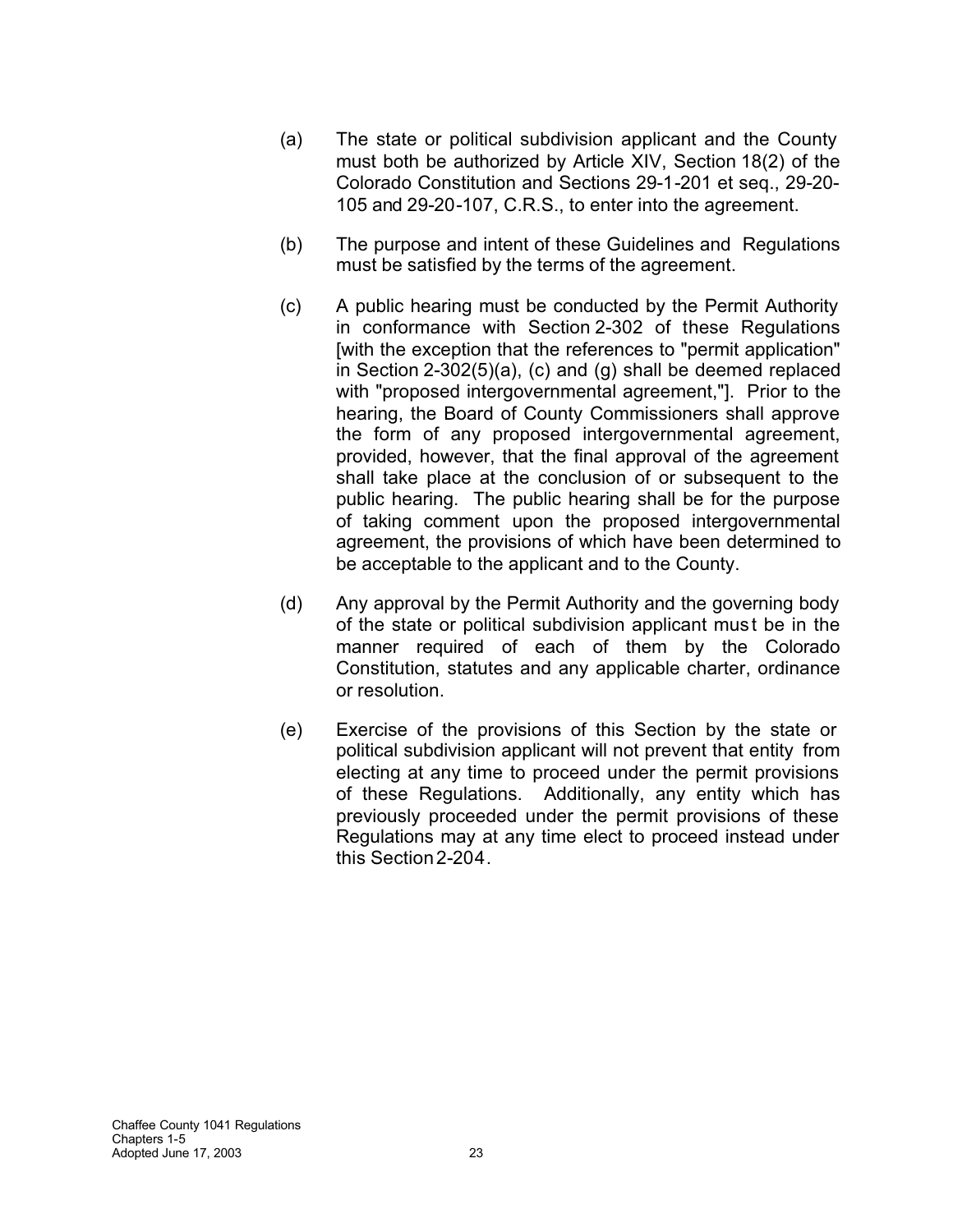- (a) The state or political subdivision applicant and the County must both be authorized by Article XIV, Section 18(2) of the Colorado Constitution and Sections 29-1-201 et seq., 29-20- 105 and 29-20-107, C.R.S., to enter into the agreement.
- (b) The purpose and intent of these Guidelines and Regulations must be satisfied by the terms of the agreement.
- (c) A public hearing must be conducted by the Permit Authority in conformance with Section 2-302 of these Regulations [with the exception that the references to "permit application" in Section 2-302(5)(a), (c) and (g) shall be deemed replaced with "proposed intergovernmental agreement,"]. Prior to the hearing, the Board of County Commissioners shall approve the form of any proposed intergovernmental agreement, provided, however, that the final approval of the agreement shall take place at the conclusion of or subsequent to the public hearing. The public hearing shall be for the purpose of taking comment upon the proposed intergovernmental agreement, the provisions of which have been determined to be acceptable to the applicant and to the County.
- (d) Any approval by the Permit Authority and the governing body of the state or political subdivision applicant mus t be in the manner required of each of them by the Colorado Constitution, statutes and any applicable charter, ordinance or resolution.
- (e) Exercise of the provisions of this Section by the state or political subdivision applicant will not prevent that entity from electing at any time to proceed under the permit provisions of these Regulations. Additionally, any entity which has previously proceeded under the permit provisions of these Regulations may at any time elect to proceed instead under this Section2-204.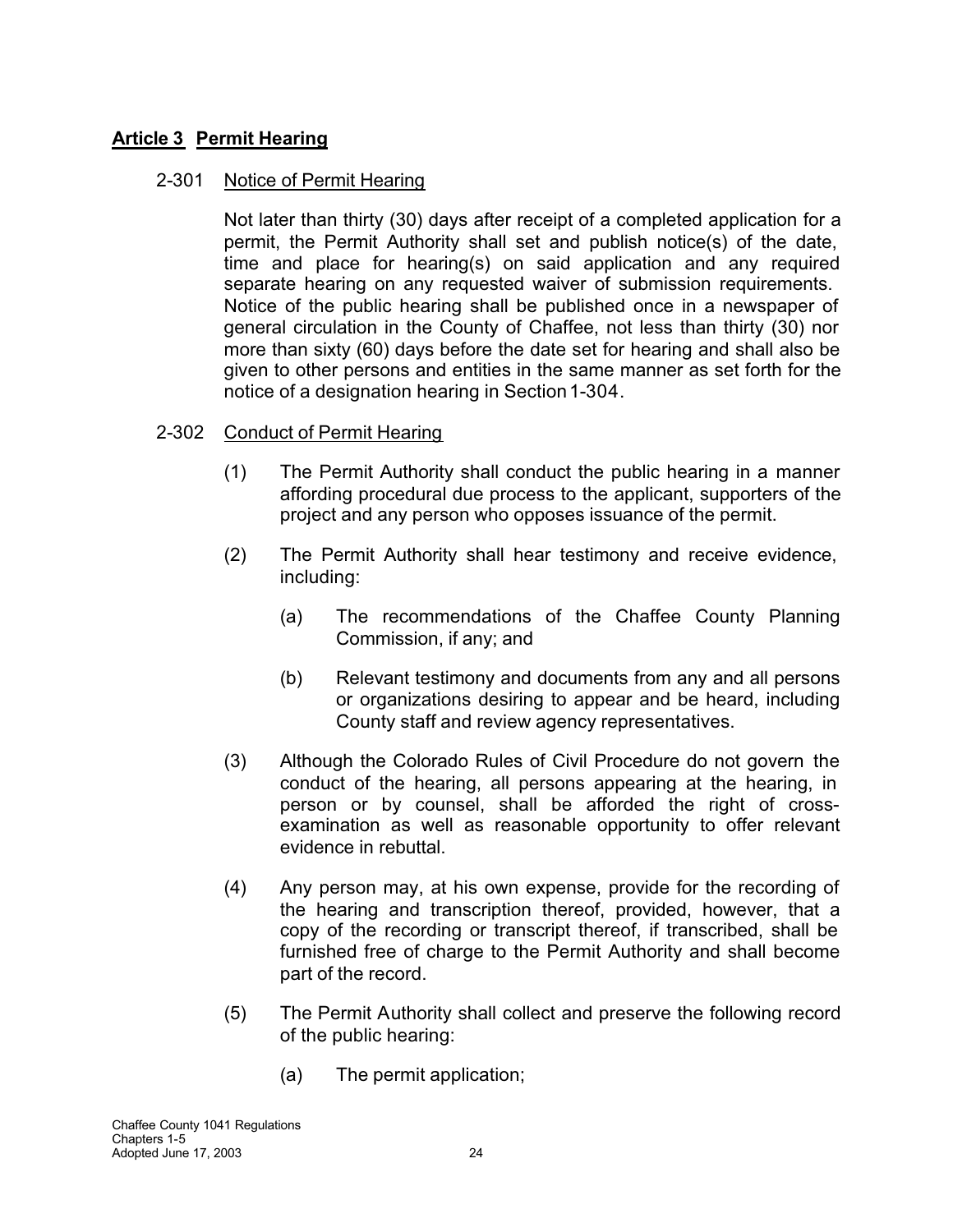## **Article 3 Permit Hearing**

### 2-301 Notice of Permit Hearing

Not later than thirty (30) days after receipt of a completed application for a permit, the Permit Authority shall set and publish notice(s) of the date, time and place for hearing(s) on said application and any required separate hearing on any requested waiver of submission requirements. Notice of the public hearing shall be published once in a newspaper of general circulation in the County of Chaffee, not less than thirty (30) nor more than sixty (60) days before the date set for hearing and shall also be given to other persons and entities in the same manner as set forth for the notice of a designation hearing in Section 1-304.

## 2-302 Conduct of Permit Hearing

- (1) The Permit Authority shall conduct the public hearing in a manner affording procedural due process to the applicant, supporters of the project and any person who opposes issuance of the permit.
- (2) The Permit Authority shall hear testimony and receive evidence, including:
	- (a) The recommendations of the Chaffee County Planning Commission, if any; and
	- (b) Relevant testimony and documents from any and all persons or organizations desiring to appear and be heard, including County staff and review agency representatives.
- (3) Although the Colorado Rules of Civil Procedure do not govern the conduct of the hearing, all persons appearing at the hearing, in person or by counsel, shall be afforded the right of crossexamination as well as reasonable opportunity to offer relevant evidence in rebuttal.
- (4) Any person may, at his own expense, provide for the recording of the hearing and transcription thereof, provided, however, that a copy of the recording or transcript thereof, if transcribed, shall be furnished free of charge to the Permit Authority and shall become part of the record.
- (5) The Permit Authority shall collect and preserve the following record of the public hearing:
	- (a) The permit application;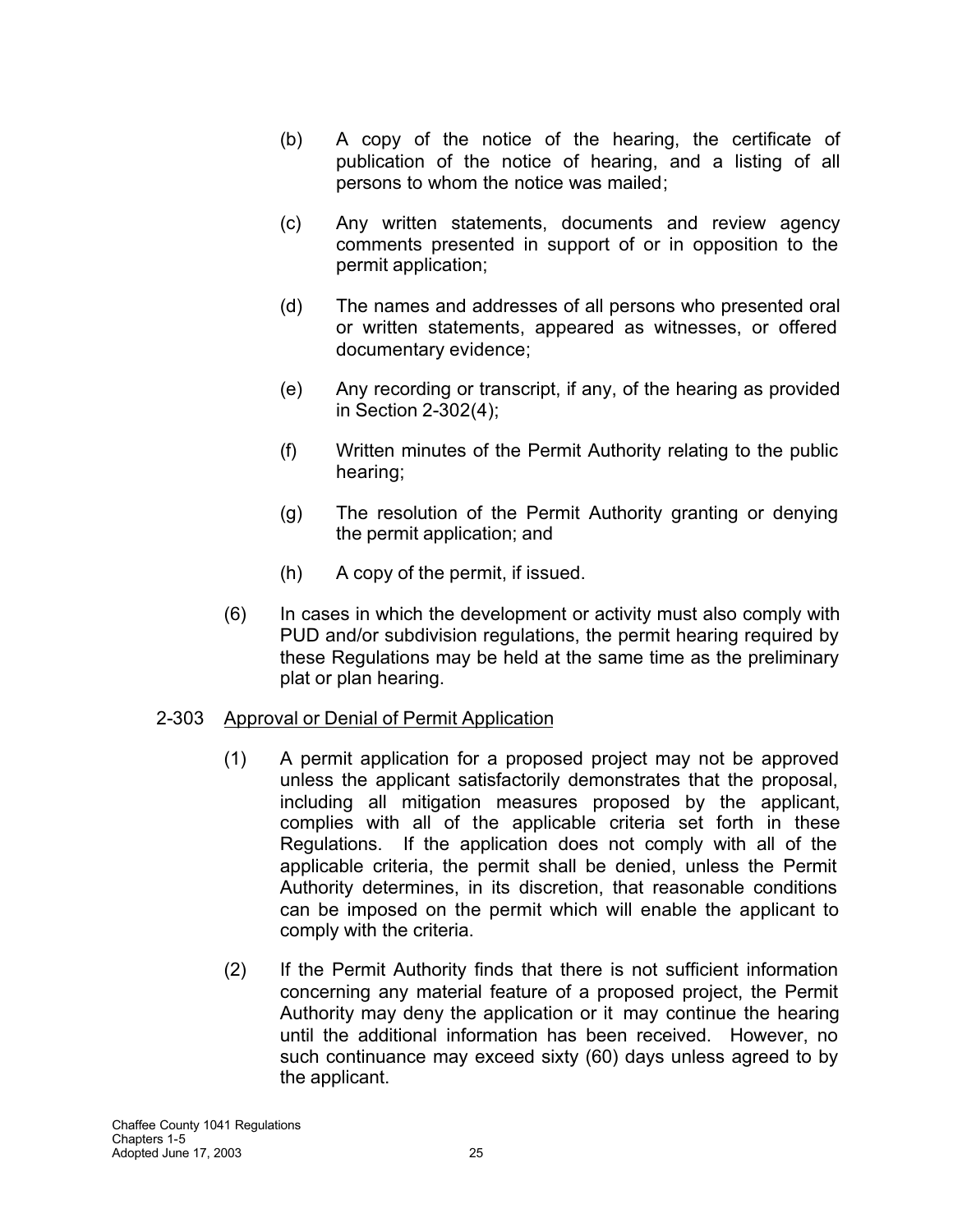- (b) A copy of the notice of the hearing, the certificate of publication of the notice of hearing, and a listing of all persons to whom the notice was mailed;
- (c) Any written statements, documents and review agency comments presented in support of or in opposition to the permit application;
- (d) The names and addresses of all persons who presented oral or written statements, appeared as witnesses, or offered documentary evidence;
- (e) Any recording or transcript, if any, of the hearing as provided in Section 2-302(4);
- (f) Written minutes of the Permit Authority relating to the public hearing;
- (g) The resolution of the Permit Authority granting or denying the permit application; and
- (h) A copy of the permit, if issued.
- (6) In cases in which the development or activity must also comply with PUD and/or subdivision regulations, the permit hearing required by these Regulations may be held at the same time as the preliminary plat or plan hearing.

### 2-303 Approval or Denial of Permit Application

- (1) A permit application for a proposed project may not be approved unless the applicant satisfactorily demonstrates that the proposal, including all mitigation measures proposed by the applicant, complies with all of the applicable criteria set forth in these Regulations. If the application does not comply with all of the applicable criteria, the permit shall be denied, unless the Permit Authority determines, in its discretion, that reasonable conditions can be imposed on the permit which will enable the applicant to comply with the criteria.
- (2) If the Permit Authority finds that there is not sufficient information concerning any material feature of a proposed project, the Permit Authority may deny the application or it may continue the hearing until the additional information has been received. However, no such continuance may exceed sixty (60) days unless agreed to by the applicant.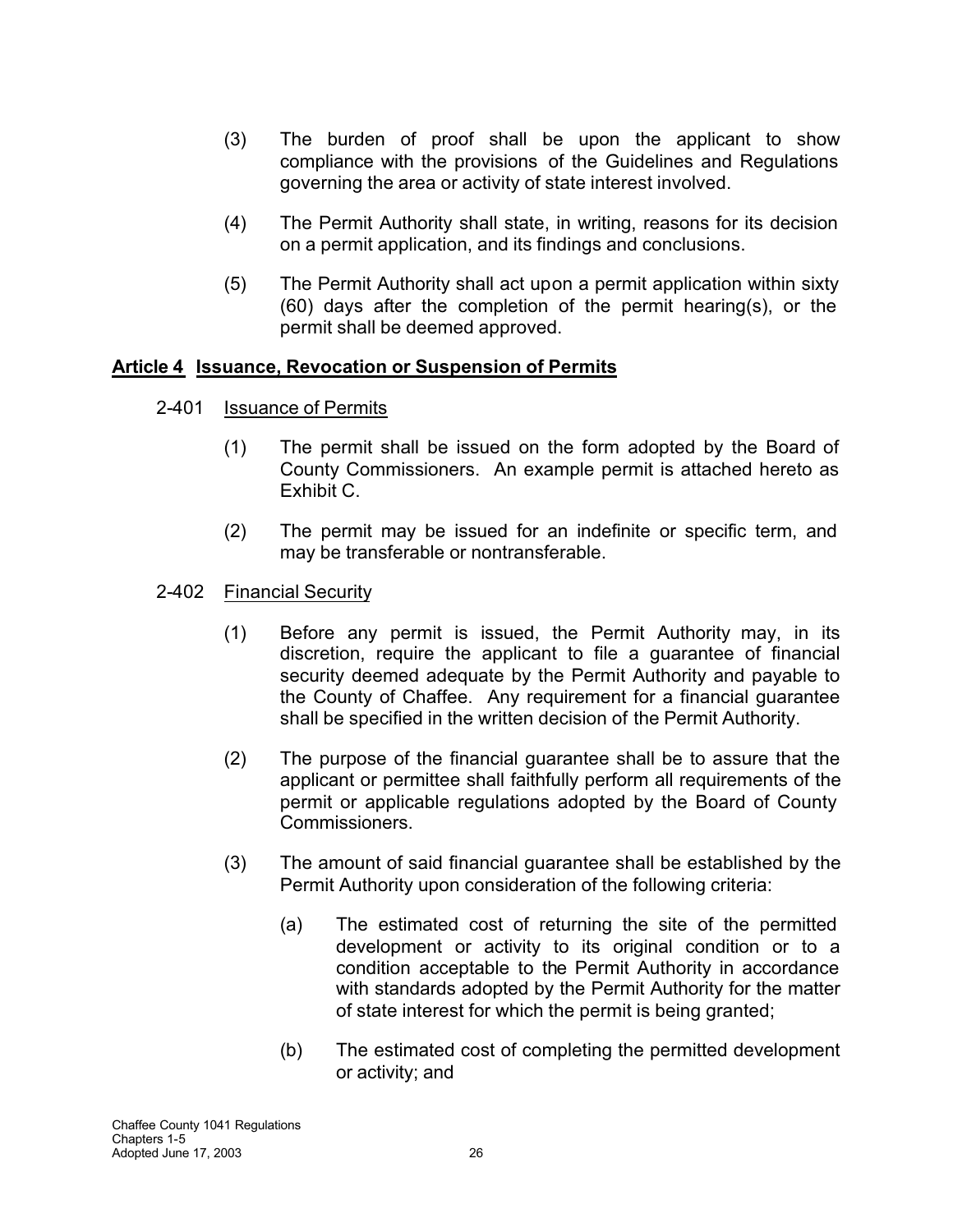- (3) The burden of proof shall be upon the applicant to show compliance with the provisions of the Guidelines and Regulations governing the area or activity of state interest involved.
- (4) The Permit Authority shall state, in writing, reasons for its decision on a permit application, and its findings and conclusions.
- (5) The Permit Authority shall act upon a permit application within sixty (60) days after the completion of the permit hearing(s), or the permit shall be deemed approved.

## **Article 4 Issuance, Revocation or Suspension of Permits**

- 2-401 Issuance of Permits
	- (1) The permit shall be issued on the form adopted by the Board of County Commissioners. An example permit is attached hereto as Exhibit C.
	- (2) The permit may be issued for an indefinite or specific term, and may be transferable or nontransferable.
- 2-402 Financial Security
	- (1) Before any permit is issued, the Permit Authority may, in its discretion, require the applicant to file a guarantee of financial security deemed adequate by the Permit Authority and payable to the County of Chaffee. Any requirement for a financial guarantee shall be specified in the written decision of the Permit Authority.
	- (2) The purpose of the financial guarantee shall be to assure that the applicant or permittee shall faithfully perform all requirements of the permit or applicable regulations adopted by the Board of County Commissioners.
	- (3) The amount of said financial guarantee shall be established by the Permit Authority upon consideration of the following criteria:
		- (a) The estimated cost of returning the site of the permitted development or activity to its original condition or to a condition acceptable to the Permit Authority in accordance with standards adopted by the Permit Authority for the matter of state interest for which the permit is being granted;
		- (b) The estimated cost of completing the permitted development or activity; and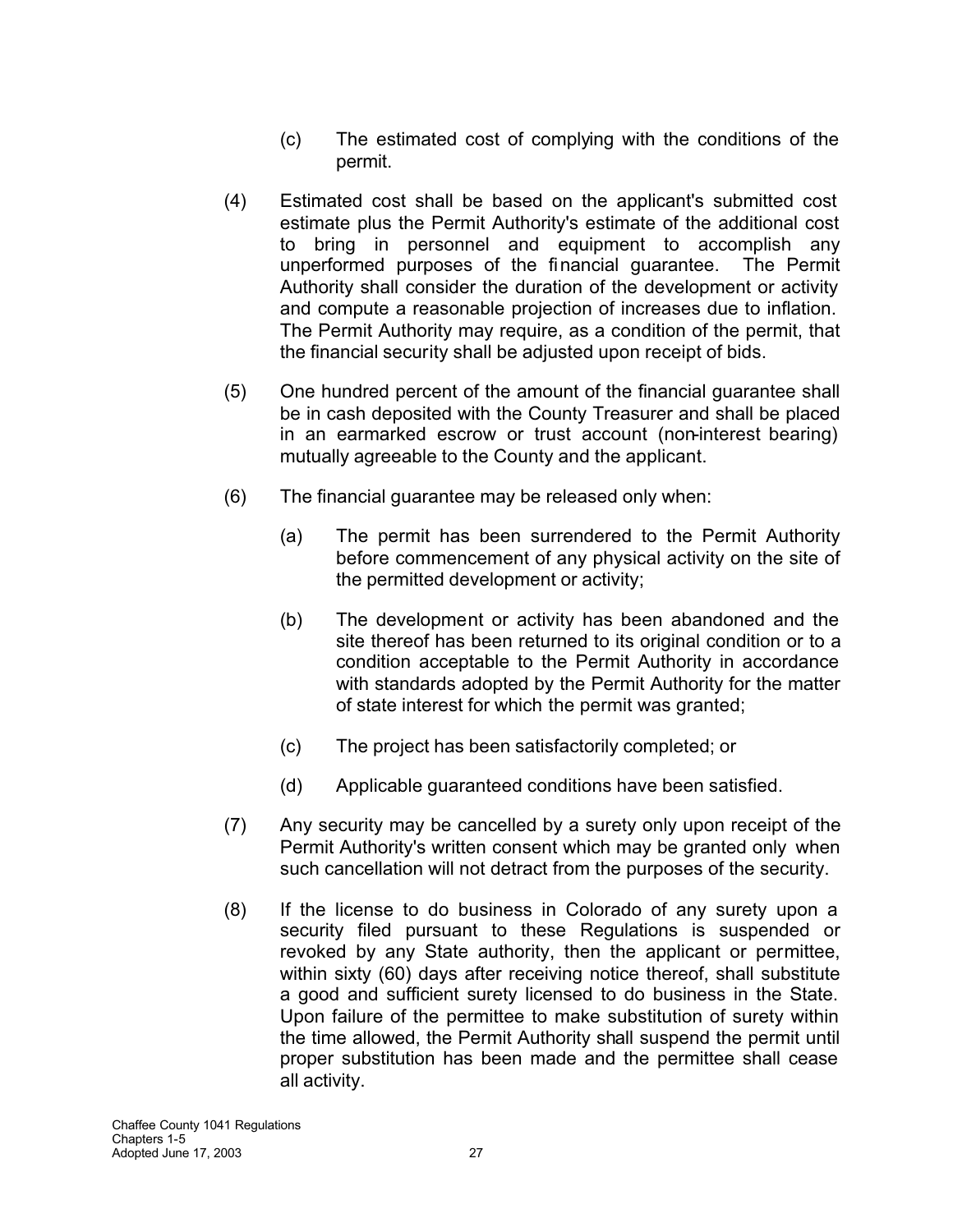- (c) The estimated cost of complying with the conditions of the permit.
- (4) Estimated cost shall be based on the applicant's submitted cost estimate plus the Permit Authority's estimate of the additional cost to bring in personnel and equipment to accomplish any unperformed purposes of the financial guarantee. The Permit Authority shall consider the duration of the development or activity and compute a reasonable projection of increases due to inflation. The Permit Authority may require, as a condition of the permit, that the financial security shall be adjusted upon receipt of bids.
- (5) One hundred percent of the amount of the financial guarantee shall be in cash deposited with the County Treasurer and shall be placed in an earmarked escrow or trust account (non-interest bearing) mutually agreeable to the County and the applicant.
- (6) The financial guarantee may be released only when:
	- (a) The permit has been surrendered to the Permit Authority before commencement of any physical activity on the site of the permitted development or activity;
	- (b) The development or activity has been abandoned and the site thereof has been returned to its original condition or to a condition acceptable to the Permit Authority in accordance with standards adopted by the Permit Authority for the matter of state interest for which the permit was granted;
	- (c) The project has been satisfactorily completed; or
	- (d) Applicable guaranteed conditions have been satisfied.
- (7) Any security may be cancelled by a surety only upon receipt of the Permit Authority's written consent which may be granted only when such cancellation will not detract from the purposes of the security.
- (8) If the license to do business in Colorado of any surety upon a security filed pursuant to these Regulations is suspended or revoked by any State authority, then the applicant or permittee, within sixty (60) days after receiving notice thereof, shall substitute a good and sufficient surety licensed to do business in the State. Upon failure of the permittee to make substitution of surety within the time allowed, the Permit Authority shall suspend the permit until proper substitution has been made and the permittee shall cease all activity.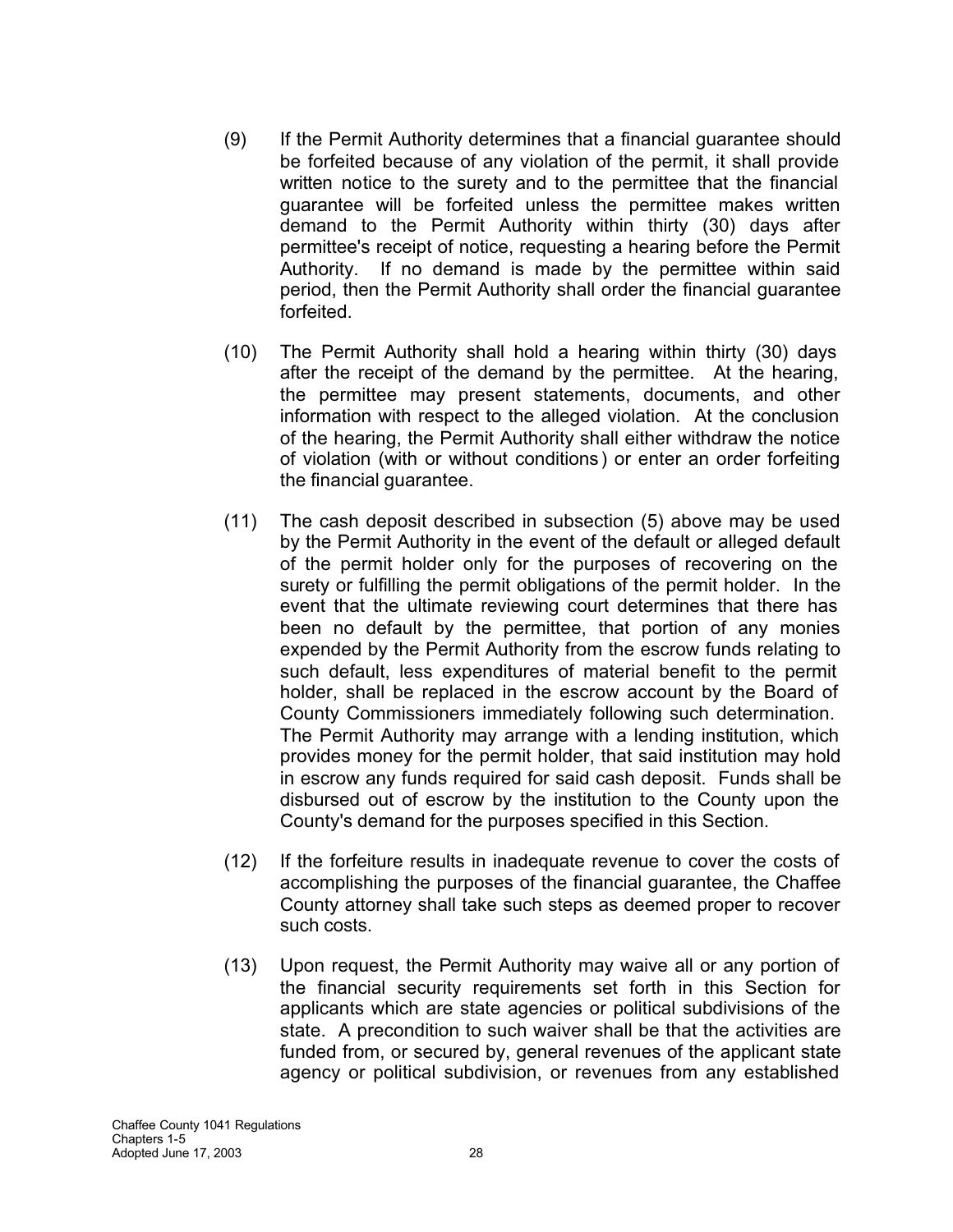- (9) If the Permit Authority determines that a financial guarantee should be forfeited because of any violation of the permit, it shall provide written notice to the surety and to the permittee that the financial guarantee will be forfeited unless the permittee makes written demand to the Permit Authority within thirty (30) days after permittee's receipt of notice, requesting a hearing before the Permit Authority. If no demand is made by the permittee within said period, then the Permit Authority shall order the financial guarantee forfeited.
- (10) The Permit Authority shall hold a hearing within thirty (30) days after the receipt of the demand by the permittee. At the hearing, the permittee may present statements, documents, and other information with respect to the alleged violation. At the conclusion of the hearing, the Permit Authority shall either withdraw the notice of violation (with or without conditions) or enter an order forfeiting the financial guarantee.
- (11) The cash deposit described in subsection (5) above may be used by the Permit Authority in the event of the default or alleged default of the permit holder only for the purposes of recovering on the surety or fulfilling the permit obligations of the permit holder. In the event that the ultimate reviewing court determines that there has been no default by the permittee, that portion of any monies expended by the Permit Authority from the escrow funds relating to such default, less expenditures of material benefit to the permit holder, shall be replaced in the escrow account by the Board of County Commissioners immediately following such determination. The Permit Authority may arrange with a lending institution, which provides money for the permit holder, that said institution may hold in escrow any funds required for said cash deposit. Funds shall be disbursed out of escrow by the institution to the County upon the County's demand for the purposes specified in this Section.
- (12) If the forfeiture results in inadequate revenue to cover the costs of accomplishing the purposes of the financial guarantee, the Chaffee County attorney shall take such steps as deemed proper to recover such costs.
- (13) Upon request, the Permit Authority may waive all or any portion of the financial security requirements set forth in this Section for applicants which are state agencies or political subdivisions of the state. A precondition to such waiver shall be that the activities are funded from, or secured by, general revenues of the applicant state agency or political subdivision, or revenues from any established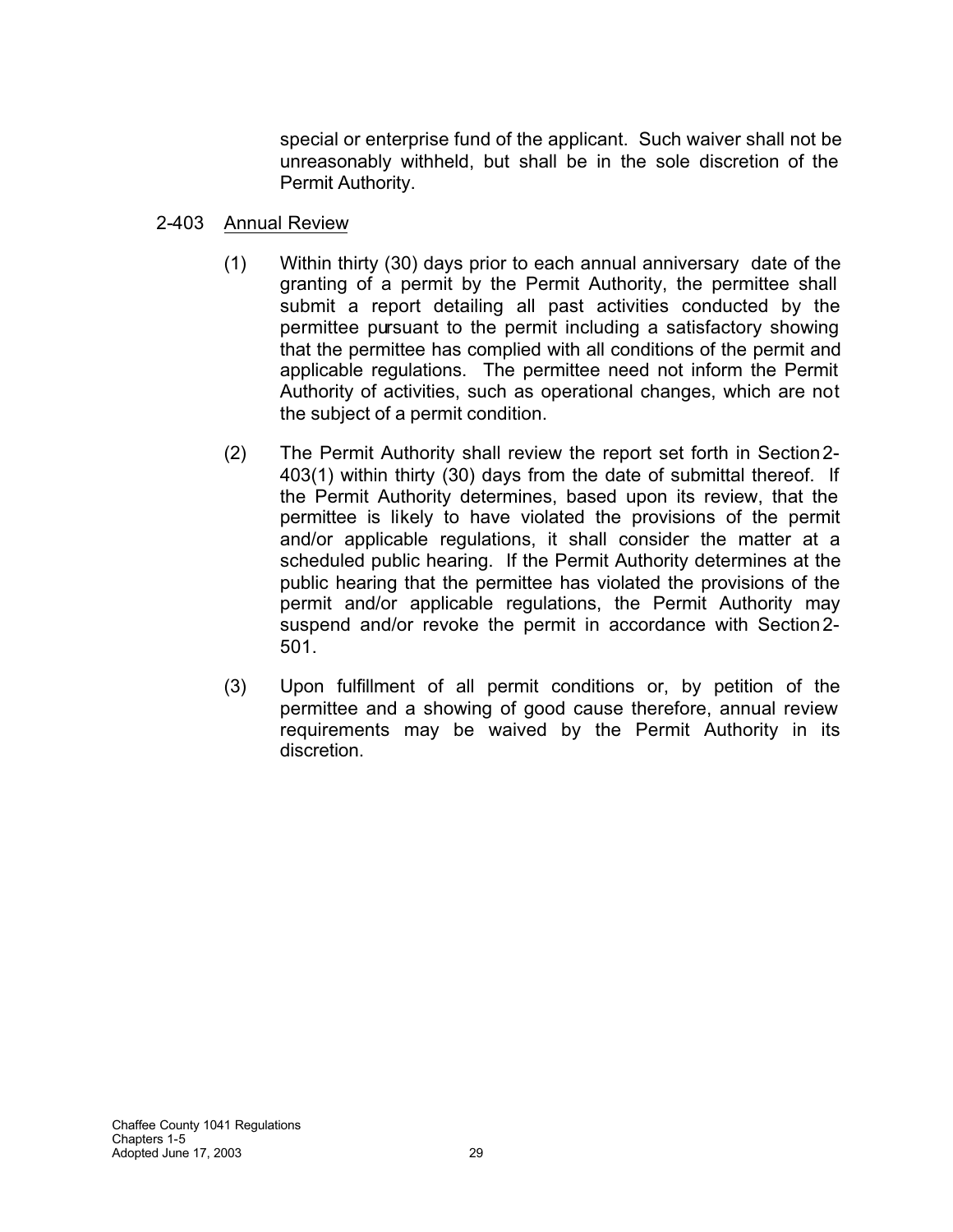special or enterprise fund of the applicant. Such waiver shall not be unreasonably withheld, but shall be in the sole discretion of the Permit Authority.

### 2-403 Annual Review

- (1) Within thirty (30) days prior to each annual anniversary date of the granting of a permit by the Permit Authority, the permittee shall submit a report detailing all past activities conducted by the permittee pursuant to the permit including a satisfactory showing that the permittee has complied with all conditions of the permit and applicable regulations. The permittee need not inform the Permit Authority of activities, such as operational changes, which are not the subject of a permit condition.
- (2) The Permit Authority shall review the report set forth in Section2- 403(1) within thirty (30) days from the date of submittal thereof. If the Permit Authority determines, based upon its review, that the permittee is likely to have violated the provisions of the permit and/or applicable regulations, it shall consider the matter at a scheduled public hearing. If the Permit Authority determines at the public hearing that the permittee has violated the provisions of the permit and/or applicable regulations, the Permit Authority may suspend and/or revoke the permit in accordance with Section2- 501.
- (3) Upon fulfillment of all permit conditions or, by petition of the permittee and a showing of good cause therefore, annual review requirements may be waived by the Permit Authority in its discretion.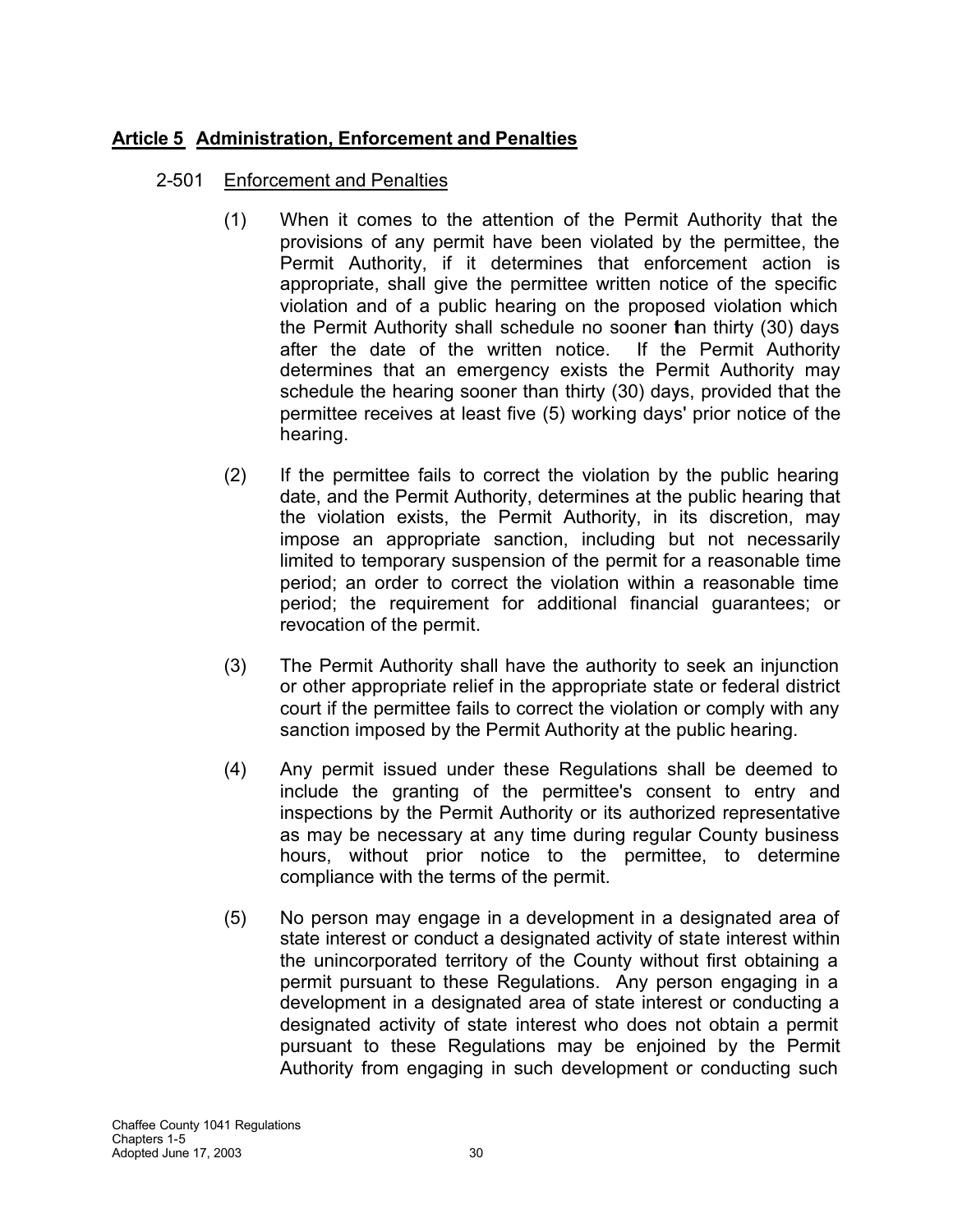## **Article 5 Administration, Enforcement and Penalties**

- 2-501 Enforcement and Penalties
	- (1) When it comes to the attention of the Permit Authority that the provisions of any permit have been violated by the permittee, the Permit Authority, if it determines that enforcement action is appropriate, shall give the permittee written notice of the specific violation and of a public hearing on the proposed violation which the Permit Authority shall schedule no sooner than thirty (30) days after the date of the written notice. If the Permit Authority determines that an emergency exists the Permit Authority may schedule the hearing sooner than thirty (30) days, provided that the permittee receives at least five (5) working days' prior notice of the hearing.
	- (2) If the permittee fails to correct the violation by the public hearing date, and the Permit Authority, determines at the public hearing that the violation exists, the Permit Authority, in its discretion, may impose an appropriate sanction, including but not necessarily limited to temporary suspension of the permit for a reasonable time period; an order to correct the violation within a reasonable time period; the requirement for additional financial guarantees; or revocation of the permit.
	- (3) The Permit Authority shall have the authority to seek an injunction or other appropriate relief in the appropriate state or federal district court if the permittee fails to correct the violation or comply with any sanction imposed by the Permit Authority at the public hearing.
	- (4) Any permit issued under these Regulations shall be deemed to include the granting of the permittee's consent to entry and inspections by the Permit Authority or its authorized representative as may be necessary at any time during regular County business hours, without prior notice to the permittee, to determine compliance with the terms of the permit.
	- (5) No person may engage in a development in a designated area of state interest or conduct a designated activity of state interest within the unincorporated territory of the County without first obtaining a permit pursuant to these Regulations. Any person engaging in a development in a designated area of state interest or conducting a designated activity of state interest who does not obtain a permit pursuant to these Regulations may be enjoined by the Permit Authority from engaging in such development or conducting such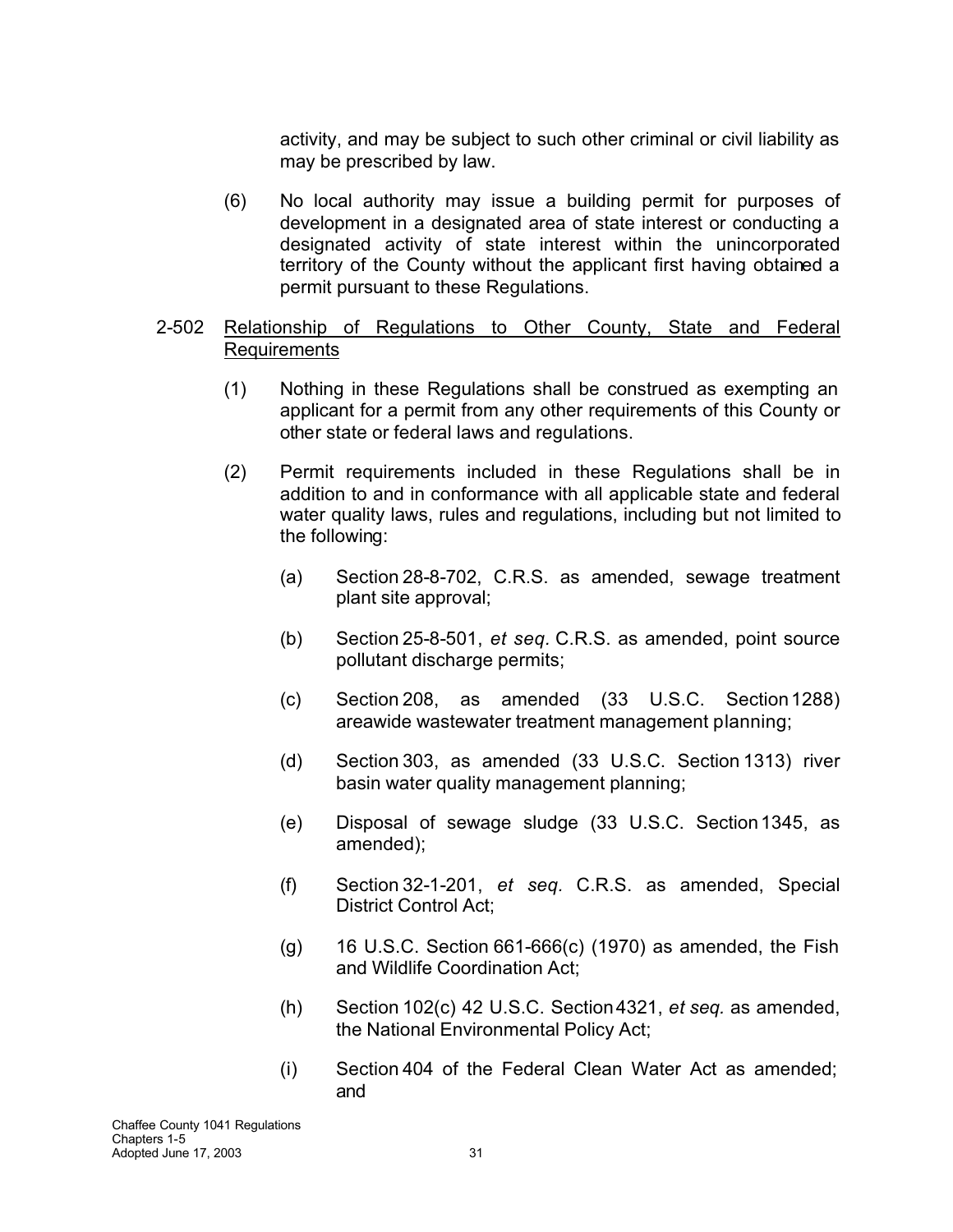activity, and may be subject to such other criminal or civil liability as may be prescribed by law.

(6) No local authority may issue a building permit for purposes of development in a designated area of state interest or conducting a designated activity of state interest within the unincorporated territory of the County without the applicant first having obtained a permit pursuant to these Regulations.

### 2-502 Relationship of Regulations to Other County, State and Federal Requirements

- (1) Nothing in these Regulations shall be construed as exempting an applicant for a permit from any other requirements of this County or other state or federal laws and regulations.
- (2) Permit requirements included in these Regulations shall be in addition to and in conformance with all applicable state and federal water quality laws, rules and regulations, including but not limited to the following:
	- (a) Section 28-8-702, C.R.S. as amended, sewage treatment plant site approval;
	- (b) Section 25-8-501, *et seq.* C.R.S. as amended, point source pollutant discharge permits;
	- (c) Section 208, as amended (33 U.S.C. Section1288) areawide wastewater treatment management planning;
	- (d) Section 303, as amended (33 U.S.C. Section 1313) river basin water quality management planning;
	- (e) Disposal of sewage sludge (33 U.S.C. Section1345, as amended);
	- (f) Section 32-1-201, *et seq.* C.R.S. as amended, Special District Control Act;
	- $(g)$  16 U.S.C. Section 661-666 $(c)$  (1970) as amended, the Fish and Wildlife Coordination Act;
	- (h) Section 102(c) 42 U.S.C. Section4321, *et seq.* as amended, the National Environmental Policy Act;
	- (i) Section 404 of the Federal Clean Water Act as amended; and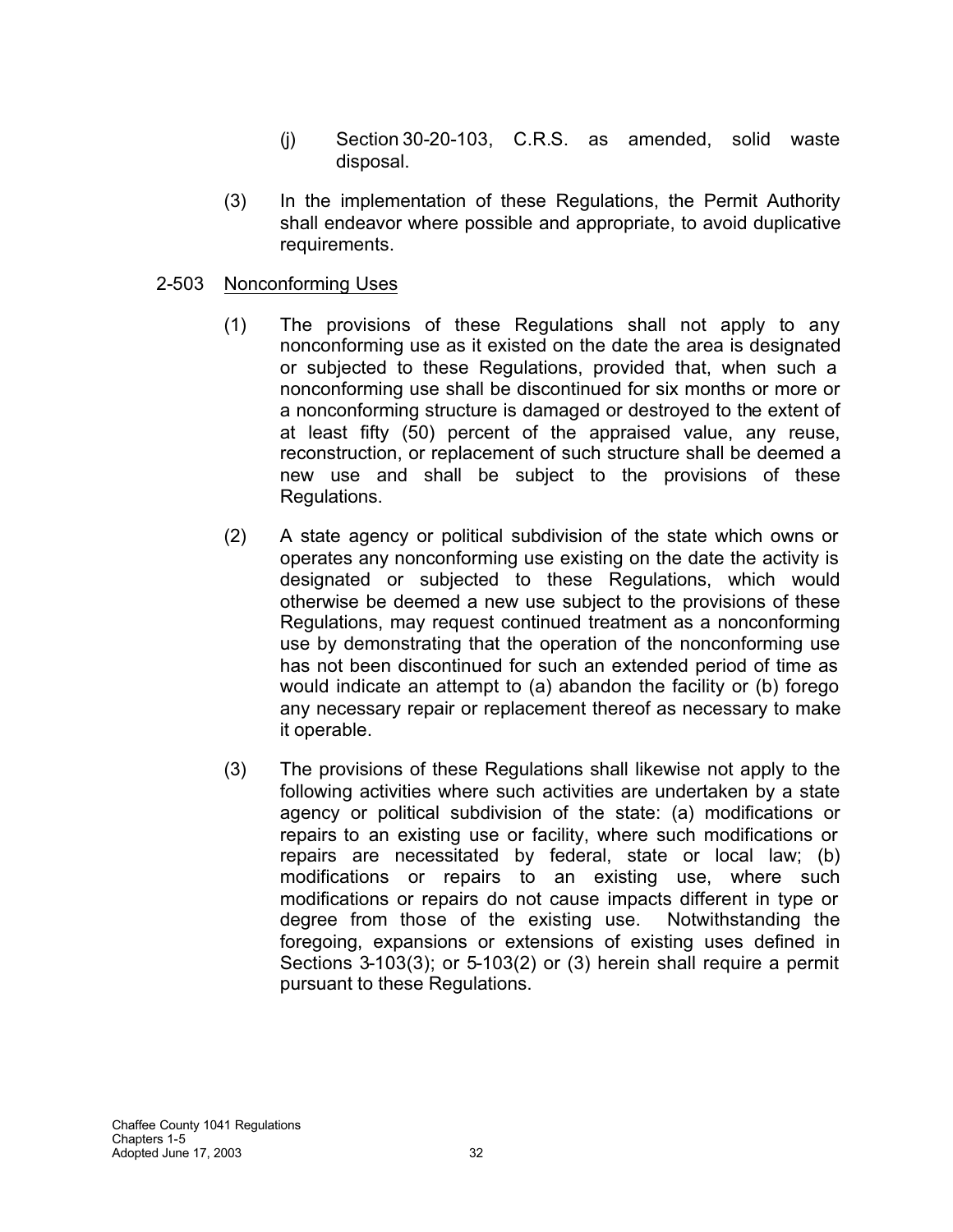- (j) Section 30-20-103, C.R.S. as amended, solid waste disposal.
- (3) In the implementation of these Regulations, the Permit Authority shall endeavor where possible and appropriate, to avoid duplicative requirements.

### 2-503 Nonconforming Uses

- (1) The provisions of these Regulations shall not apply to any nonconforming use as it existed on the date the area is designated or subjected to these Regulations, provided that, when such a nonconforming use shall be discontinued for six months or more or a nonconforming structure is damaged or destroyed to the extent of at least fifty (50) percent of the appraised value, any reuse, reconstruction, or replacement of such structure shall be deemed a new use and shall be subject to the provisions of these Regulations.
- (2) A state agency or political subdivision of the state which owns or operates any nonconforming use existing on the date the activity is designated or subjected to these Regulations, which would otherwise be deemed a new use subject to the provisions of these Regulations, may request continued treatment as a nonconforming use by demonstrating that the operation of the nonconforming use has not been discontinued for such an extended period of time as would indicate an attempt to (a) abandon the facility or (b) forego any necessary repair or replacement thereof as necessary to make it operable.
- (3) The provisions of these Regulations shall likewise not apply to the following activities where such activities are undertaken by a state agency or political subdivision of the state: (a) modifications or repairs to an existing use or facility, where such modifications or repairs are necessitated by federal, state or local law; (b) modifications or repairs to an existing use, where such modifications or repairs do not cause impacts different in type or degree from those of the existing use. Notwithstanding the foregoing, expansions or extensions of existing uses defined in Sections 3-103(3); or 5-103(2) or (3) herein shall require a permit pursuant to these Regulations.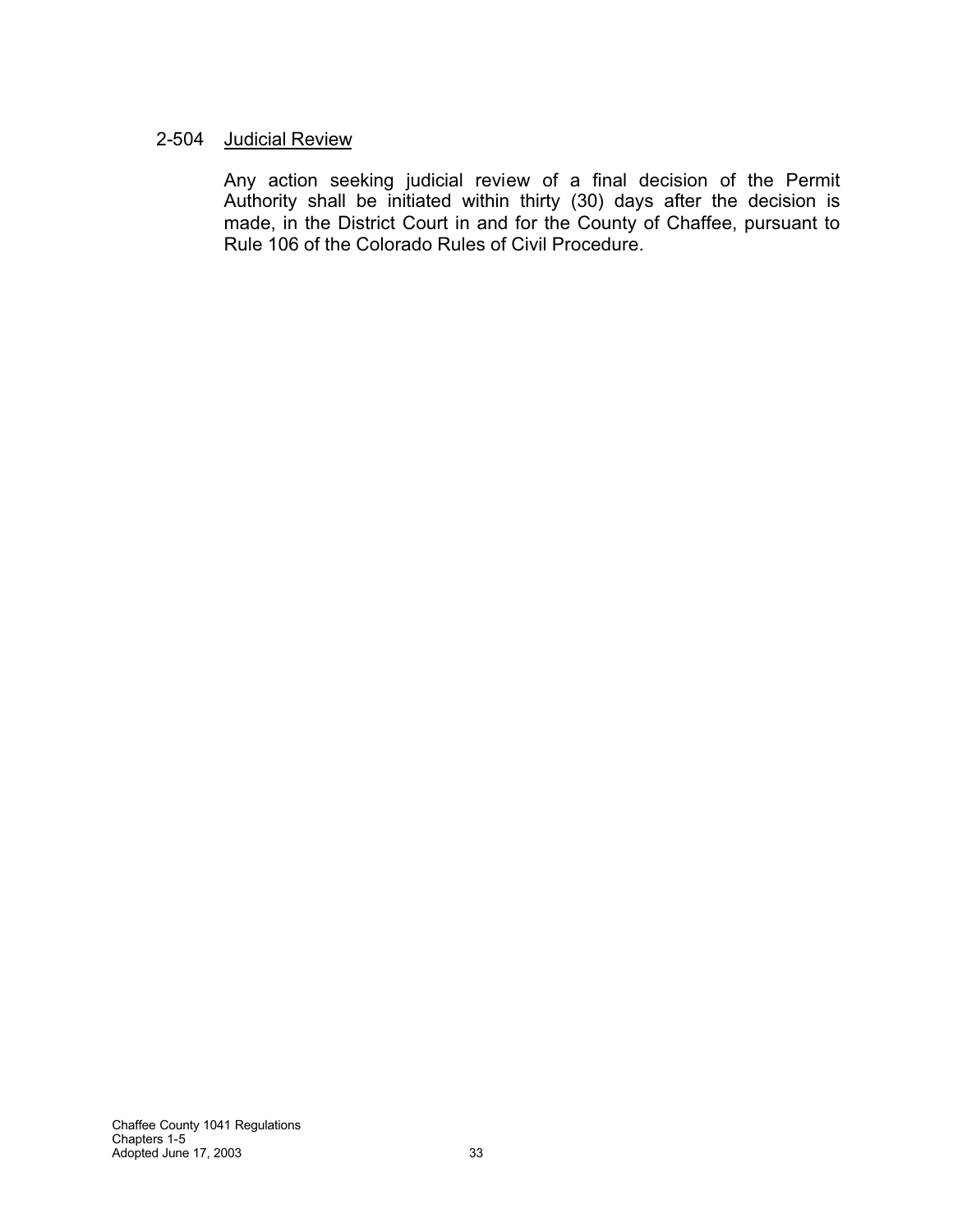### 2-504 Judicial Review

Any action seeking judicial review of a final decision of the Permit Authority shall be initiated within thirty (30) days after the decision is made, in the District Court in and for the County of Chaffee, pursuant to Rule 106 of the Colorado Rules of Civil Procedure.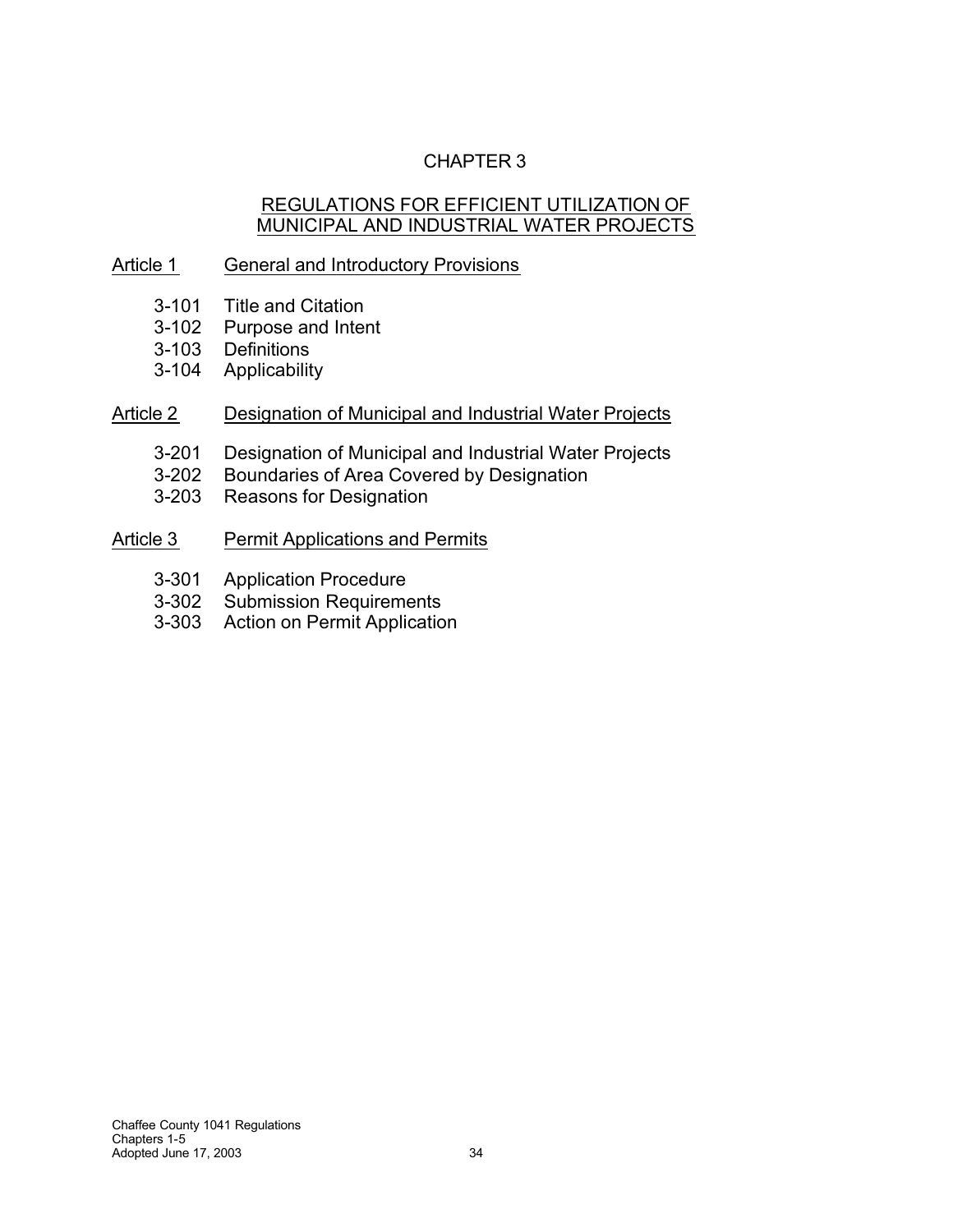# CHAPTER 3

### REGULATIONS FOR EFFICIENT UTILIZATION OF MUNICIPAL AND INDUSTRIAL WATER PROJECTS

## Article 1 General and Introductory Provisions

- 3-101 Title and Citation
- 3-102 Purpose and Intent
- 3-103 Definitions
- 3-104 Applicability

## Article 2 Designation of Municipal and Industrial Water Projects

- 3-201 Designation of Municipal and Industrial Water Projects
- 3-202 Boundaries of Area Covered by Designation
- 3-203 Reasons for Designation
- Article 3 Permit Applications and Permits
	- 3-301 Application Procedure
	- 3-302 Submission Requirements
	- 3-303 Action on Permit Application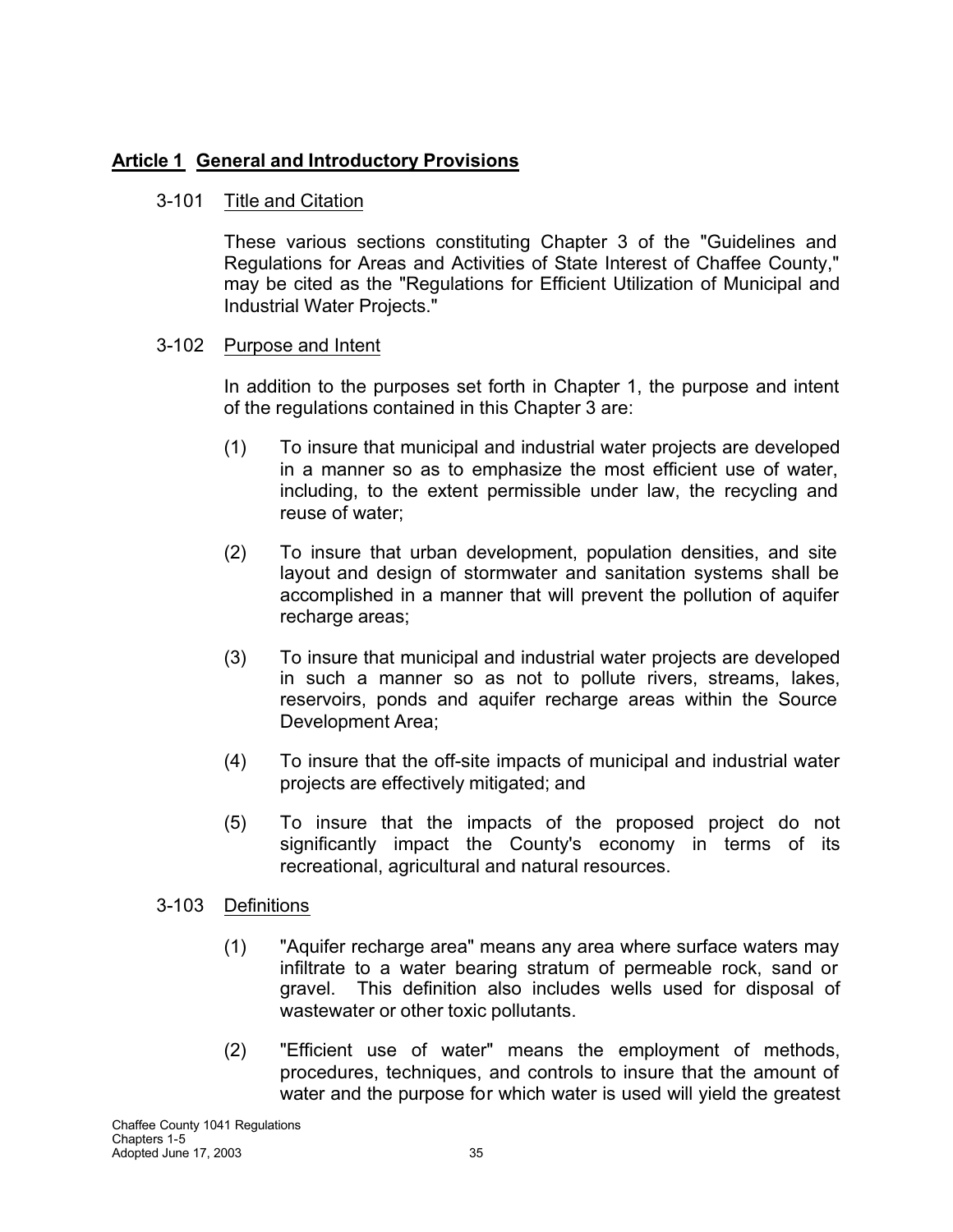# **Article 1 General and Introductory Provisions**

## 3-101 Title and Citation

These various sections constituting Chapter 3 of the "Guidelines and Regulations for Areas and Activities of State Interest of Chaffee County," may be cited as the "Regulations for Efficient Utilization of Municipal and Industrial Water Projects."

## 3-102 Purpose and Intent

In addition to the purposes set forth in Chapter 1, the purpose and intent of the regulations contained in this Chapter 3 are:

- (1) To insure that municipal and industrial water projects are developed in a manner so as to emphasize the most efficient use of water, including, to the extent permissible under law, the recycling and reuse of water;
- (2) To insure that urban development, population densities, and site layout and design of stormwater and sanitation systems shall be accomplished in a manner that will prevent the pollution of aquifer recharge areas;
- (3) To insure that municipal and industrial water projects are developed in such a manner so as not to pollute rivers, streams, lakes, reservoirs, ponds and aquifer recharge areas within the Source Development Area;
- (4) To insure that the off-site impacts of municipal and industrial water projects are effectively mitigated; and
- (5) To insure that the impacts of the proposed project do not significantly impact the County's economy in terms of its recreational, agricultural and natural resources.
- 3-103 Definitions
	- (1) "Aquifer recharge area" means any area where surface waters may infiltrate to a water bearing stratum of permeable rock, sand or gravel. This definition also includes wells used for disposal of wastewater or other toxic pollutants.
	- (2) "Efficient use of water" means the employment of methods, procedures, techniques, and controls to insure that the amount of water and the purpose for which water is used will yield the greatest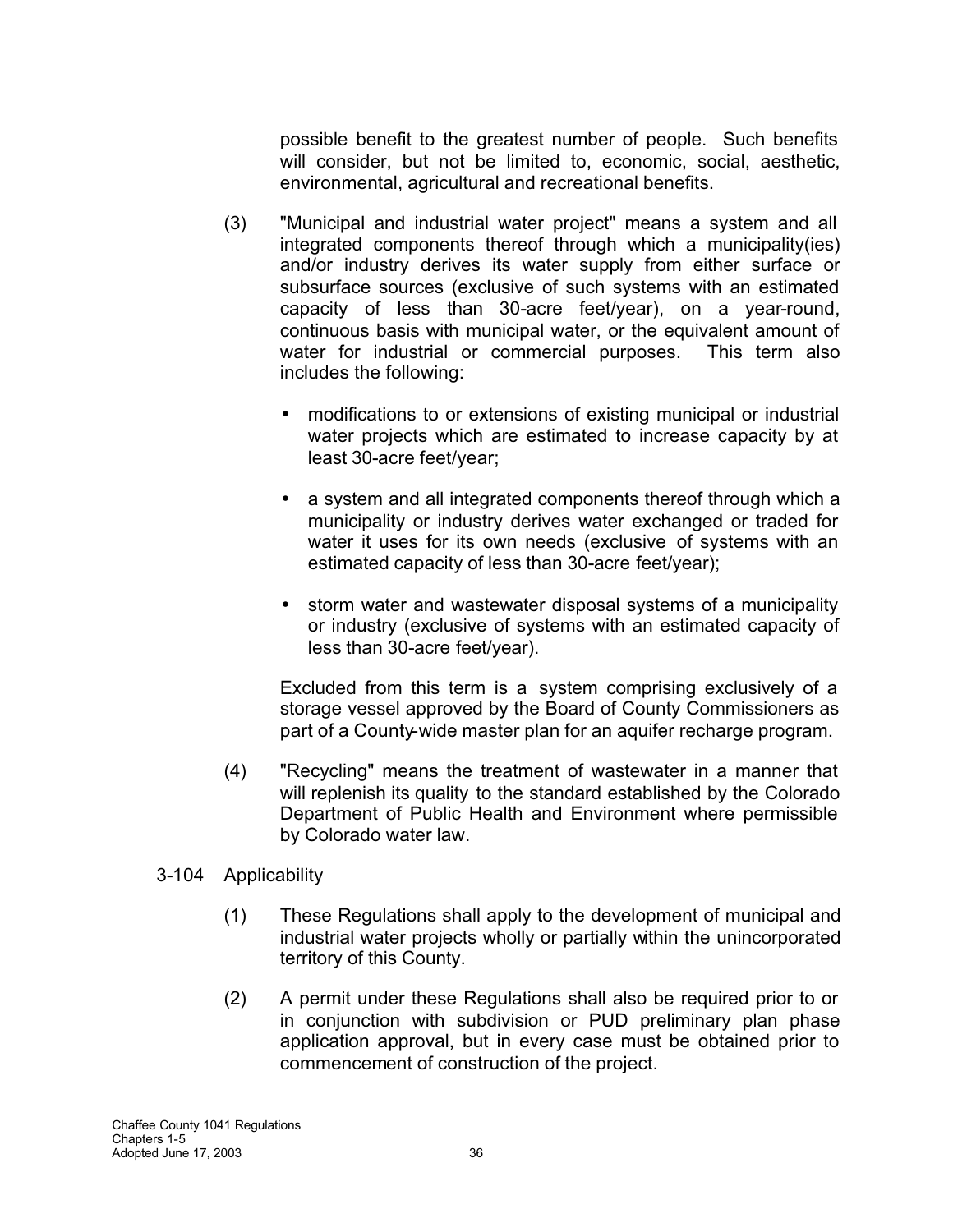possible benefit to the greatest number of people. Such benefits will consider, but not be limited to, economic, social, aesthetic, environmental, agricultural and recreational benefits.

- (3) "Municipal and industrial water project" means a system and all integrated components thereof through which a municipality(ies) and/or industry derives its water supply from either surface or subsurface sources (exclusive of such systems with an estimated capacity of less than 30-acre feet/year), on a year-round, continuous basis with municipal water, or the equivalent amount of water for industrial or commercial purposes. This term also includes the following:
	- modifications to or extensions of existing municipal or industrial water projects which are estimated to increase capacity by at least 30-acre feet/year;
	- a system and all integrated components thereof through which a municipality or industry derives water exchanged or traded for water it uses for its own needs (exclusive of systems with an estimated capacity of less than 30-acre feet/year);
	- storm water and wastewater disposal systems of a municipality or industry (exclusive of systems with an estimated capacity of less than 30-acre feet/year).

Excluded from this term is a system comprising exclusively of a storage vessel approved by the Board of County Commissioners as part of a County-wide master plan for an aquifer recharge program.

(4) "Recycling" means the treatment of wastewater in a manner that will replenish its quality to the standard established by the Colorado Department of Public Health and Environment where permissible by Colorado water law.

# 3-104 Applicability

- (1) These Regulations shall apply to the development of municipal and industrial water projects wholly or partially within the unincorporated territory of this County.
- (2) A permit under these Regulations shall also be required prior to or in conjunction with subdivision or PUD preliminary plan phase application approval, but in every case must be obtained prior to commencement of construction of the project.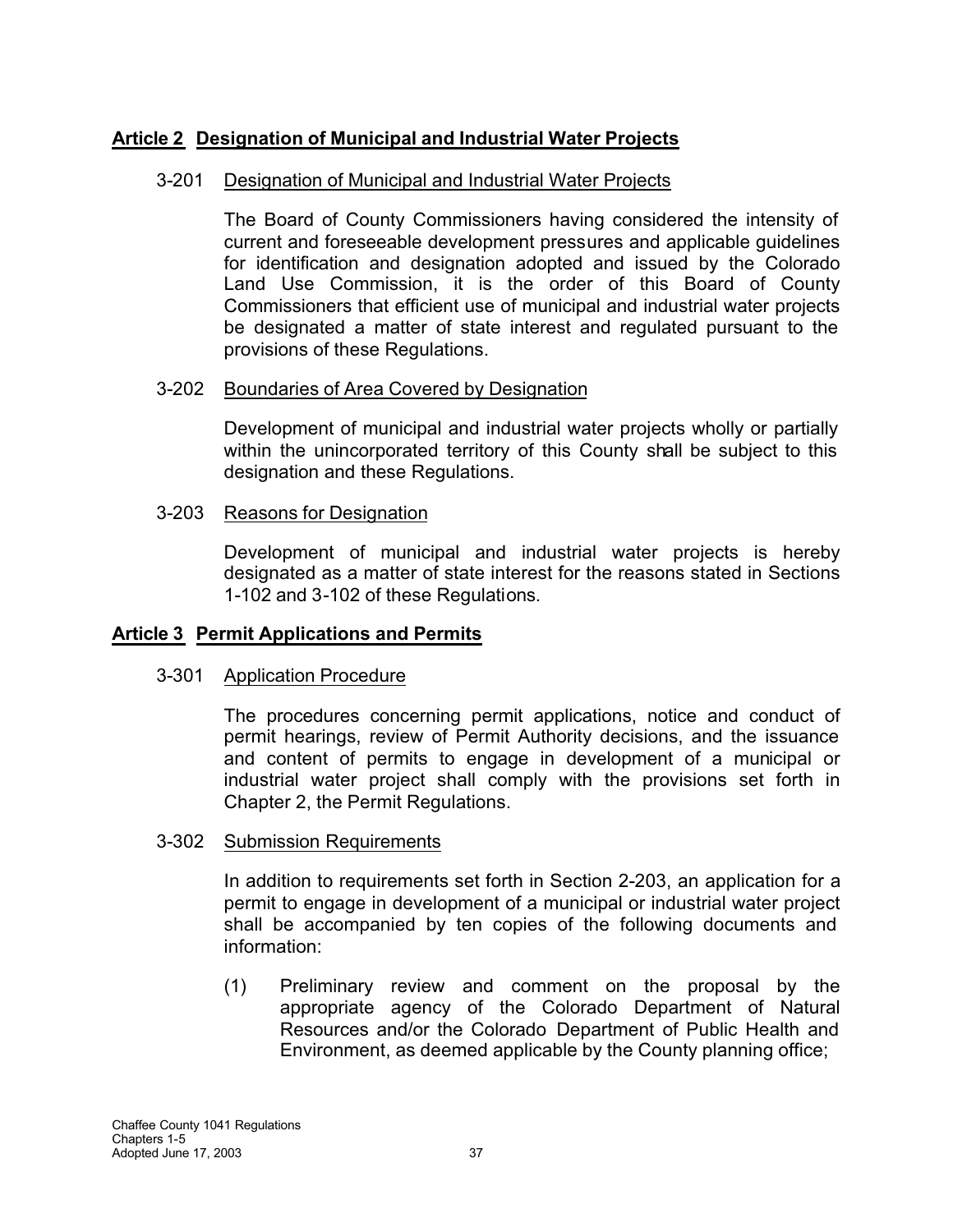# **Article 2 Designation of Municipal and Industrial Water Projects**

## 3-201 Designation of Municipal and Industrial Water Projects

The Board of County Commissioners having considered the intensity of current and foreseeable development pressures and applicable guidelines for identification and designation adopted and issued by the Colorado Land Use Commission, it is the order of this Board of County Commissioners that efficient use of municipal and industrial water projects be designated a matter of state interest and regulated pursuant to the provisions of these Regulations.

## 3-202 Boundaries of Area Covered by Designation

Development of municipal and industrial water projects wholly or partially within the unincorporated territory of this County shall be subject to this designation and these Regulations.

## 3-203 Reasons for Designation

Development of municipal and industrial water projects is hereby designated as a matter of state interest for the reasons stated in Sections 1-102 and 3-102 of these Regulations.

# **Article 3 Permit Applications and Permits**

# 3-301 Application Procedure

The procedures concerning permit applications, notice and conduct of permit hearings, review of Permit Authority decisions, and the issuance and content of permits to engage in development of a municipal or industrial water project shall comply with the provisions set forth in Chapter 2, the Permit Regulations.

### 3-302 Submission Requirements

In addition to requirements set forth in Section 2-203, an application for a permit to engage in development of a municipal or industrial water project shall be accompanied by ten copies of the following documents and information:

(1) Preliminary review and comment on the proposal by the appropriate agency of the Colorado Department of Natural Resources and/or the Colorado Department of Public Health and Environment, as deemed applicable by the County planning office;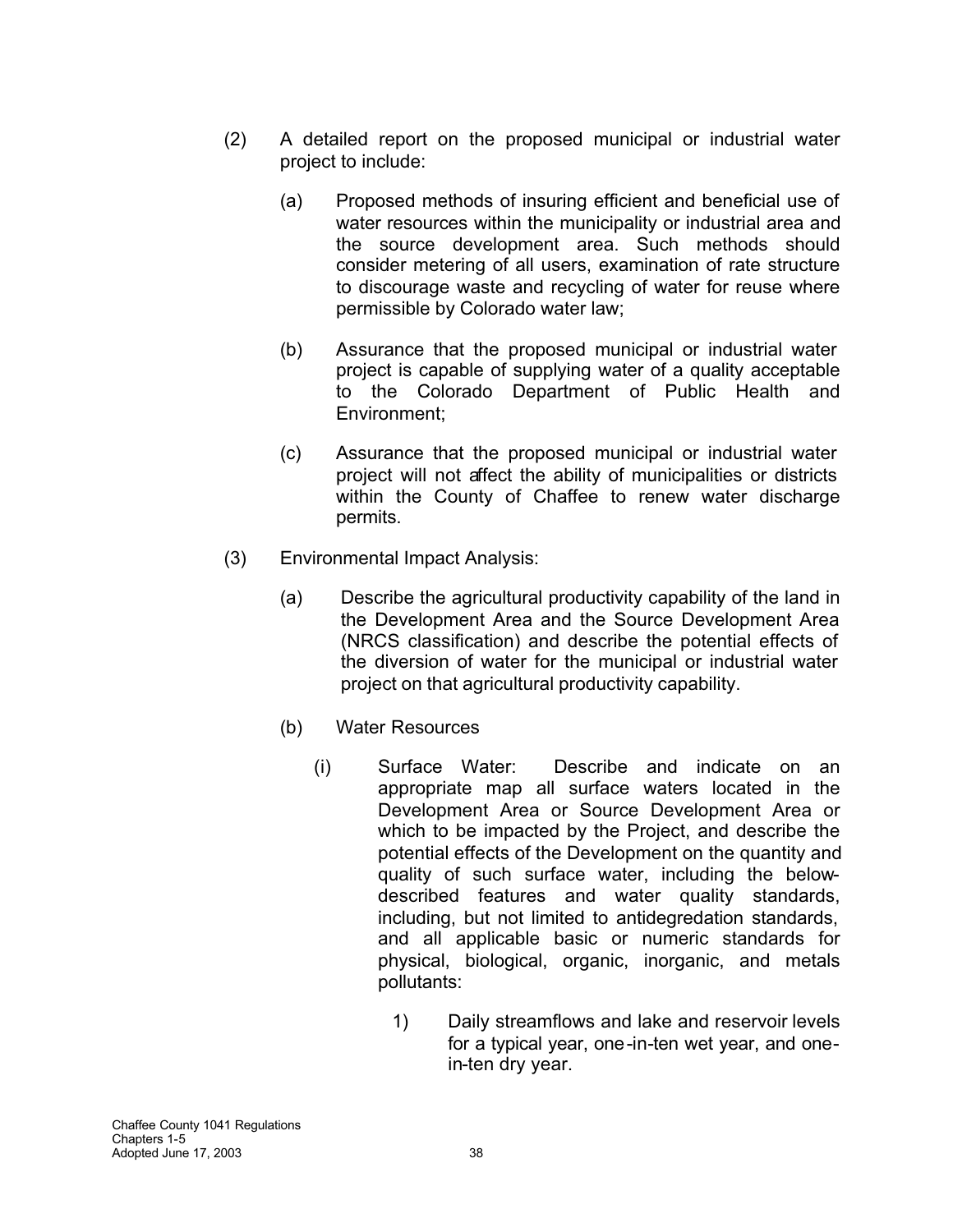- (2) A detailed report on the proposed municipal or industrial water project to include:
	- (a) Proposed methods of insuring efficient and beneficial use of water resources within the municipality or industrial area and the source development area. Such methods should consider metering of all users, examination of rate structure to discourage waste and recycling of water for reuse where permissible by Colorado water law;
	- (b) Assurance that the proposed municipal or industrial water project is capable of supplying water of a quality acceptable to the Colorado Department of Public Health and Environment;
	- (c) Assurance that the proposed municipal or industrial water project will not affect the ability of municipalities or districts within the County of Chaffee to renew water discharge permits.
- (3) Environmental Impact Analysis:
	- (a) Describe the agricultural productivity capability of the land in the Development Area and the Source Development Area (NRCS classification) and describe the potential effects of the diversion of water for the municipal or industrial water project on that agricultural productivity capability.
	- (b) Water Resources
		- (i) Surface Water: Describe and indicate on an appropriate map all surface waters located in the Development Area or Source Development Area or which to be impacted by the Project, and describe the potential effects of the Development on the quantity and quality of such surface water, including the belowdescribed features and water quality standards, including, but not limited to antidegredation standards, and all applicable basic or numeric standards for physical, biological, organic, inorganic, and metals pollutants:
			- 1) Daily streamflows and lake and reservoir levels for a typical year, one-in-ten wet year, and onein-ten dry year.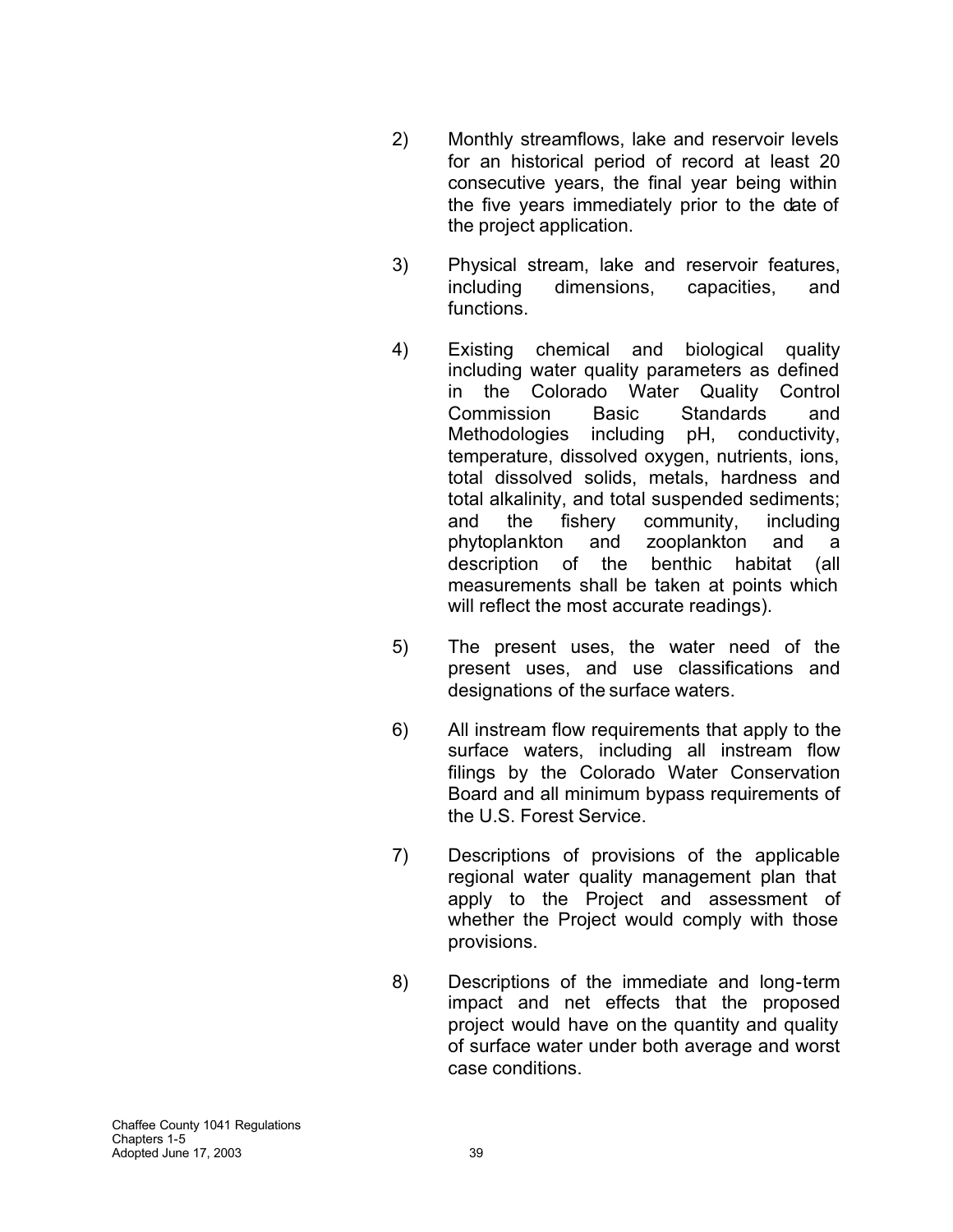- 2) Monthly streamflows, lake and reservoir levels for an historical period of record at least 20 consecutive years, the final year being within the five years immediately prior to the date of the project application.
- 3) Physical stream, lake and reservoir features, including dimensions, capacities, and functions.
- 4) Existing chemical and biological quality including water quality parameters as defined in the Colorado Water Quality Control Commission Basic Standards and Methodologies including pH, conductivity, temperature, dissolved oxygen, nutrients, ions, total dissolved solids, metals, hardness and total alkalinity, and total suspended sediments; and the fishery community, including phytoplankton and zooplankton and a description of the benthic habitat (all measurements shall be taken at points which will reflect the most accurate readings).
- 5) The present uses, the water need of the present uses, and use classifications and designations of the surface waters.
- 6) All instream flow requirements that apply to the surface waters, including all instream flow filings by the Colorado Water Conservation Board and all minimum bypass requirements of the U.S. Forest Service.
- 7) Descriptions of provisions of the applicable regional water quality management plan that apply to the Project and assessment of whether the Project would comply with those provisions.
- 8) Descriptions of the immediate and long-term impact and net effects that the proposed project would have on the quantity and quality of surface water under both average and worst case conditions.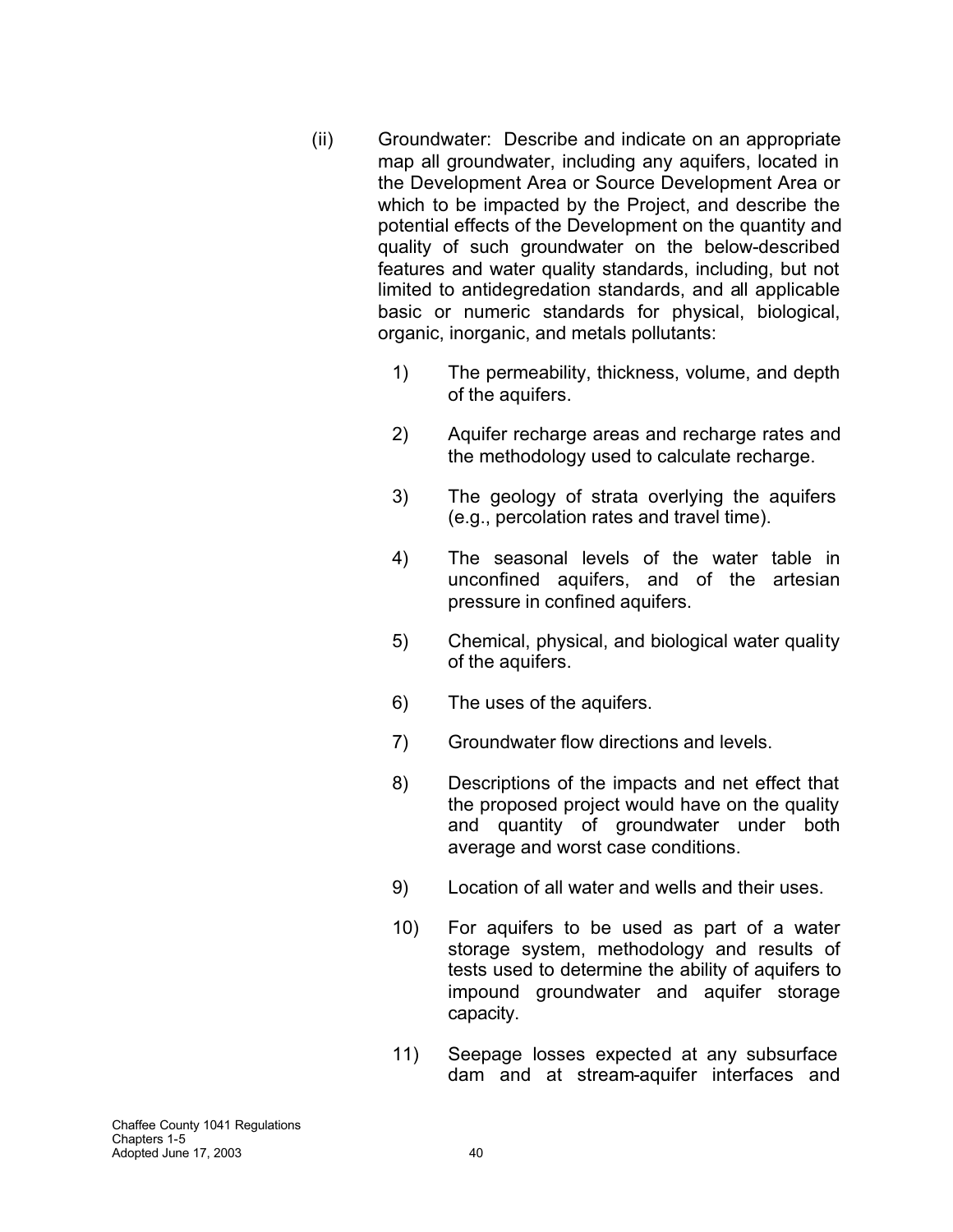- (ii) Groundwater: Describe and indicate on an appropriate map all groundwater, including any aquifers, located in the Development Area or Source Development Area or which to be impacted by the Project, and describe the potential effects of the Development on the quantity and quality of such groundwater on the below-described features and water quality standards, including, but not limited to antidegredation standards, and all applicable basic or numeric standards for physical, biological, organic, inorganic, and metals pollutants:
	- 1) The permeability, thickness, volume, and depth of the aquifers.
	- 2) Aquifer recharge areas and recharge rates and the methodology used to calculate recharge.
	- 3) The geology of strata overlying the aquifers (e.g., percolation rates and travel time).
	- 4) The seasonal levels of the water table in unconfined aquifers, and of the artesian pressure in confined aquifers.
	- 5) Chemical, physical, and biological water quality of the aquifers.
	- 6) The uses of the aquifers.
	- 7) Groundwater flow directions and levels.
	- 8) Descriptions of the impacts and net effect that the proposed project would have on the quality and quantity of groundwater under both average and worst case conditions.
	- 9) Location of all water and wells and their uses.
	- 10) For aquifers to be used as part of a water storage system, methodology and results of tests used to determine the ability of aquifers to impound groundwater and aquifer storage capacity.
	- 11) Seepage losses expected at any subsurface dam and at stream-aquifer interfaces and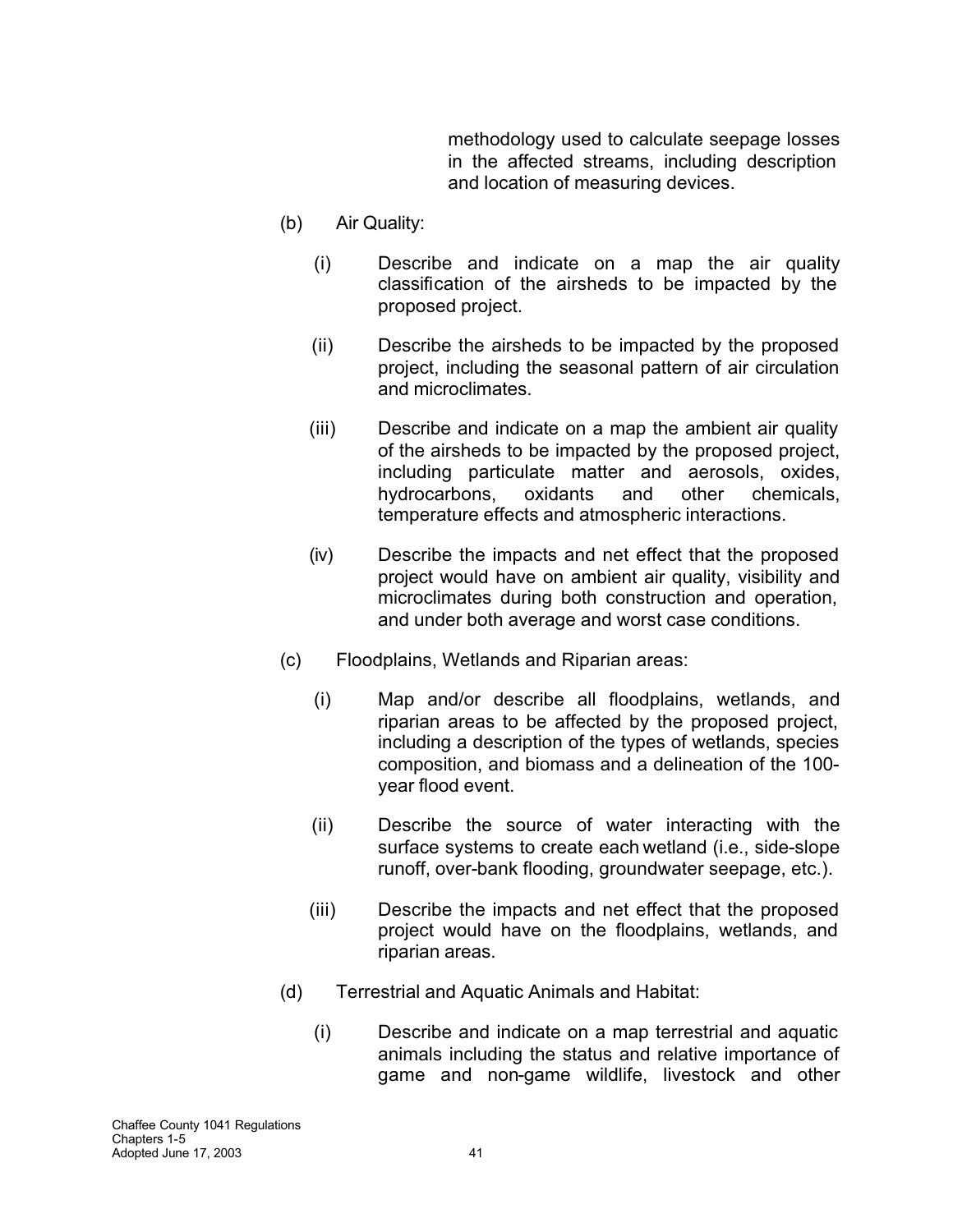methodology used to calculate seepage losses in the affected streams, including description and location of measuring devices.

- (b) Air Quality:
	- (i) Describe and indicate on a map the air quality classification of the airsheds to be impacted by the proposed project.
	- (ii) Describe the airsheds to be impacted by the proposed project, including the seasonal pattern of air circulation and microclimates.
	- (iii) Describe and indicate on a map the ambient air quality of the airsheds to be impacted by the proposed project, including particulate matter and aerosols, oxides, hydrocarbons, oxidants and other chemicals, temperature effects and atmospheric interactions.
	- (iv) Describe the impacts and net effect that the proposed project would have on ambient air quality, visibility and microclimates during both construction and operation, and under both average and worst case conditions.
- (c) Floodplains, Wetlands and Riparian areas:
	- (i) Map and/or describe all floodplains, wetlands, and riparian areas to be affected by the proposed project, including a description of the types of wetlands, species composition, and biomass and a delineation of the 100 year flood event.
	- (ii) Describe the source of water interacting with the surface systems to create each wetland (i.e., side-slope runoff, over-bank flooding, groundwater seepage, etc.).
	- (iii) Describe the impacts and net effect that the proposed project would have on the floodplains, wetlands, and riparian areas.
- (d) Terrestrial and Aquatic Animals and Habitat:
	- (i) Describe and indicate on a map terrestrial and aquatic animals including the status and relative importance of game and non-game wildlife, livestock and other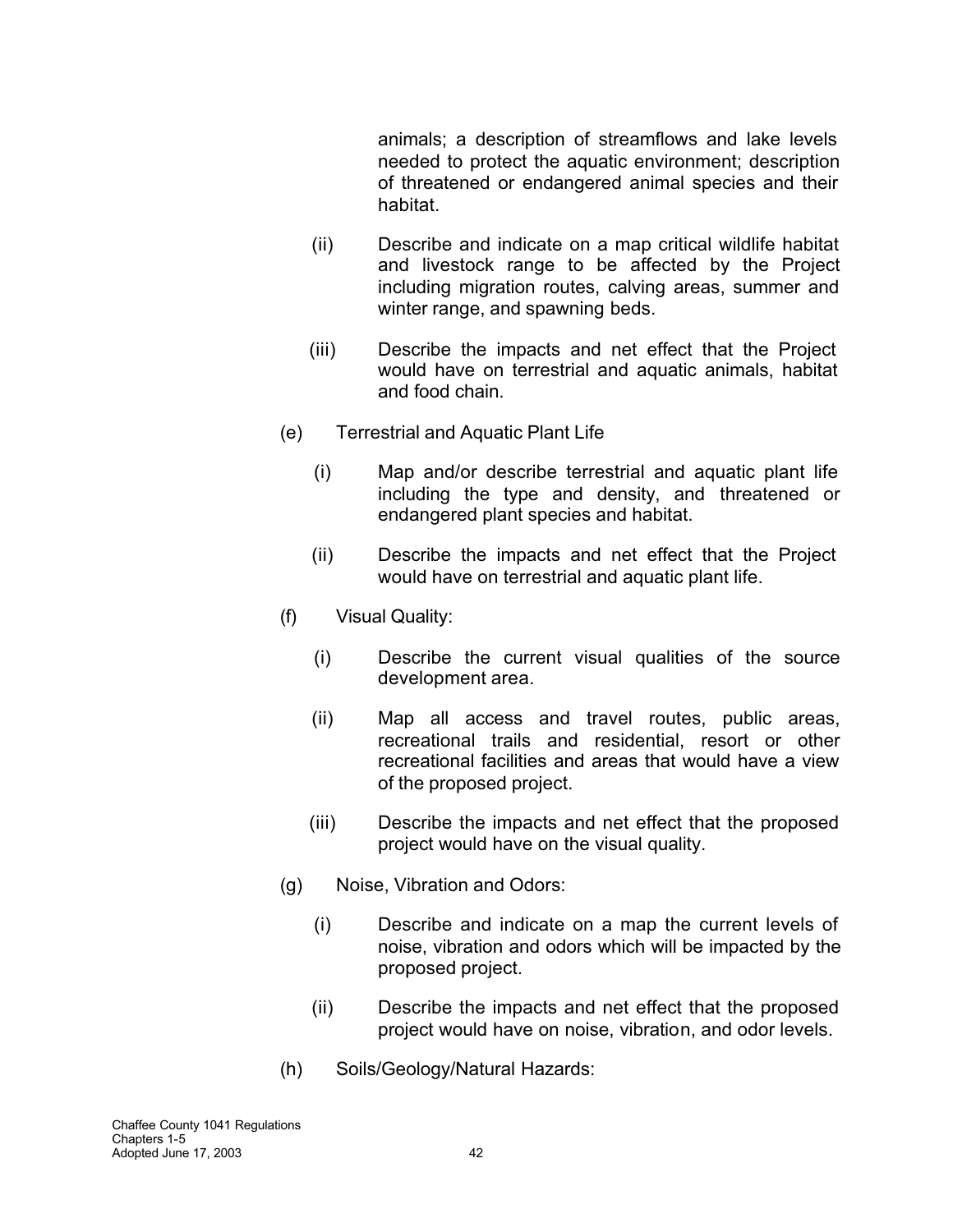animals; a description of streamflows and lake levels needed to protect the aquatic environment; description of threatened or endangered animal species and their habitat.

- (ii) Describe and indicate on a map critical wildlife habitat and livestock range to be affected by the Project including migration routes, calving areas, summer and winter range, and spawning beds.
- (iii) Describe the impacts and net effect that the Project would have on terrestrial and aquatic animals, habitat and food chain.
- (e) Terrestrial and Aquatic Plant Life
	- (i) Map and/or describe terrestrial and aquatic plant life including the type and density, and threatened or endangered plant species and habitat.
	- (ii) Describe the impacts and net effect that the Project would have on terrestrial and aquatic plant life.
- (f) Visual Quality:
	- (i) Describe the current visual qualities of the source development area.
	- (ii) Map all access and travel routes, public areas, recreational trails and residential, resort or other recreational facilities and areas that would have a view of the proposed project.
	- (iii) Describe the impacts and net effect that the proposed project would have on the visual quality.
- (g) Noise, Vibration and Odors:
	- (i) Describe and indicate on a map the current levels of noise, vibration and odors which will be impacted by the proposed project.
	- (ii) Describe the impacts and net effect that the proposed project would have on noise, vibration, and odor levels.
- (h) Soils/Geology/Natural Hazards: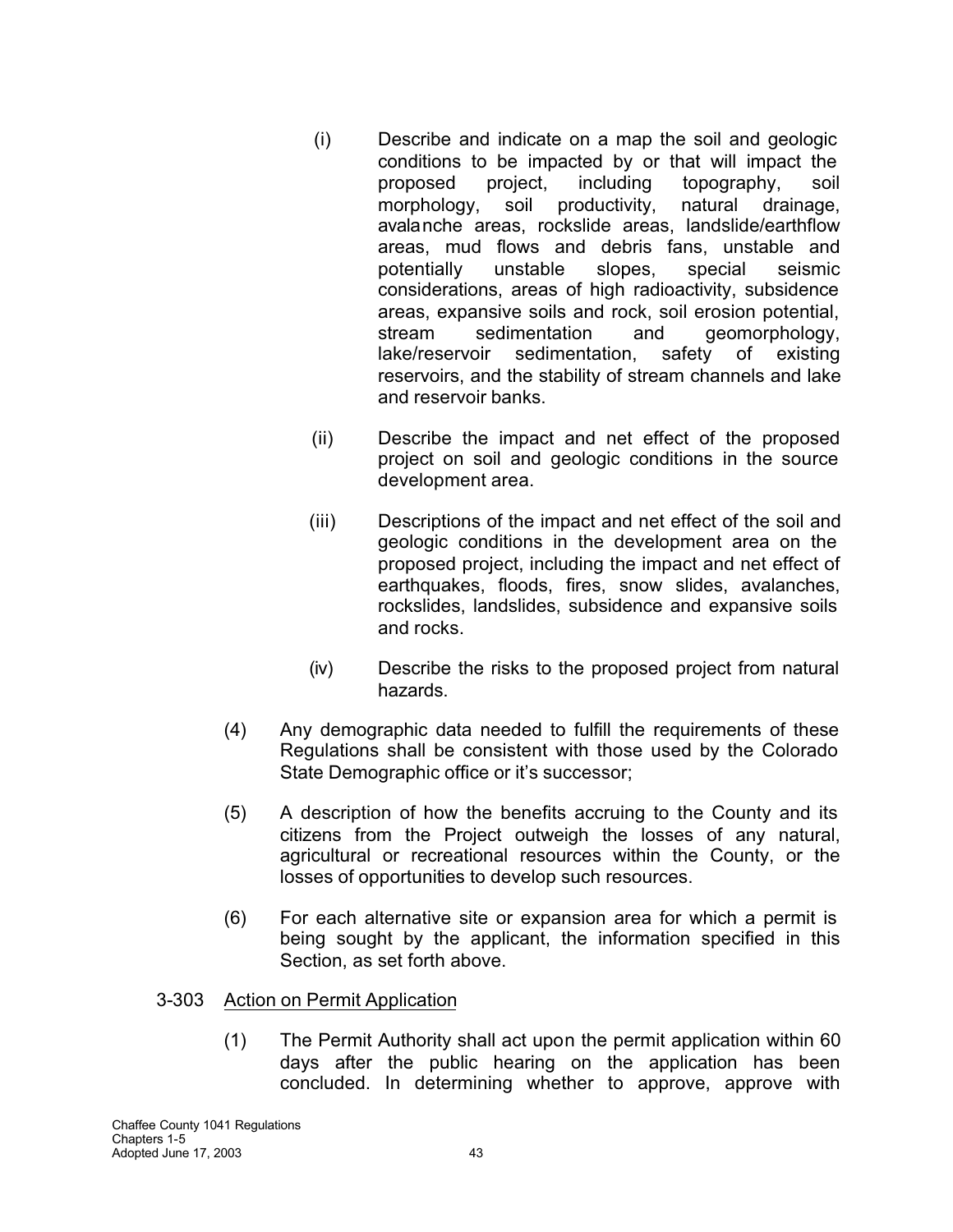- (i) Describe and indicate on a map the soil and geologic conditions to be impacted by or that will impact the proposed project, including topography, soil morphology, soil productivity, natural drainage, avalanche areas, rockslide areas, landslide/earthflow areas, mud flows and debris fans, unstable and potentially unstable slopes, special seismic considerations, areas of high radioactivity, subsidence areas, expansive soils and rock, soil erosion potential, stream sedimentation and geomorphology, lake/reservoir sedimentation, safety of existing reservoirs, and the stability of stream channels and lake and reservoir banks.
- (ii) Describe the impact and net effect of the proposed project on soil and geologic conditions in the source development area.
- (iii) Descriptions of the impact and net effect of the soil and geologic conditions in the development area on the proposed project, including the impact and net effect of earthquakes, floods, fires, snow slides, avalanches, rockslides, landslides, subsidence and expansive soils and rocks.
- (iv) Describe the risks to the proposed project from natural hazards.
- (4) Any demographic data needed to fulfill the requirements of these Regulations shall be consistent with those used by the Colorado State Demographic office or it's successor;
- (5) A description of how the benefits accruing to the County and its citizens from the Project outweigh the losses of any natural, agricultural or recreational resources within the County, or the losses of opportunities to develop such resources.
- (6) For each alternative site or expansion area for which a permit is being sought by the applicant, the information specified in this Section, as set forth above.

# 3-303 Action on Permit Application

(1) The Permit Authority shall act upon the permit application within 60 days after the public hearing on the application has been concluded. In determining whether to approve, approve with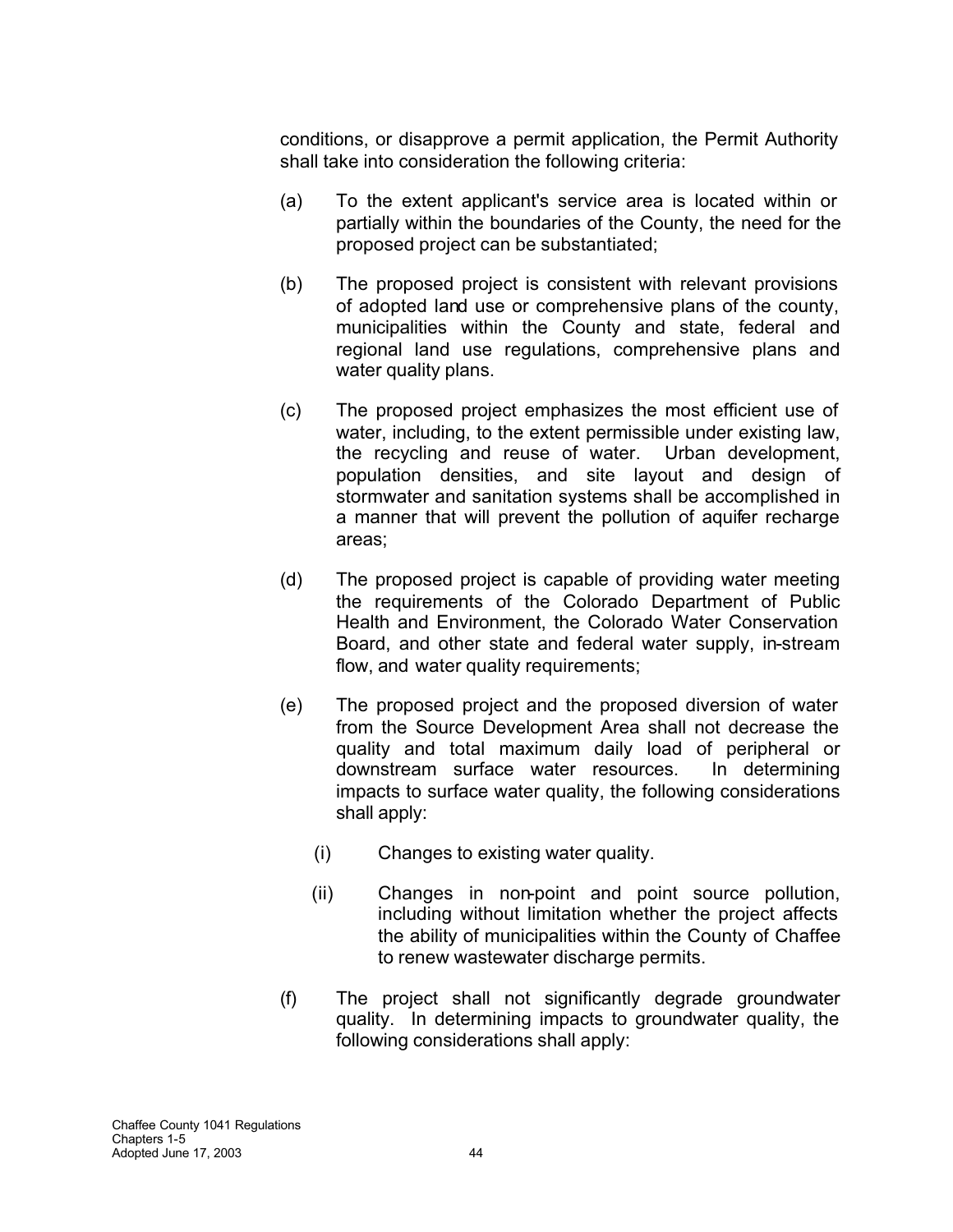conditions, or disapprove a permit application, the Permit Authority shall take into consideration the following criteria:

- (a) To the extent applicant's service area is located within or partially within the boundaries of the County, the need for the proposed project can be substantiated;
- (b) The proposed project is consistent with relevant provisions of adopted land use or comprehensive plans of the county, municipalities within the County and state, federal and regional land use regulations, comprehensive plans and water quality plans.
- (c) The proposed project emphasizes the most efficient use of water, including, to the extent permissible under existing law, the recycling and reuse of water. Urban development, population densities, and site layout and design of stormwater and sanitation systems shall be accomplished in a manner that will prevent the pollution of aquifer recharge areas;
- (d) The proposed project is capable of providing water meeting the requirements of the Colorado Department of Public Health and Environment, the Colorado Water Conservation Board, and other state and federal water supply, in-stream flow, and water quality requirements;
- (e) The proposed project and the proposed diversion of water from the Source Development Area shall not decrease the quality and total maximum daily load of peripheral or downstream surface water resources. In determining impacts to surface water quality, the following considerations shall apply:
	- (i) Changes to existing water quality.
	- (ii) Changes in non-point and point source pollution, including without limitation whether the project affects the ability of municipalities within the County of Chaffee to renew wastewater discharge permits.
- (f) The project shall not significantly degrade groundwater quality. In determining impacts to groundwater quality, the following considerations shall apply: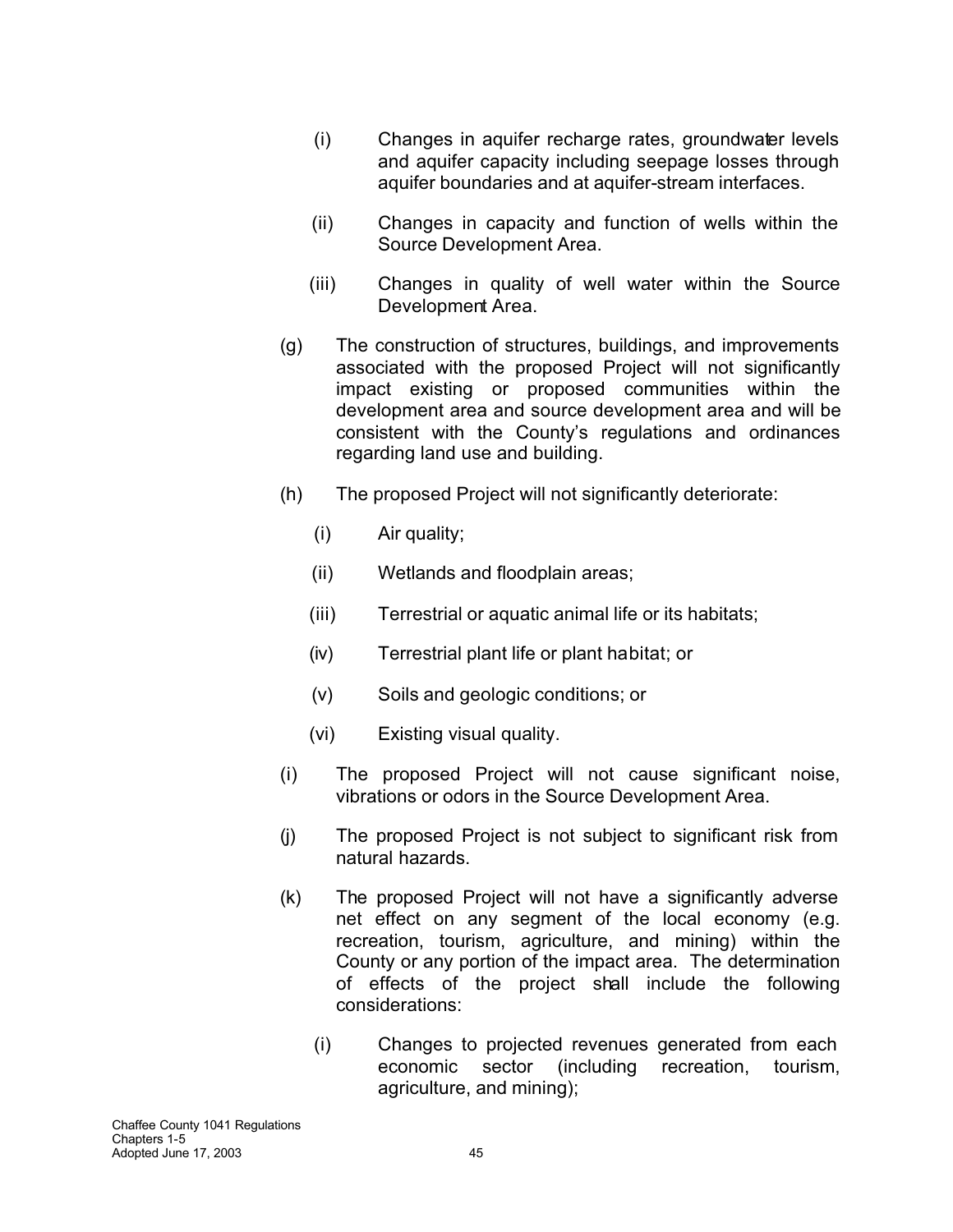- (i) Changes in aquifer recharge rates, groundwater levels and aquifer capacity including seepage losses through aquifer boundaries and at aquifer-stream interfaces.
- (ii) Changes in capacity and function of wells within the Source Development Area.
- (iii) Changes in quality of well water within the Source Development Area.
- (g) The construction of structures, buildings, and improvements associated with the proposed Project will not significantly impact existing or proposed communities within the development area and source development area and will be consistent with the County's regulations and ordinances regarding land use and building.
- (h) The proposed Project will not significantly deteriorate:
	- (i) Air quality;
	- (ii) Wetlands and floodplain areas;
	- (iii) Terrestrial or aquatic animal life or its habitats;
	- (iv) Terrestrial plant life or plant habitat; or
	- (v) Soils and geologic conditions; or
	- (vi) Existing visual quality.
- (i) The proposed Project will not cause significant noise, vibrations or odors in the Source Development Area.
- (j) The proposed Project is not subject to significant risk from natural hazards.
- (k) The proposed Project will not have a significantly adverse net effect on any segment of the local economy (e.g. recreation, tourism, agriculture, and mining) within the County or any portion of the impact area. The determination of effects of the project shall include the following considerations:
	- (i) Changes to projected revenues generated from each economic sector (including recreation, tourism, agriculture, and mining);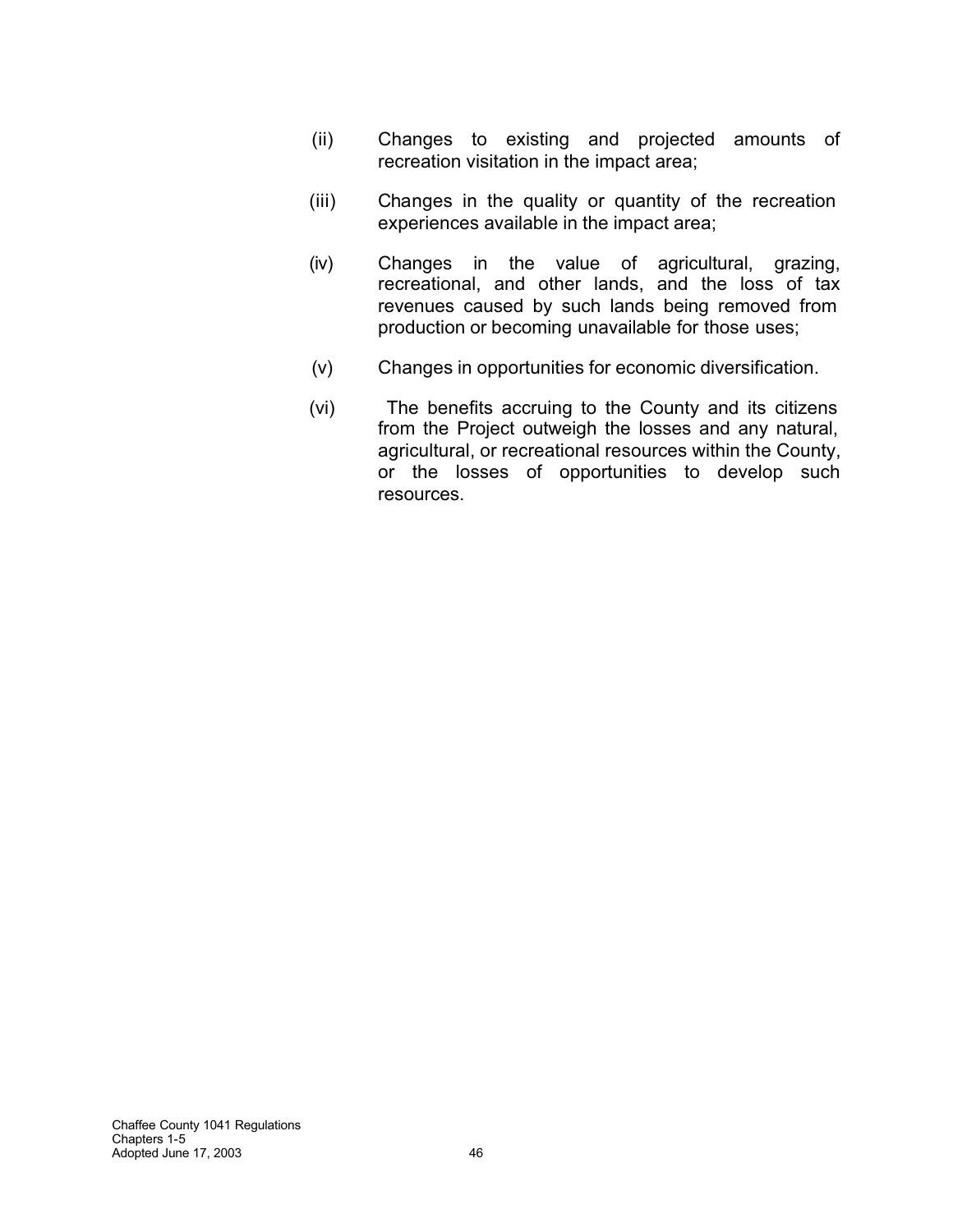- (ii) Changes to existing and projected amounts of recreation visitation in the impact area;
- (iii) Changes in the quality or quantity of the recreation experiences available in the impact area;
- (iv) Changes in the value of agricultural, grazing, recreational, and other lands, and the loss of tax revenues caused by such lands being removed from production or becoming unavailable for those uses;
- (v) Changes in opportunities for economic diversification.
- (vi) The benefits accruing to the County and its citizens from the Project outweigh the losses and any natural, agricultural, or recreational resources within the County, or the losses of opportunities to develop such resources.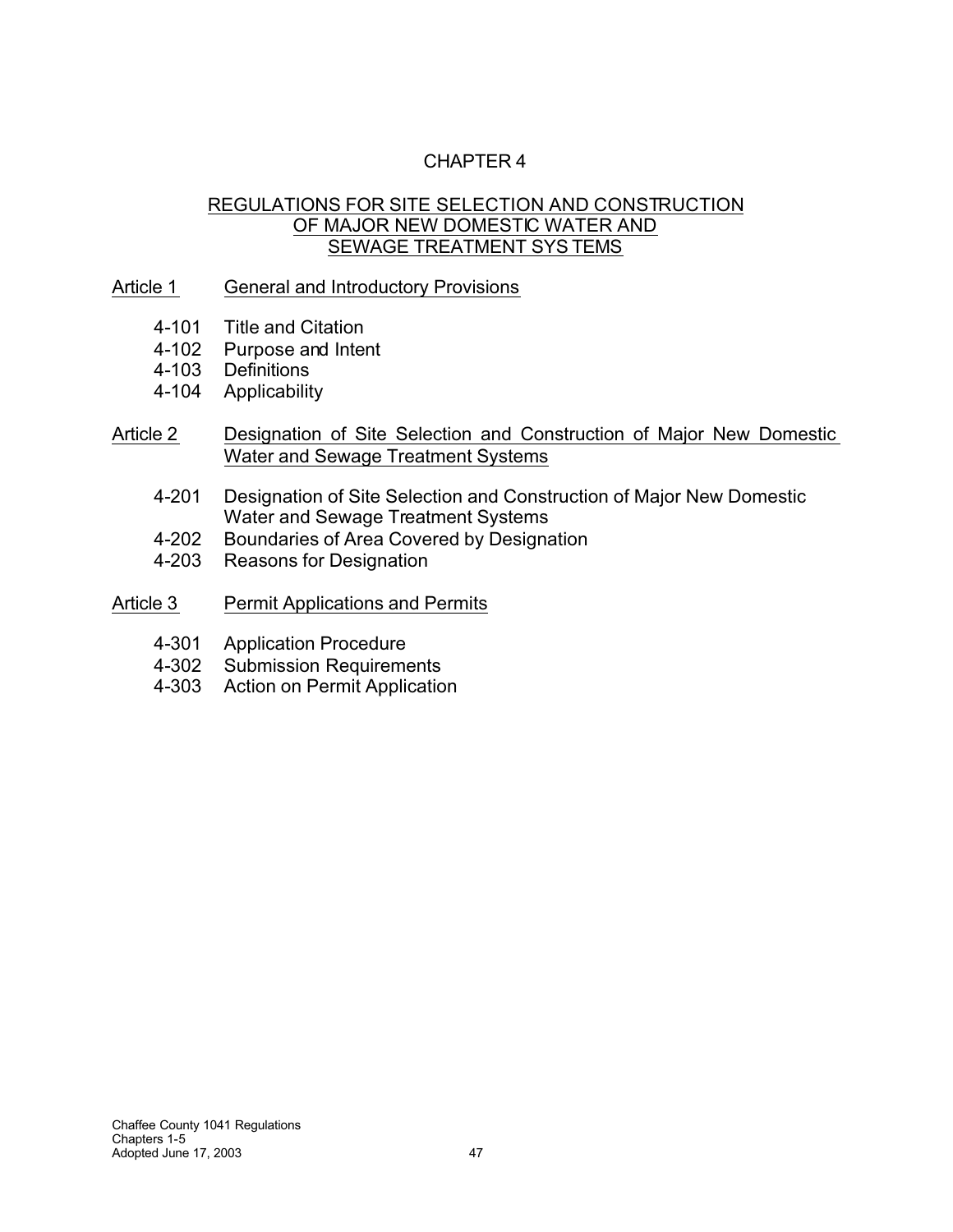# CHAPTER 4

### REGULATIONS FOR SITE SELECTION AND CONSTRUCTION OF MAJOR NEW DOMESTIC WATER AND SEWAGE TREATMENT SYS TEMS

### Article 1 General and Introductory Provisions

- 4-101 Title and Citation
- 4-102 Purpose and Intent
- 4-103 Definitions
- 4-104 Applicability
- Article 2 Designation of Site Selection and Construction of Major New Domestic Water and Sewage Treatment Systems
	- 4-201 Designation of Site Selection and Construction of Major New Domestic Water and Sewage Treatment Systems
	- 4-202 Boundaries of Area Covered by Designation<br>4-203 Reasons for Designation
	- Reasons for Designation
- Article 3 Permit Applications and Permits
	- 4-301 Application Procedure
	- 4-302 Submission Requirements
	- 4-303 Action on Permit Application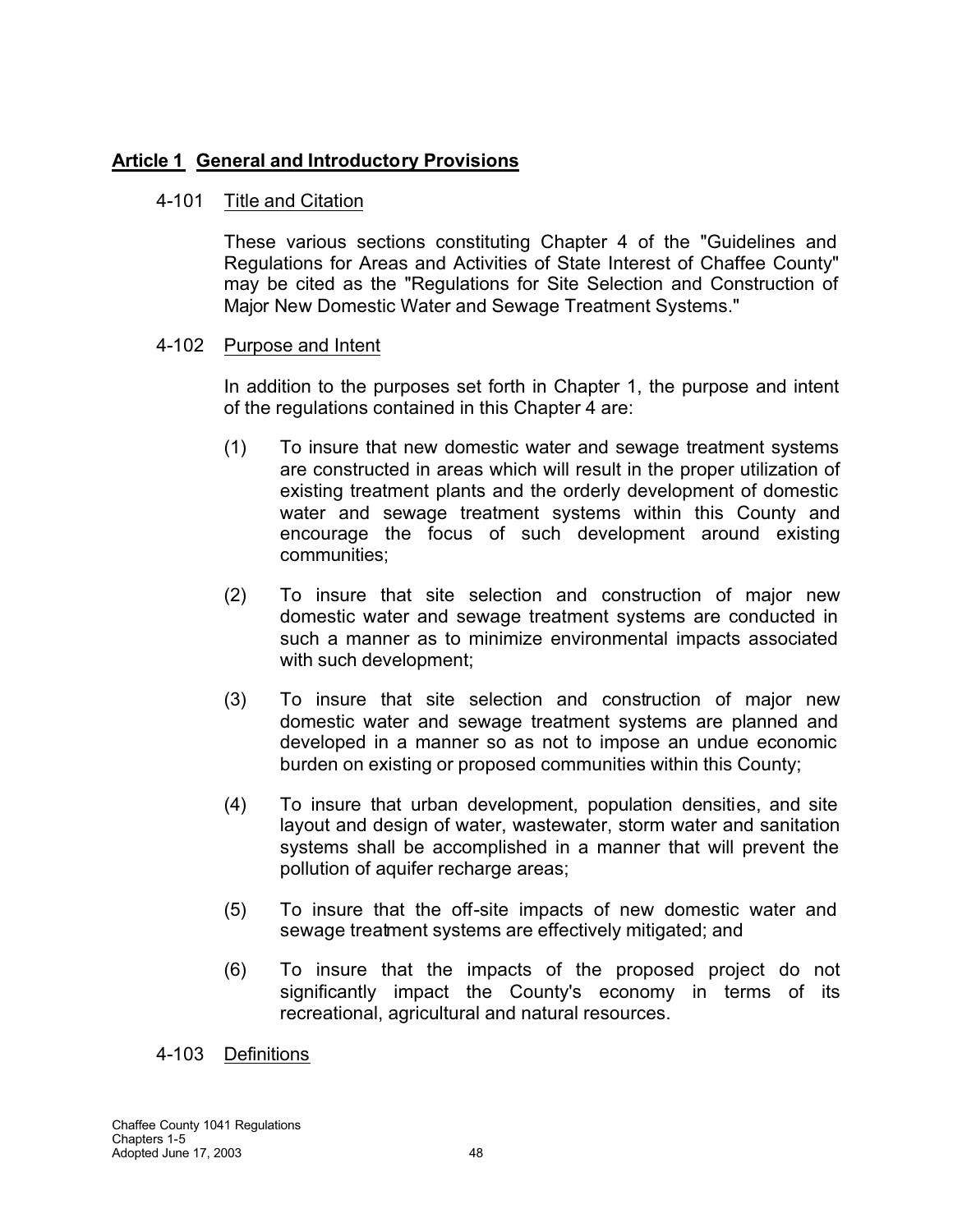## **Article 1 General and Introductory Provisions**

### 4-101 Title and Citation

These various sections constituting Chapter 4 of the "Guidelines and Regulations for Areas and Activities of State Interest of Chaffee County" may be cited as the "Regulations for Site Selection and Construction of Major New Domestic Water and Sewage Treatment Systems."

### 4-102 Purpose and Intent

In addition to the purposes set forth in Chapter 1, the purpose and intent of the regulations contained in this Chapter 4 are:

- (1) To insure that new domestic water and sewage treatment systems are constructed in areas which will result in the proper utilization of existing treatment plants and the orderly development of domestic water and sewage treatment systems within this County and encourage the focus of such development around existing communities;
- (2) To insure that site selection and construction of major new domestic water and sewage treatment systems are conducted in such a manner as to minimize environmental impacts associated with such development;
- (3) To insure that site selection and construction of major new domestic water and sewage treatment systems are planned and developed in a manner so as not to impose an undue economic burden on existing or proposed communities within this County;
- (4) To insure that urban development, population densities, and site layout and design of water, wastewater, storm water and sanitation systems shall be accomplished in a manner that will prevent the pollution of aquifer recharge areas;
- (5) To insure that the off-site impacts of new domestic water and sewage treatment systems are effectively mitigated; and
- (6) To insure that the impacts of the proposed project do not significantly impact the County's economy in terms of its recreational, agricultural and natural resources.

4-103 Definitions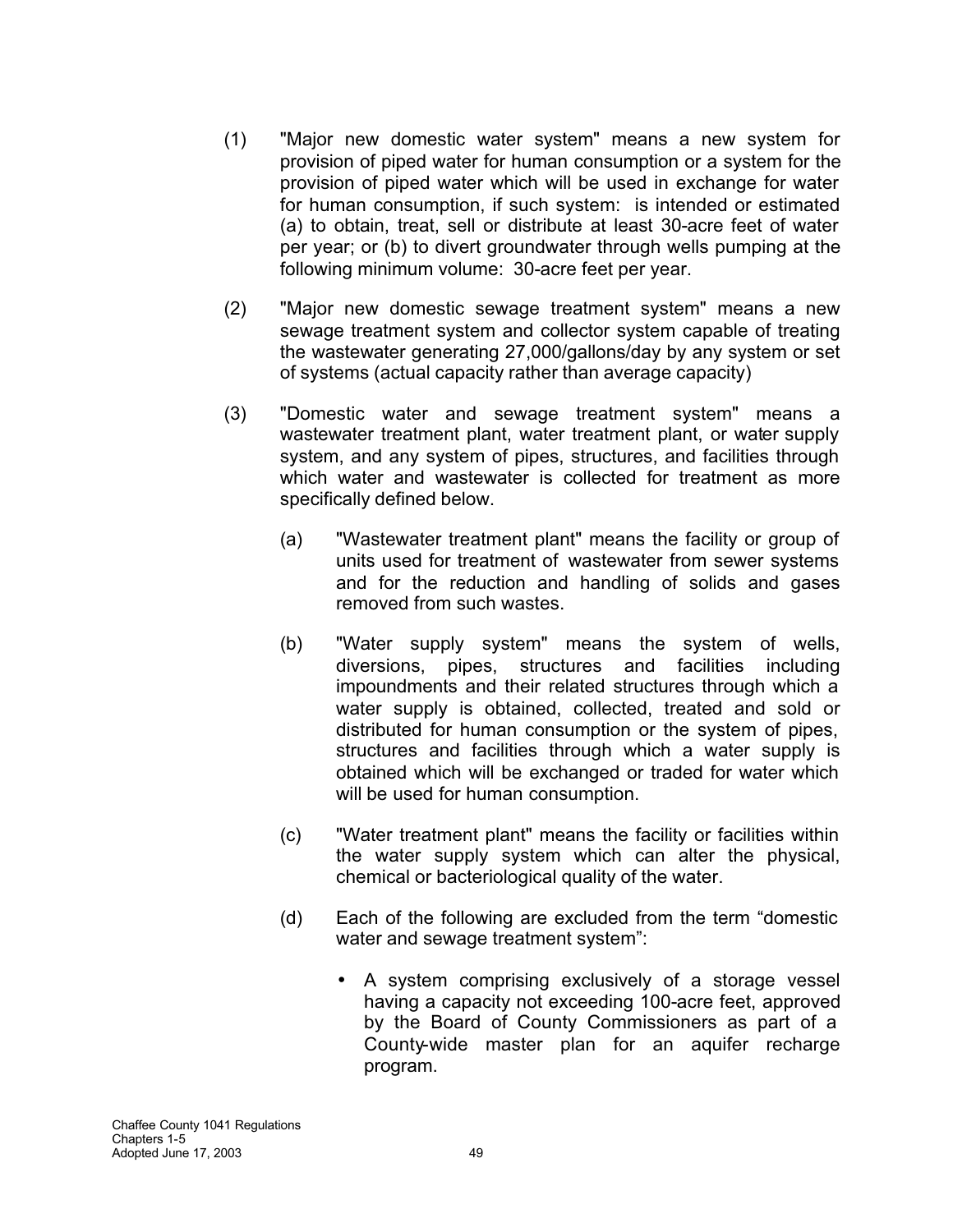- (1) "Major new domestic water system" means a new system for provision of piped water for human consumption or a system for the provision of piped water which will be used in exchange for water for human consumption, if such system: is intended or estimated (a) to obtain, treat, sell or distribute at least 30-acre feet of water per year; or (b) to divert groundwater through wells pumping at the following minimum volume: 30-acre feet per year.
- (2) "Major new domestic sewage treatment system" means a new sewage treatment system and collector system capable of treating the wastewater generating 27,000/gallons/day by any system or set of systems (actual capacity rather than average capacity)
- (3) "Domestic water and sewage treatment system" means a wastewater treatment plant, water treatment plant, or water supply system, and any system of pipes, structures, and facilities through which water and wastewater is collected for treatment as more specifically defined below.
	- (a) "Wastewater treatment plant" means the facility or group of units used for treatment of wastewater from sewer systems and for the reduction and handling of solids and gases removed from such wastes.
	- (b) "Water supply system" means the system of wells, diversions, pipes, structures and facilities including impoundments and their related structures through which a water supply is obtained, collected, treated and sold or distributed for human consumption or the system of pipes, structures and facilities through which a water supply is obtained which will be exchanged or traded for water which will be used for human consumption.
	- (c) "Water treatment plant" means the facility or facilities within the water supply system which can alter the physical, chemical or bacteriological quality of the water.
	- (d) Each of the following are excluded from the term "domestic water and sewage treatment system":
		- A system comprising exclusively of a storage vessel having a capacity not exceeding 100-acre feet, approved by the Board of County Commissioners as part of a County-wide master plan for an aquifer recharge program.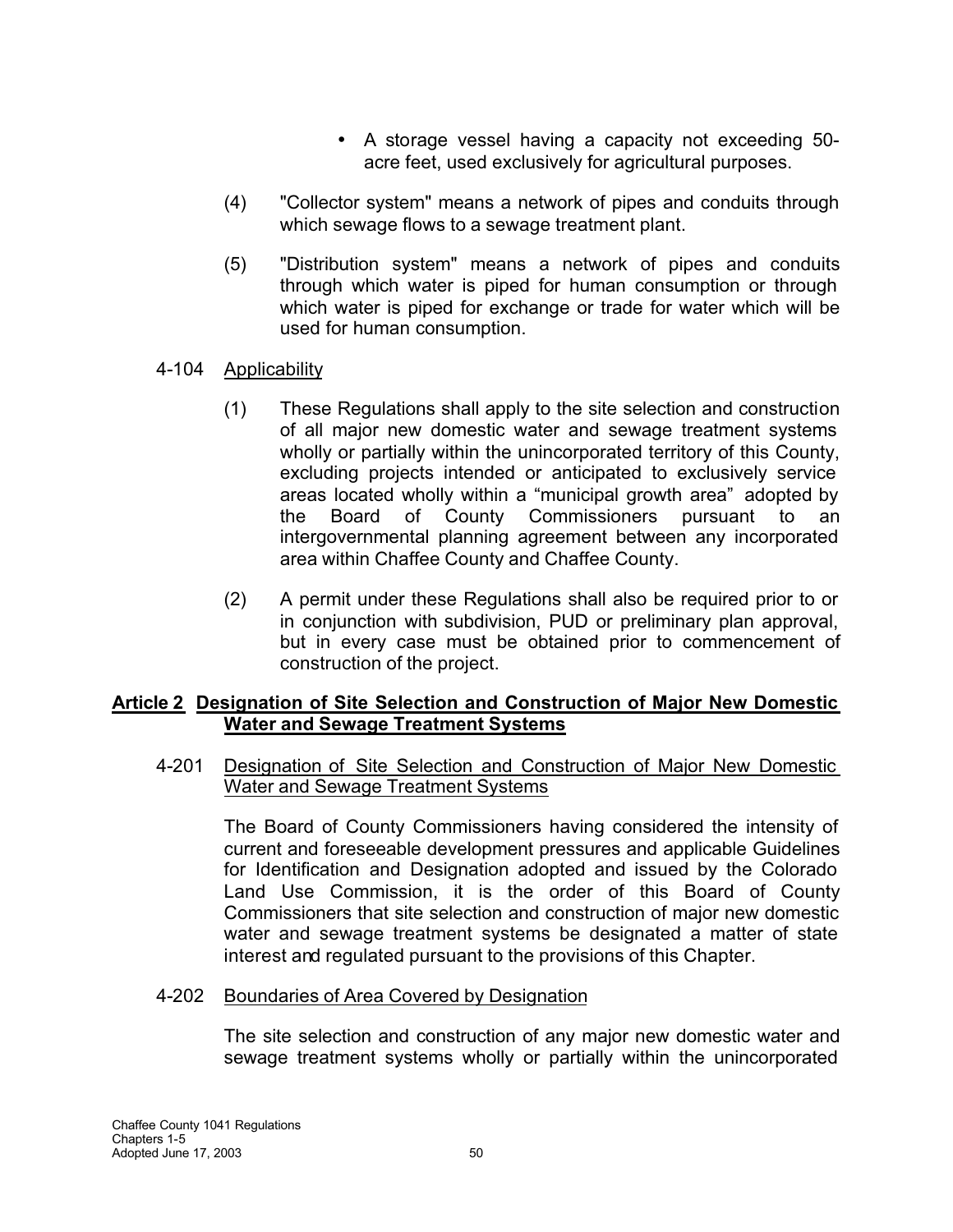- A storage vessel having a capacity not exceeding 50 acre feet, used exclusively for agricultural purposes.
- (4) "Collector system" means a network of pipes and conduits through which sewage flows to a sewage treatment plant.
- (5) "Distribution system" means a network of pipes and conduits through which water is piped for human consumption or through which water is piped for exchange or trade for water which will be used for human consumption.
- 4-104 Applicability
	- (1) These Regulations shall apply to the site selection and construction of all major new domestic water and sewage treatment systems wholly or partially within the unincorporated territory of this County, excluding projects intended or anticipated to exclusively service areas located wholly within a "municipal growth area" adopted by the Board of County Commissioners pursuant to an intergovernmental planning agreement between any incorporated area within Chaffee County and Chaffee County.
	- (2) A permit under these Regulations shall also be required prior to or in conjunction with subdivision, PUD or preliminary plan approval, but in every case must be obtained prior to commencement of construction of the project.

### **Article 2 Designation of Site Selection and Construction of Major New Domestic Water and Sewage Treatment Systems**

4-201 Designation of Site Selection and Construction of Major New Domestic Water and Sewage Treatment Systems

The Board of County Commissioners having considered the intensity of current and foreseeable development pressures and applicable Guidelines for Identification and Designation adopted and issued by the Colorado Land Use Commission, it is the order of this Board of County Commissioners that site selection and construction of major new domestic water and sewage treatment systems be designated a matter of state interest and regulated pursuant to the provisions of this Chapter.

### 4-202 Boundaries of Area Covered by Designation

The site selection and construction of any major new domestic water and sewage treatment systems wholly or partially within the unincorporated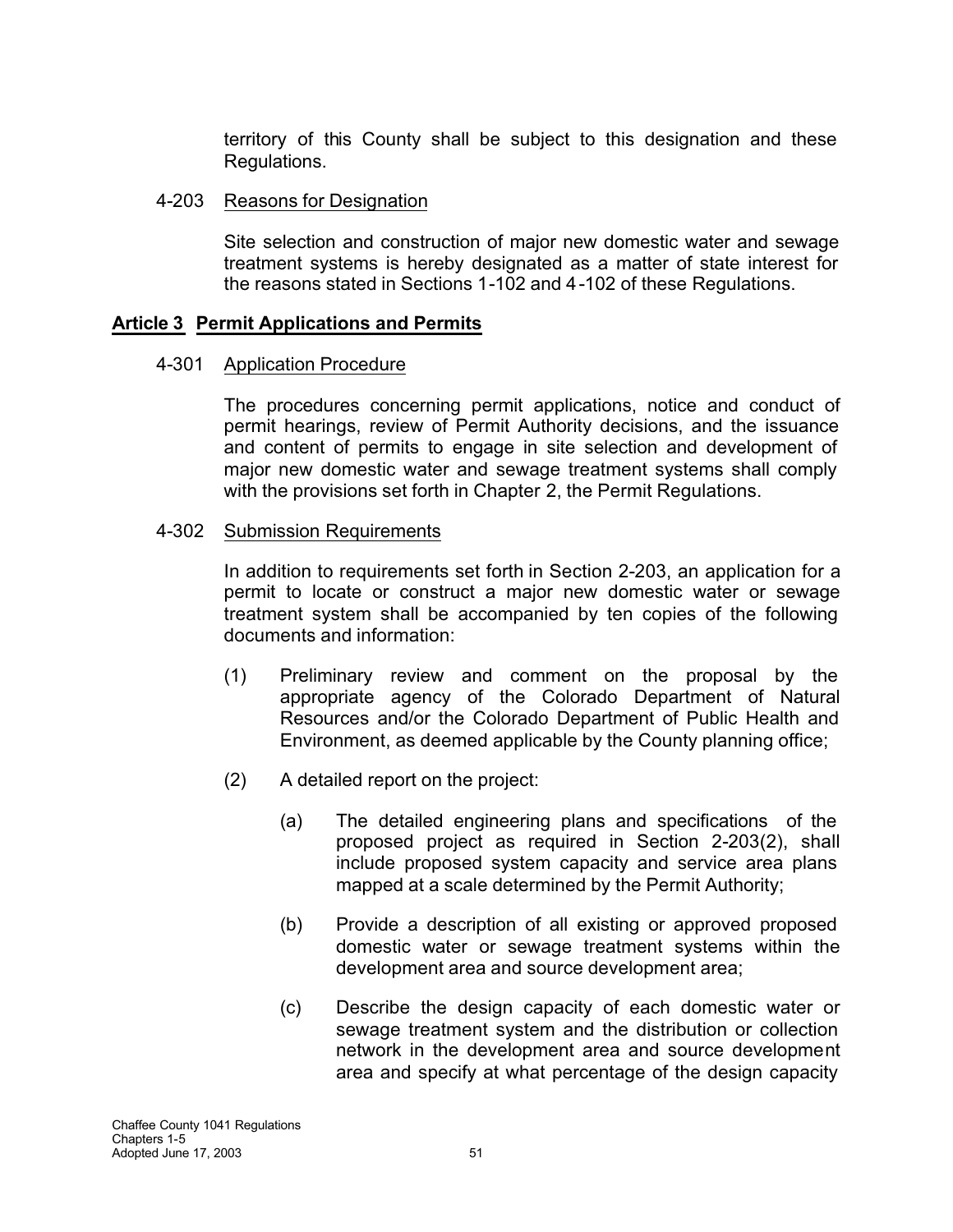territory of this County shall be subject to this designation and these Regulations.

### 4-203 Reasons for Designation

Site selection and construction of major new domestic water and sewage treatment systems is hereby designated as a matter of state interest for the reasons stated in Sections 1-102 and 4-102 of these Regulations.

### **Article 3 Permit Applications and Permits**

### 4-301 Application Procedure

The procedures concerning permit applications, notice and conduct of permit hearings, review of Permit Authority decisions, and the issuance and content of permits to engage in site selection and development of major new domestic water and sewage treatment systems shall comply with the provisions set forth in Chapter 2, the Permit Regulations.

#### 4-302 Submission Requirements

In addition to requirements set forth in Section 2-203, an application for a permit to locate or construct a major new domestic water or sewage treatment system shall be accompanied by ten copies of the following documents and information:

- (1) Preliminary review and comment on the proposal by the appropriate agency of the Colorado Department of Natural Resources and/or the Colorado Department of Public Health and Environment, as deemed applicable by the County planning office;
- (2) A detailed report on the project:
	- (a) The detailed engineering plans and specifications of the proposed project as required in Section 2-203(2), shall include proposed system capacity and service area plans mapped at a scale determined by the Permit Authority;
	- (b) Provide a description of all existing or approved proposed domestic water or sewage treatment systems within the development area and source development area;
	- (c) Describe the design capacity of each domestic water or sewage treatment system and the distribution or collection network in the development area and source development area and specify at what percentage of the design capacity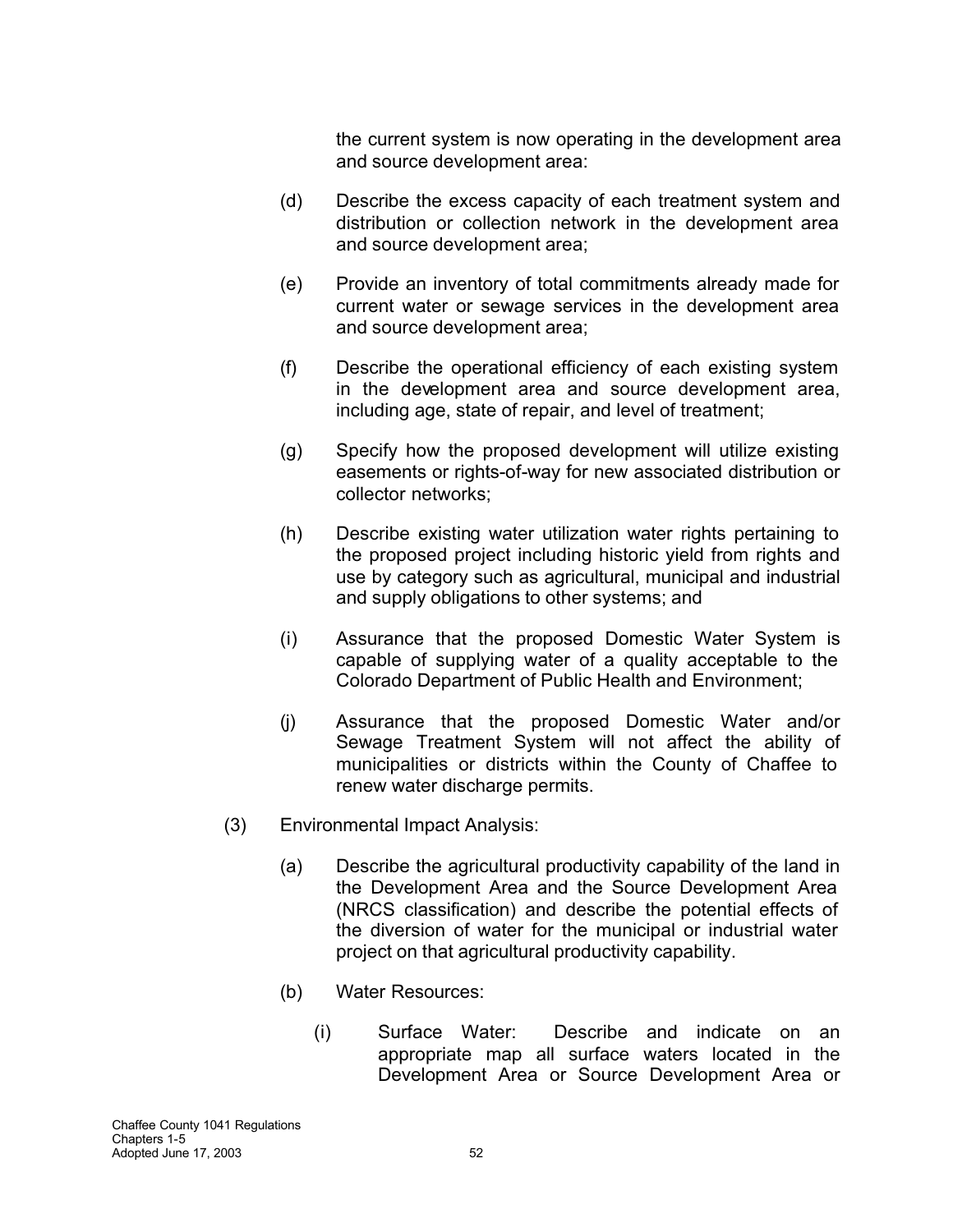the current system is now operating in the development area and source development area:

- (d) Describe the excess capacity of each treatment system and distribution or collection network in the development area and source development area;
- (e) Provide an inventory of total commitments already made for current water or sewage services in the development area and source development area;
- (f) Describe the operational efficiency of each existing system in the development area and source development area, including age, state of repair, and level of treatment;
- (g) Specify how the proposed development will utilize existing easements or rights-of-way for new associated distribution or collector networks;
- (h) Describe existing water utilization water rights pertaining to the proposed project including historic yield from rights and use by category such as agricultural, municipal and industrial and supply obligations to other systems; and
- (i) Assurance that the proposed Domestic Water System is capable of supplying water of a quality acceptable to the Colorado Department of Public Health and Environment;
- (j) Assurance that the proposed Domestic Water and/or Sewage Treatment System will not affect the ability of municipalities or districts within the County of Chaffee to renew water discharge permits.
- (3) Environmental Impact Analysis:
	- (a) Describe the agricultural productivity capability of the land in the Development Area and the Source Development Area (NRCS classification) and describe the potential effects of the diversion of water for the municipal or industrial water project on that agricultural productivity capability.
	- (b) Water Resources:
		- (i) Surface Water: Describe and indicate on an appropriate map all surface waters located in the Development Area or Source Development Area or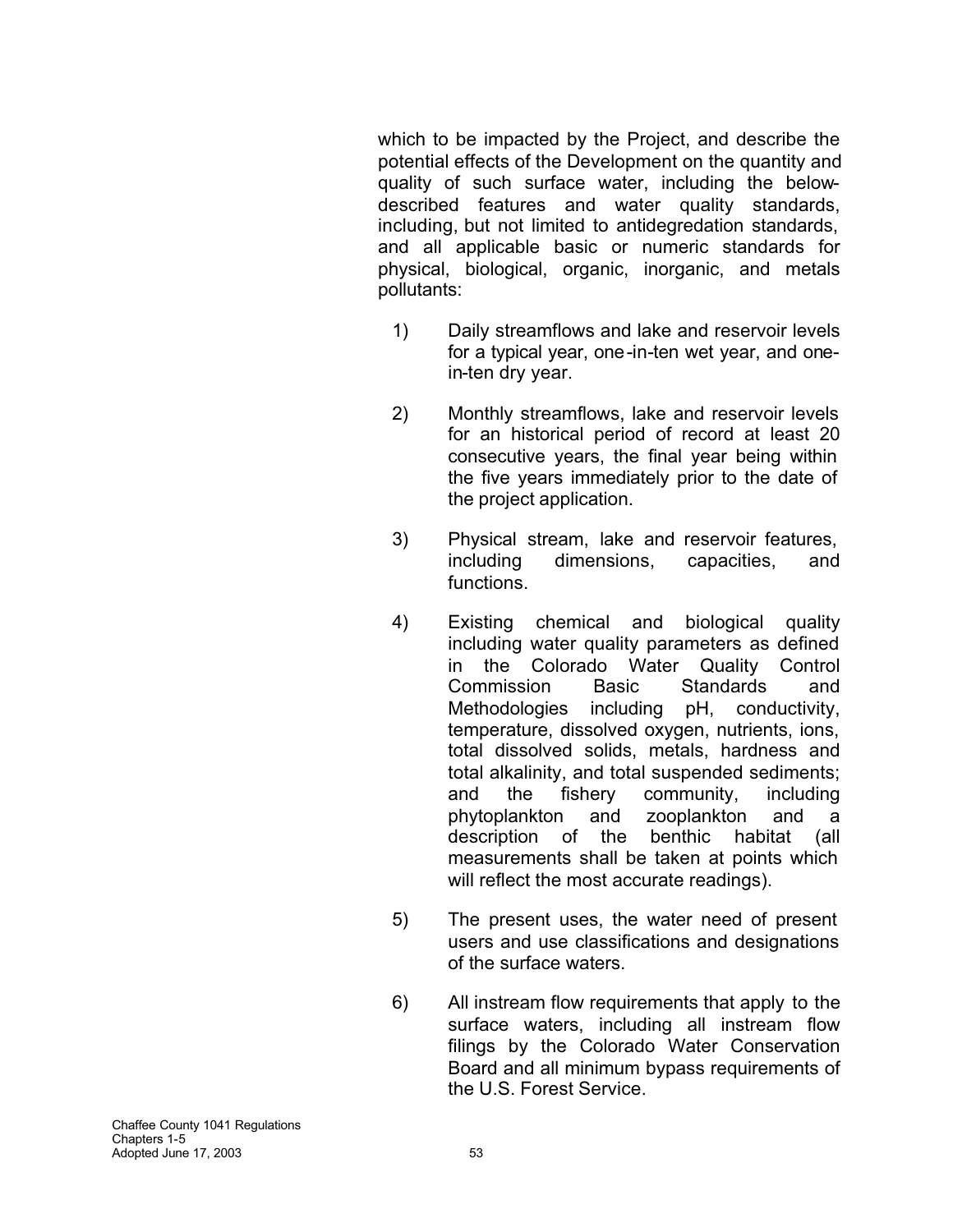which to be impacted by the Project, and describe the potential effects of the Development on the quantity and quality of such surface water, including the belowdescribed features and water quality standards, including, but not limited to antidegredation standards, and all applicable basic or numeric standards for physical, biological, organic, inorganic, and metals pollutants:

- 1) Daily streamflows and lake and reservoir levels for a typical year, one-in-ten wet year, and onein-ten dry year.
- 2) Monthly streamflows, lake and reservoir levels for an historical period of record at least 20 consecutive years, the final year being within the five years immediately prior to the date of the project application.
- 3) Physical stream, lake and reservoir features, including dimensions, capacities, and functions.
- 4) Existing chemical and biological quality including water quality parameters as defined in the Colorado Water Quality Control Commission Basic Standards and Methodologies including pH, conductivity, temperature, dissolved oxygen, nutrients, ions, total dissolved solids, metals, hardness and total alkalinity, and total suspended sediments; and the fishery community, including phytoplankton and zooplankton and a description of the benthic habitat (all measurements shall be taken at points which will reflect the most accurate readings).
- 5) The present uses, the water need of present users and use classifications and designations of the surface waters.
- 6) All instream flow requirements that apply to the surface waters, including all instream flow filings by the Colorado Water Conservation Board and all minimum bypass requirements of the U.S. Forest Service.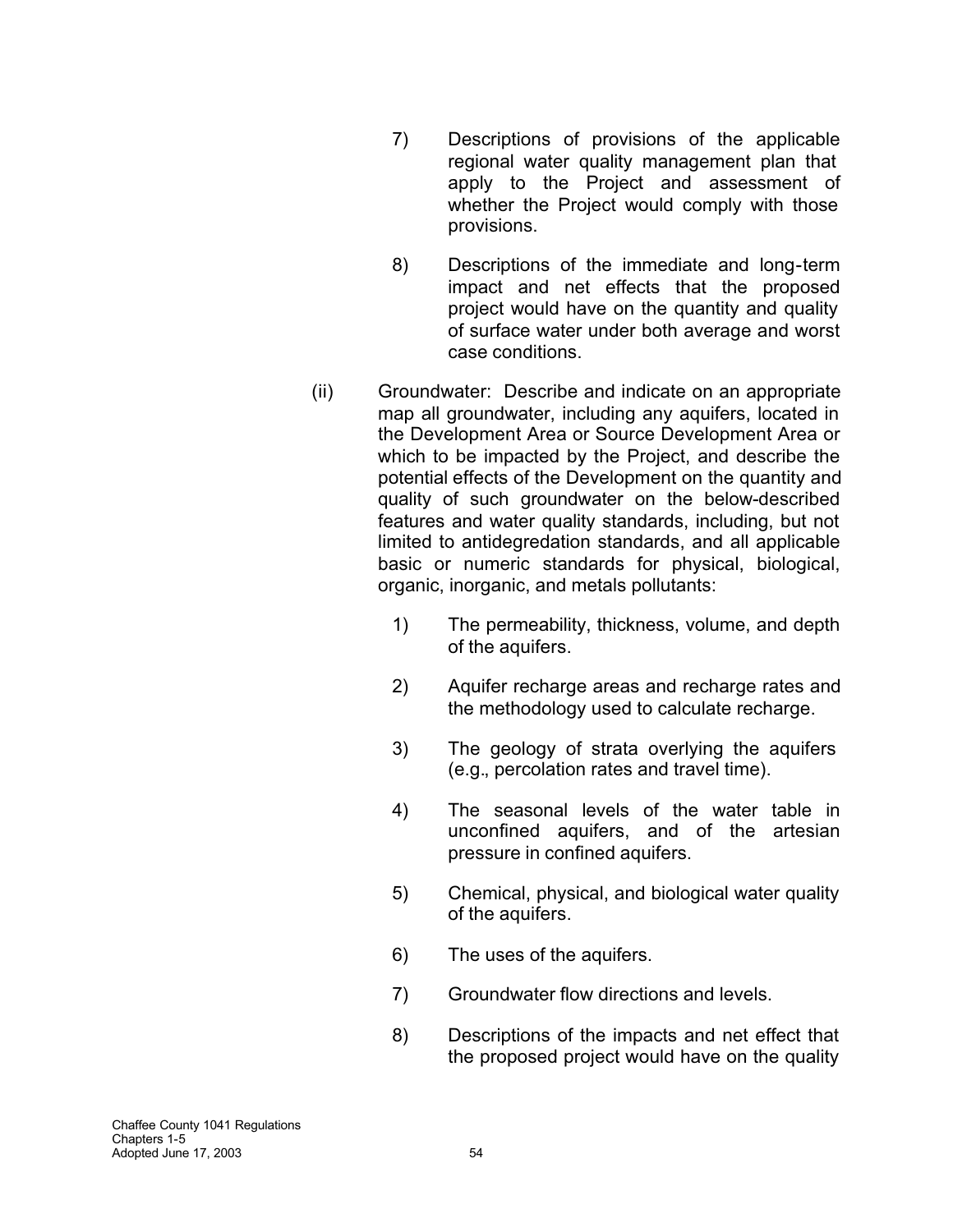- 7) Descriptions of provisions of the applicable regional water quality management plan that apply to the Project and assessment of whether the Project would comply with those provisions.
- 8) Descriptions of the immediate and long-term impact and net effects that the proposed project would have on the quantity and quality of surface water under both average and worst case conditions.
- (ii) Groundwater: Describe and indicate on an appropriate map all groundwater, including any aquifers, located in the Development Area or Source Development Area or which to be impacted by the Project, and describe the potential effects of the Development on the quantity and quality of such groundwater on the below-described features and water quality standards, including, but not limited to antidegredation standards, and all applicable basic or numeric standards for physical, biological, organic, inorganic, and metals pollutants:
	- 1) The permeability, thickness, volume, and depth of the aquifers.
	- 2) Aquifer recharge areas and recharge rates and the methodology used to calculate recharge.
	- 3) The geology of strata overlying the aquifers (e.g., percolation rates and travel time).
	- 4) The seasonal levels of the water table in unconfined aquifers, and of the artesian pressure in confined aquifers.
	- 5) Chemical, physical, and biological water quality of the aquifers.
	- 6) The uses of the aquifers.
	- 7) Groundwater flow directions and levels.
	- 8) Descriptions of the impacts and net effect that the proposed project would have on the quality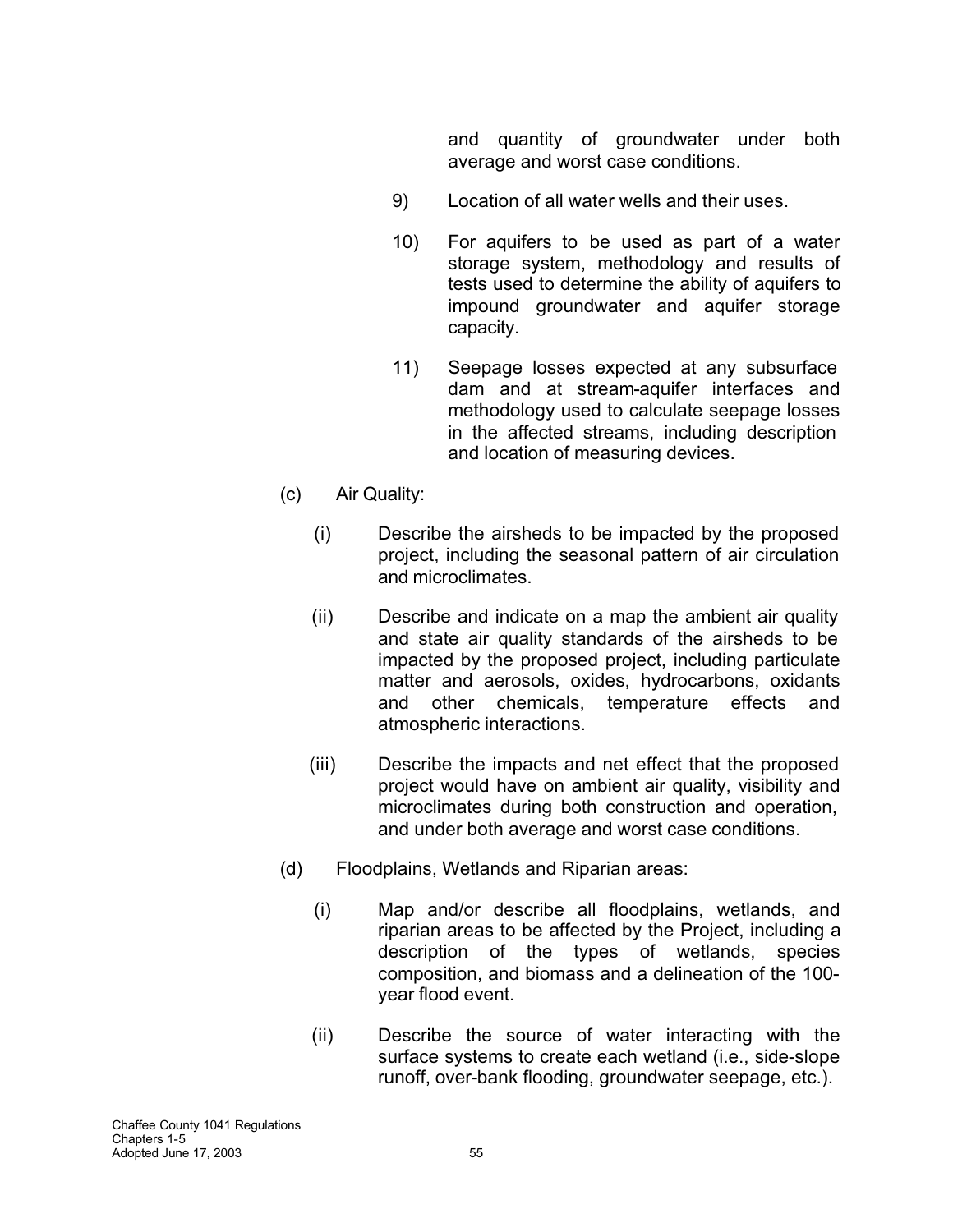and quantity of groundwater under both average and worst case conditions.

- 9) Location of all water wells and their uses.
- 10) For aquifers to be used as part of a water storage system, methodology and results of tests used to determine the ability of aquifers to impound groundwater and aquifer storage capacity.
- 11) Seepage losses expected at any subsurface dam and at stream-aquifer interfaces and methodology used to calculate seepage losses in the affected streams, including description and location of measuring devices.
- (c) Air Quality:
	- (i) Describe the airsheds to be impacted by the proposed project, including the seasonal pattern of air circulation and microclimates.
	- (ii) Describe and indicate on a map the ambient air quality and state air quality standards of the airsheds to be impacted by the proposed project, including particulate matter and aerosols, oxides, hydrocarbons, oxidants and other chemicals, temperature effects and atmospheric interactions.
	- (iii) Describe the impacts and net effect that the proposed project would have on ambient air quality, visibility and microclimates during both construction and operation, and under both average and worst case conditions.
- (d) Floodplains, Wetlands and Riparian areas:
	- (i) Map and/or describe all floodplains, wetlands, and riparian areas to be affected by the Project, including a description of the types of wetlands, species composition, and biomass and a delineation of the 100 year flood event.
	- (ii) Describe the source of water interacting with the surface systems to create each wetland (i.e., side-slope runoff, over-bank flooding, groundwater seepage, etc.).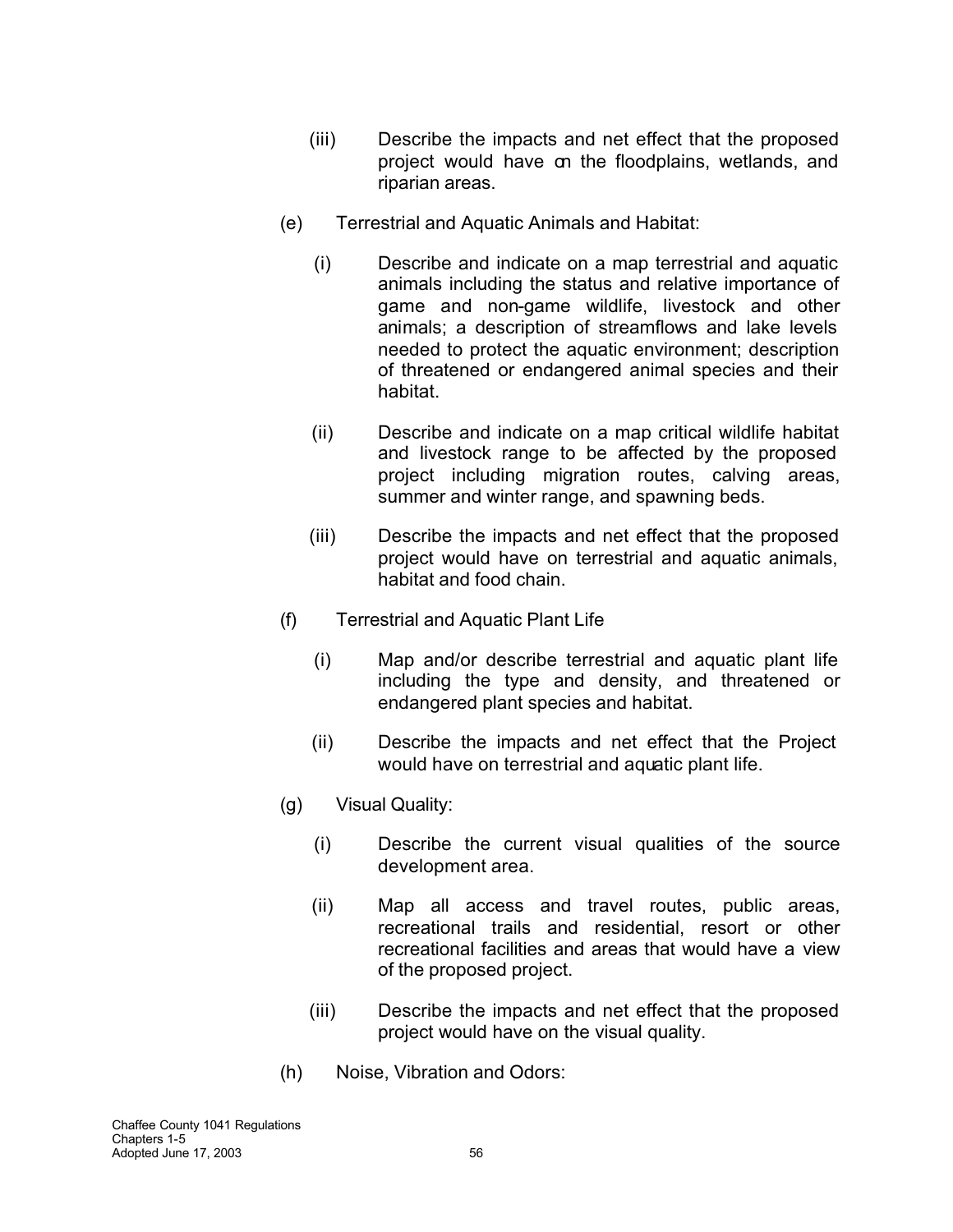- (iii) Describe the impacts and net effect that the proposed project would have on the floodplains, wetlands, and riparian areas.
- (e) Terrestrial and Aquatic Animals and Habitat:
	- (i) Describe and indicate on a map terrestrial and aquatic animals including the status and relative importance of game and non-game wildlife, livestock and other animals; a description of streamflows and lake levels needed to protect the aquatic environment; description of threatened or endangered animal species and their habitat.
	- (ii) Describe and indicate on a map critical wildlife habitat and livestock range to be affected by the proposed project including migration routes, calving areas, summer and winter range, and spawning beds.
	- (iii) Describe the impacts and net effect that the proposed project would have on terrestrial and aquatic animals, habitat and food chain.
- (f) Terrestrial and Aquatic Plant Life
	- (i) Map and/or describe terrestrial and aquatic plant life including the type and density, and threatened or endangered plant species and habitat.
	- (ii) Describe the impacts and net effect that the Project would have on terrestrial and aquatic plant life.
- (g) Visual Quality:
	- (i) Describe the current visual qualities of the source development area.
	- (ii) Map all access and travel routes, public areas, recreational trails and residential, resort or other recreational facilities and areas that would have a view of the proposed project.
	- (iii) Describe the impacts and net effect that the proposed project would have on the visual quality.
- (h) Noise, Vibration and Odors: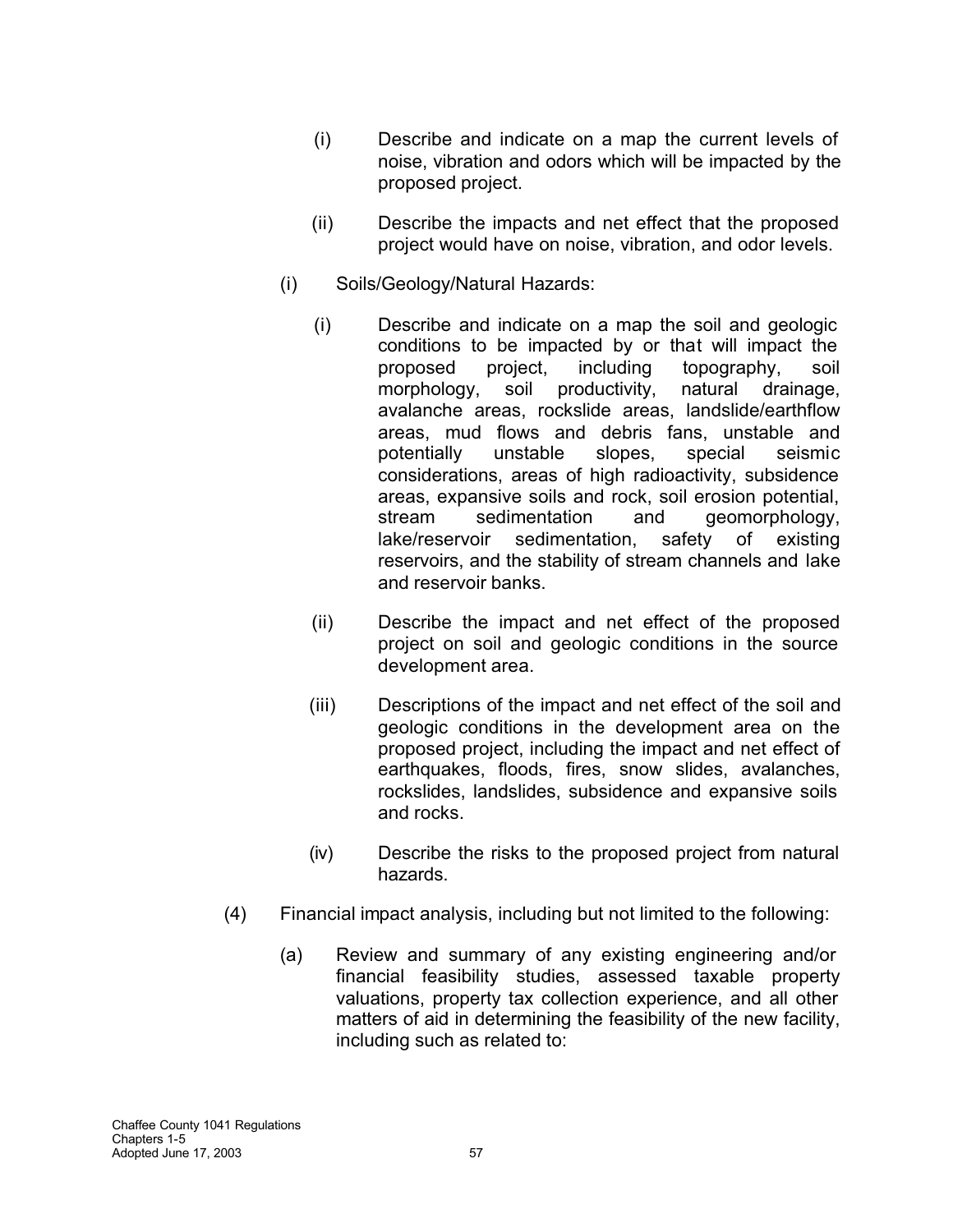- (i) Describe and indicate on a map the current levels of noise, vibration and odors which will be impacted by the proposed project.
- (ii) Describe the impacts and net effect that the proposed project would have on noise, vibration, and odor levels.
- (i) Soils/Geology/Natural Hazards:
	- (i) Describe and indicate on a map the soil and geologic conditions to be impacted by or that will impact the proposed project, including topography, soil morphology, soil productivity, natural drainage, avalanche areas, rockslide areas, landslide/earthflow areas, mud flows and debris fans, unstable and potentially unstable slopes, special seismic considerations, areas of high radioactivity, subsidence areas, expansive soils and rock, soil erosion potential, stream sedimentation and geomorphology, lake/reservoir sedimentation, safety of existing reservoirs, and the stability of stream channels and lake and reservoir banks.
	- (ii) Describe the impact and net effect of the proposed project on soil and geologic conditions in the source development area.
	- (iii) Descriptions of the impact and net effect of the soil and geologic conditions in the development area on the proposed project, including the impact and net effect of earthquakes, floods, fires, snow slides, avalanches, rockslides, landslides, subsidence and expansive soils and rocks.
	- (iv) Describe the risks to the proposed project from natural hazards.
- (4) Financial impact analysis, including but not limited to the following:
	- (a) Review and summary of any existing engineering and/or financial feasibility studies, assessed taxable property valuations, property tax collection experience, and all other matters of aid in determining the feasibility of the new facility, including such as related to: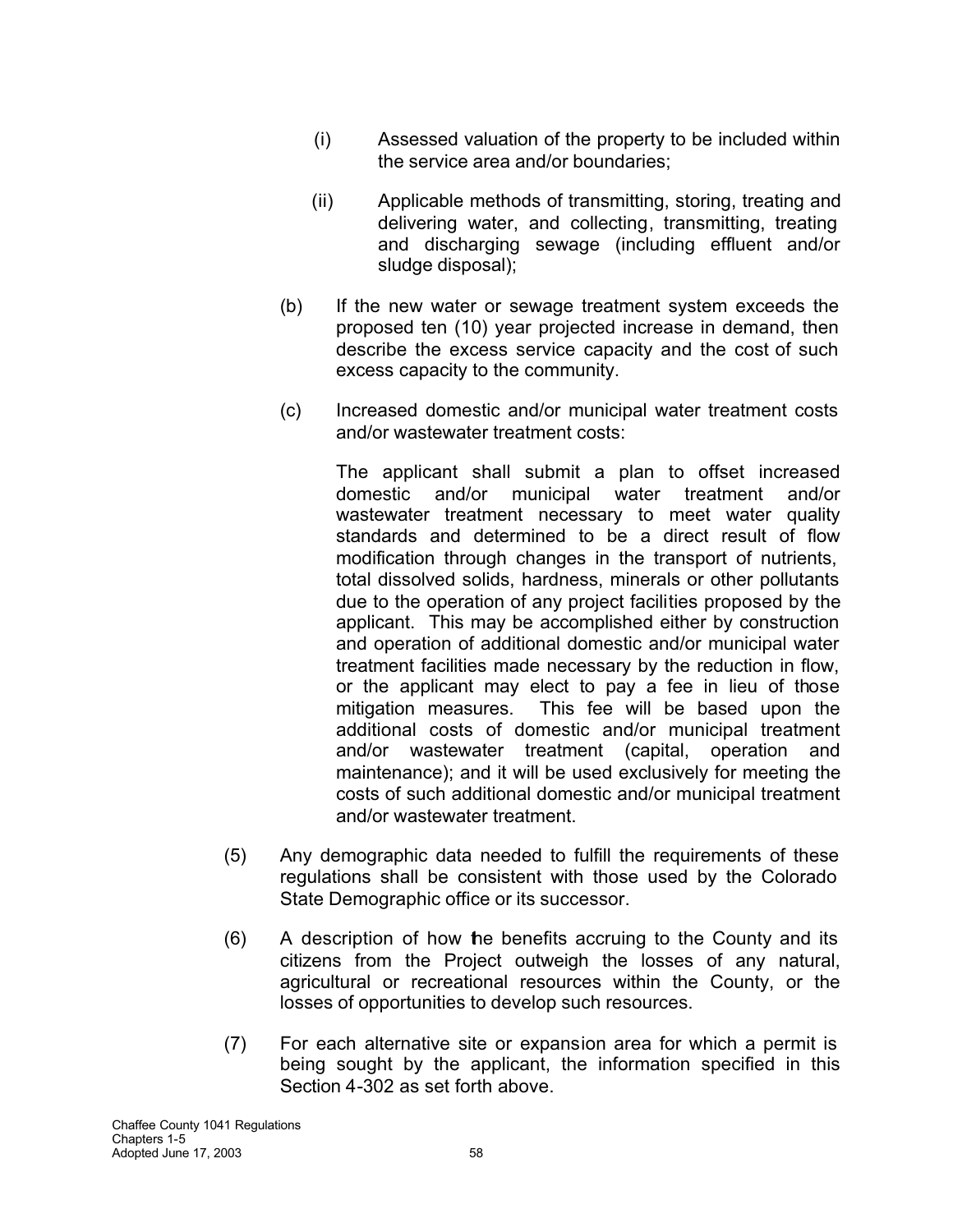- (i) Assessed valuation of the property to be included within the service area and/or boundaries;
- (ii) Applicable methods of transmitting, storing, treating and delivering water, and collecting, transmitting, treating and discharging sewage (including effluent and/or sludge disposal);
- (b) If the new water or sewage treatment system exceeds the proposed ten (10) year projected increase in demand, then describe the excess service capacity and the cost of such excess capacity to the community.
- (c) Increased domestic and/or municipal water treatment costs and/or wastewater treatment costs:

The applicant shall submit a plan to offset increased domestic and/or municipal water treatment and/or wastewater treatment necessary to meet water quality standards and determined to be a direct result of flow modification through changes in the transport of nutrients, total dissolved solids, hardness, minerals or other pollutants due to the operation of any project facilities proposed by the applicant. This may be accomplished either by construction and operation of additional domestic and/or municipal water treatment facilities made necessary by the reduction in flow, or the applicant may elect to pay a fee in lieu of those mitigation measures. This fee will be based upon the additional costs of domestic and/or municipal treatment and/or wastewater treatment (capital, operation and maintenance); and it will be used exclusively for meeting the costs of such additional domestic and/or municipal treatment and/or wastewater treatment.

- (5) Any demographic data needed to fulfill the requirements of these regulations shall be consistent with those used by the Colorado State Demographic office or its successor.
- (6) A description of how the benefits accruing to the County and its citizens from the Project outweigh the losses of any natural, agricultural or recreational resources within the County, or the losses of opportunities to develop such resources.
- (7) For each alternative site or expansion area for which a permit is being sought by the applicant, the information specified in this Section 4-302 as set forth above.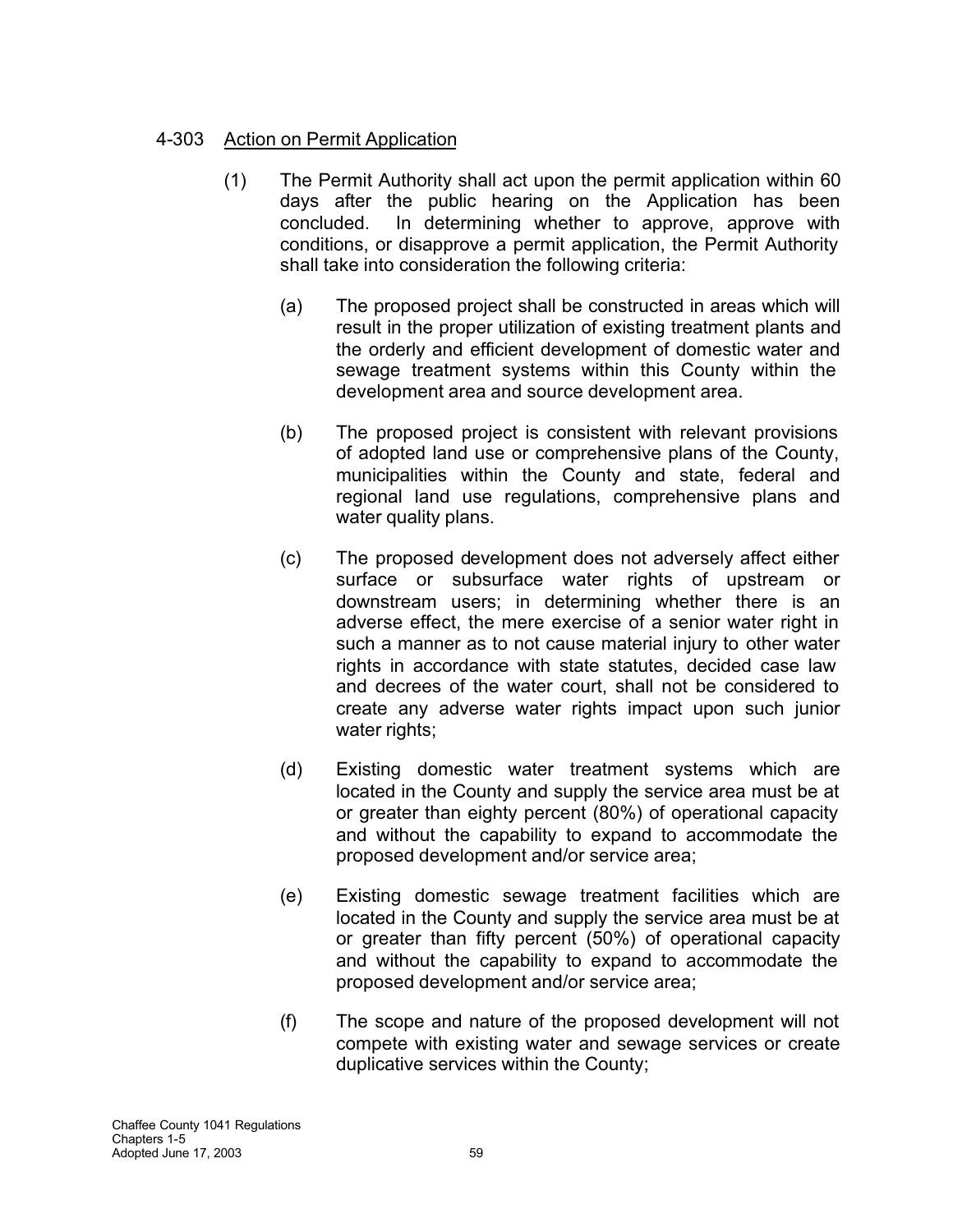## 4-303 Action on Permit Application

- (1) The Permit Authority shall act upon the permit application within 60 days after the public hearing on the Application has been concluded. In determining whether to approve, approve with conditions, or disapprove a permit application, the Permit Authority shall take into consideration the following criteria:
	- (a) The proposed project shall be constructed in areas which will result in the proper utilization of existing treatment plants and the orderly and efficient development of domestic water and sewage treatment systems within this County within the development area and source development area.
	- (b) The proposed project is consistent with relevant provisions of adopted land use or comprehensive plans of the County, municipalities within the County and state, federal and regional land use regulations, comprehensive plans and water quality plans.
	- (c) The proposed development does not adversely affect either surface or subsurface water rights of upstream or downstream users; in determining whether there is an adverse effect, the mere exercise of a senior water right in such a manner as to not cause material injury to other water rights in accordance with state statutes, decided case law and decrees of the water court, shall not be considered to create any adverse water rights impact upon such junior water rights;
	- (d) Existing domestic water treatment systems which are located in the County and supply the service area must be at or greater than eighty percent (80%) of operational capacity and without the capability to expand to accommodate the proposed development and/or service area;
	- (e) Existing domestic sewage treatment facilities which are located in the County and supply the service area must be at or greater than fifty percent (50%) of operational capacity and without the capability to expand to accommodate the proposed development and/or service area;
	- (f) The scope and nature of the proposed development will not compete with existing water and sewage services or create duplicative services within the County;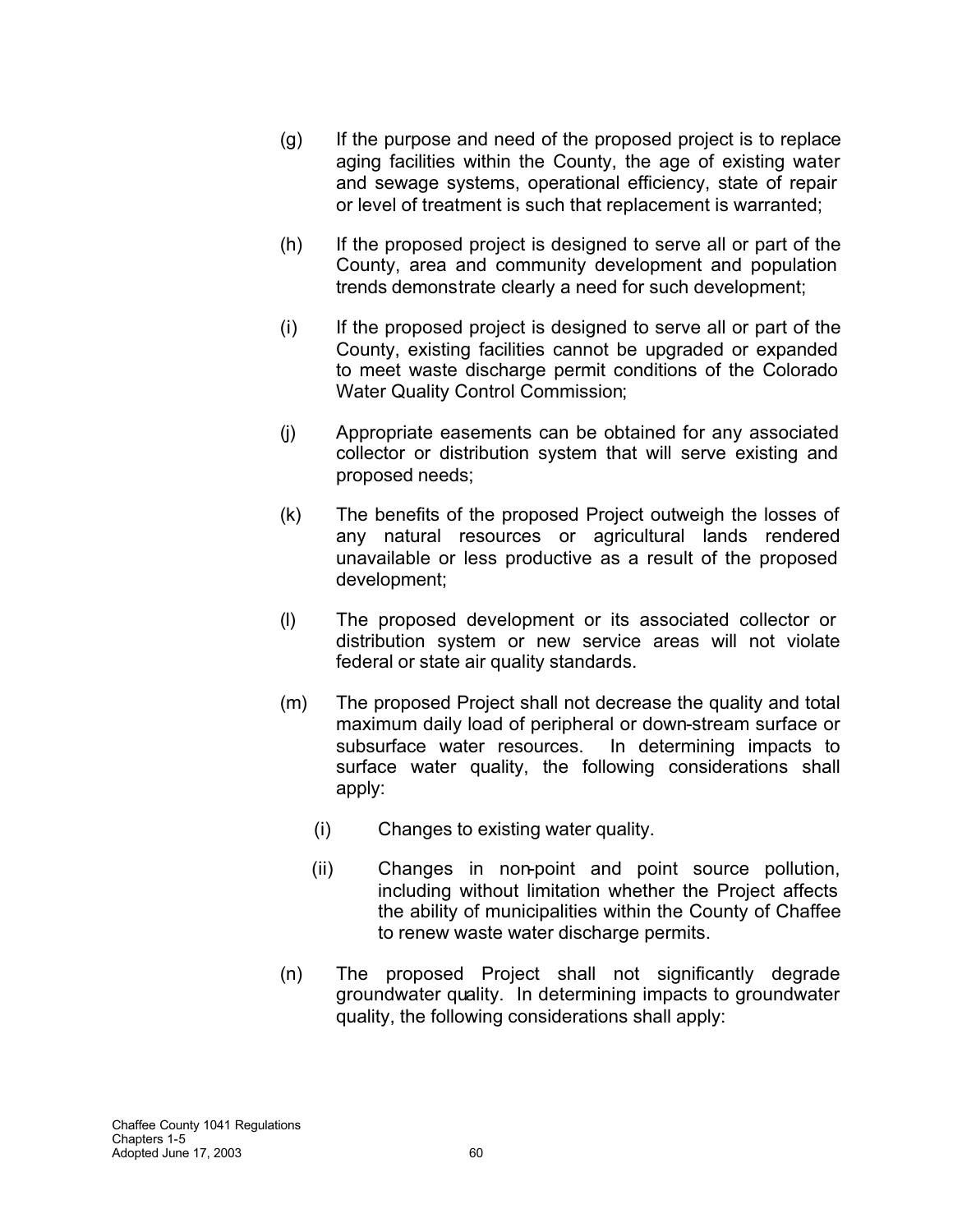- (g) If the purpose and need of the proposed project is to replace aging facilities within the County, the age of existing water and sewage systems, operational efficiency, state of repair or level of treatment is such that replacement is warranted;
- (h) If the proposed project is designed to serve all or part of the County, area and community development and population trends demonstrate clearly a need for such development;
- (i) If the proposed project is designed to serve all or part of the County, existing facilities cannot be upgraded or expanded to meet waste discharge permit conditions of the Colorado Water Quality Control Commission;
- (j) Appropriate easements can be obtained for any associated collector or distribution system that will serve existing and proposed needs;
- (k) The benefits of the proposed Project outweigh the losses of any natural resources or agricultural lands rendered unavailable or less productive as a result of the proposed development;
- (l) The proposed development or its associated collector or distribution system or new service areas will not violate federal or state air quality standards.
- (m) The proposed Project shall not decrease the quality and total maximum daily load of peripheral or down-stream surface or subsurface water resources. In determining impacts to surface water quality, the following considerations shall apply:
	- (i) Changes to existing water quality.
	- (ii) Changes in non-point and point source pollution, including without limitation whether the Project affects the ability of municipalities within the County of Chaffee to renew waste water discharge permits.
- (n) The proposed Project shall not significantly degrade groundwater quality. In determining impacts to groundwater quality, the following considerations shall apply: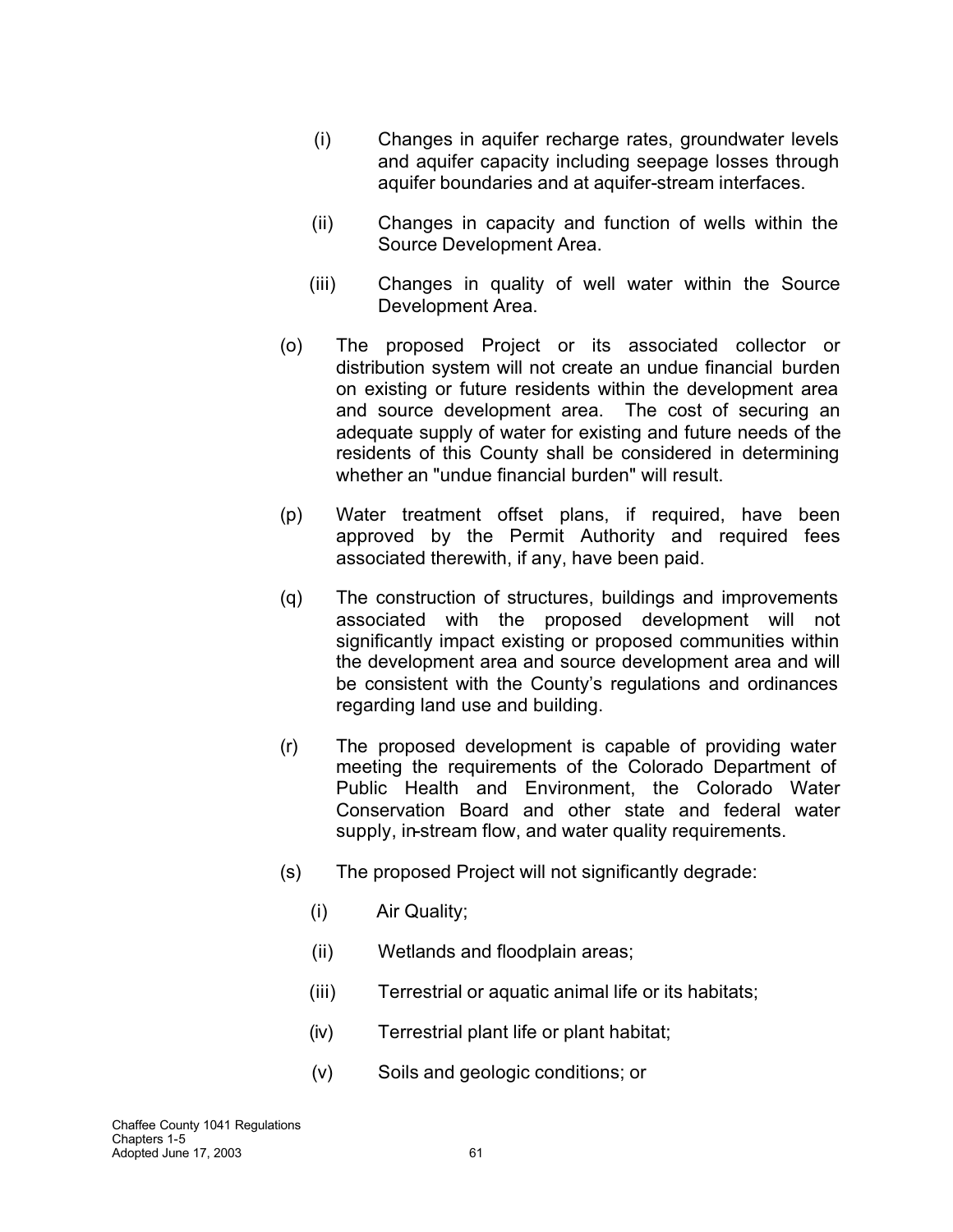- (i) Changes in aquifer recharge rates, groundwater levels and aquifer capacity including seepage losses through aquifer boundaries and at aquifer-stream interfaces.
- (ii) Changes in capacity and function of wells within the Source Development Area.
- (iii) Changes in quality of well water within the Source Development Area.
- (o) The proposed Project or its associated collector or distribution system will not create an undue financial burden on existing or future residents within the development area and source development area. The cost of securing an adequate supply of water for existing and future needs of the residents of this County shall be considered in determining whether an "undue financial burden" will result.
- (p) Water treatment offset plans, if required, have been approved by the Permit Authority and required fees associated therewith, if any, have been paid.
- (q) The construction of structures, buildings and improvements associated with the proposed development will not significantly impact existing or proposed communities within the development area and source development area and will be consistent with the County's regulations and ordinances regarding land use and building.
- (r) The proposed development is capable of providing water meeting the requirements of the Colorado Department of Public Health and Environment, the Colorado Water Conservation Board and other state and federal water supply, in-stream flow, and water quality requirements.
- (s) The proposed Project will not significantly degrade:
	- (i) Air Quality;
	- (ii) Wetlands and floodplain areas;
	- (iii) Terrestrial or aquatic animal life or its habitats;
	- (iv) Terrestrial plant life or plant habitat;
	- (v) Soils and geologic conditions; or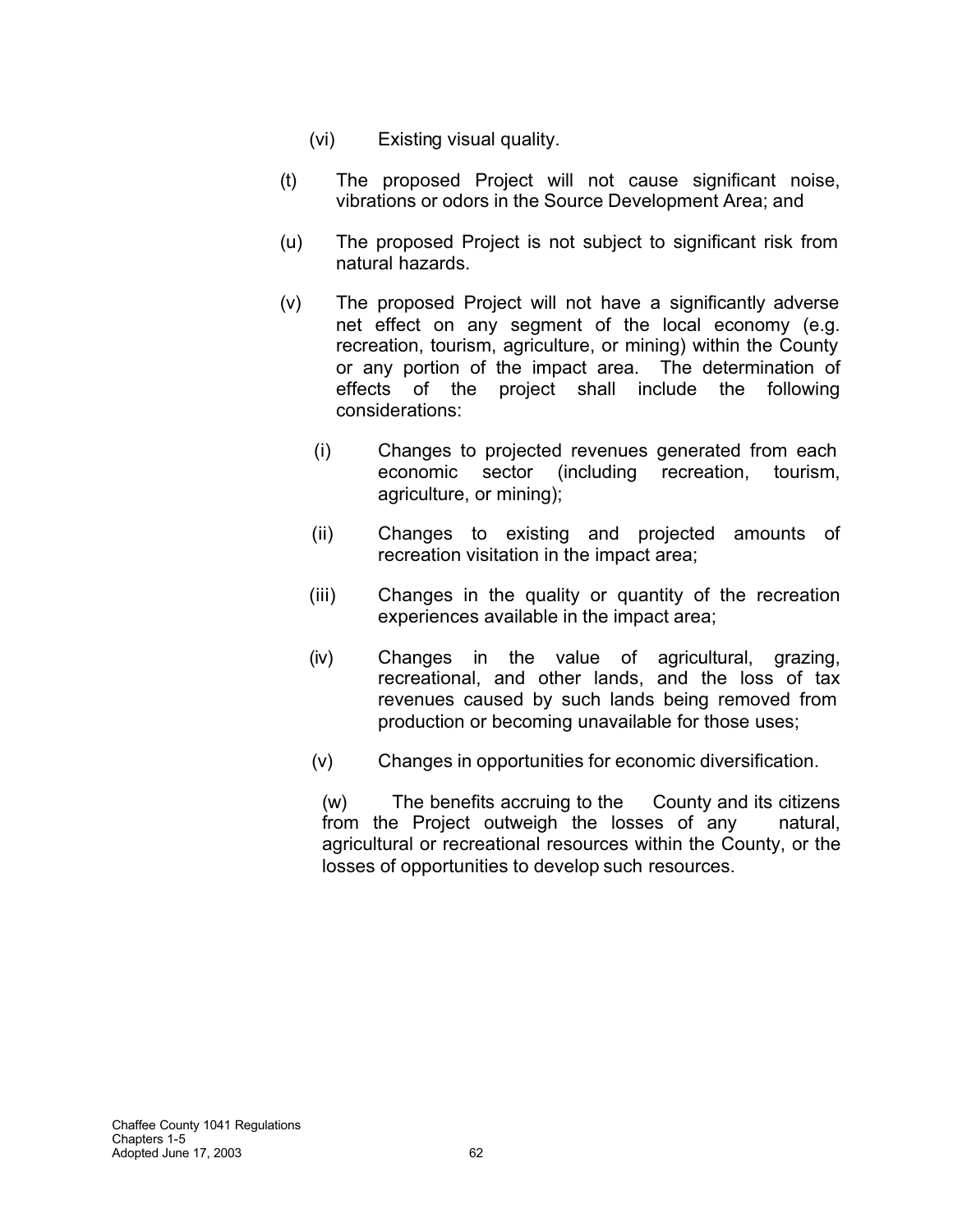- (vi) Existing visual quality.
- (t) The proposed Project will not cause significant noise, vibrations or odors in the Source Development Area; and
- (u) The proposed Project is not subject to significant risk from natural hazards.
- (v) The proposed Project will not have a significantly adverse net effect on any segment of the local economy (e.g. recreation, tourism, agriculture, or mining) within the County or any portion of the impact area. The determination of effects of the project shall include the following considerations:
	- (i) Changes to projected revenues generated from each economic sector (including recreation, tourism, agriculture, or mining);
	- (ii) Changes to existing and projected amounts of recreation visitation in the impact area;
	- (iii) Changes in the quality or quantity of the recreation experiences available in the impact area;
	- (iv) Changes in the value of agricultural, grazing, recreational, and other lands, and the loss of tax revenues caused by such lands being removed from production or becoming unavailable for those uses;
	- (v) Changes in opportunities for economic diversification.

(w) The benefits accruing to the County and its citizens from the Project outweigh the losses of any natural, agricultural or recreational resources within the County, or the losses of opportunities to develop such resources.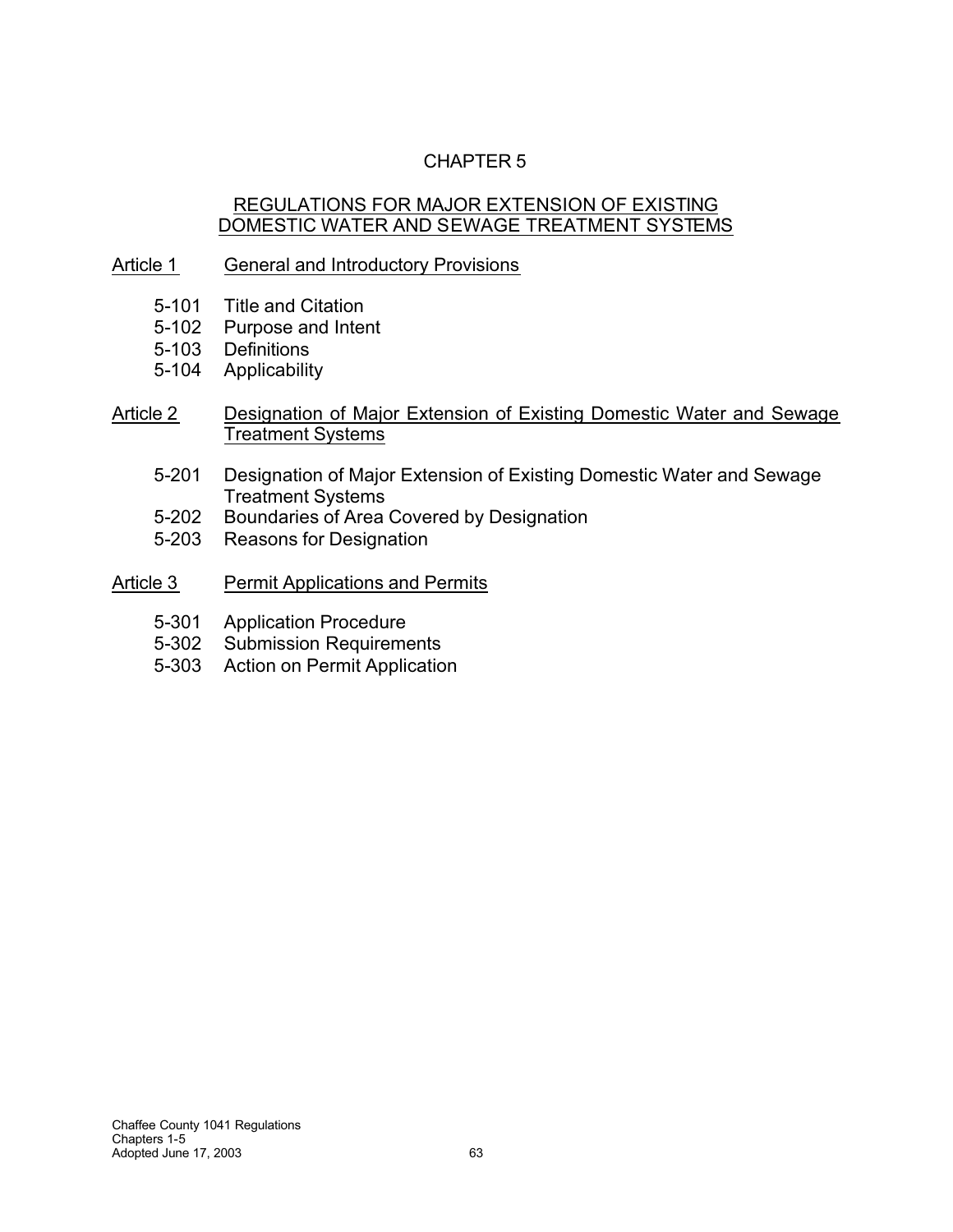# CHAPTER 5

### REGULATIONS FOR MAJOR EXTENSION OF EXISTING DOMESTIC WATER AND SEWAGE TREATMENT SYSTEMS

### Article 1 General and Introductory Provisions

- 5-101 Title and Citation
- 5-102 Purpose and Intent
- 5-103 Definitions
- 5-104 Applicability
- Article 2 Designation of Major Extension of Existing Domestic Water and Sewage Treatment Systems
	- 5-201 Designation of Major Extension of Existing Domestic Water and Sewage Treatment Systems
	- 5-202 Boundaries of Area Covered by Designation
	- 5-203 Reasons for Designation
- Article 3 Permit Applications and Permits
	- 5-301 Application Procedure
	- 5-302 Submission Requirements
	- 5-303 Action on Permit Application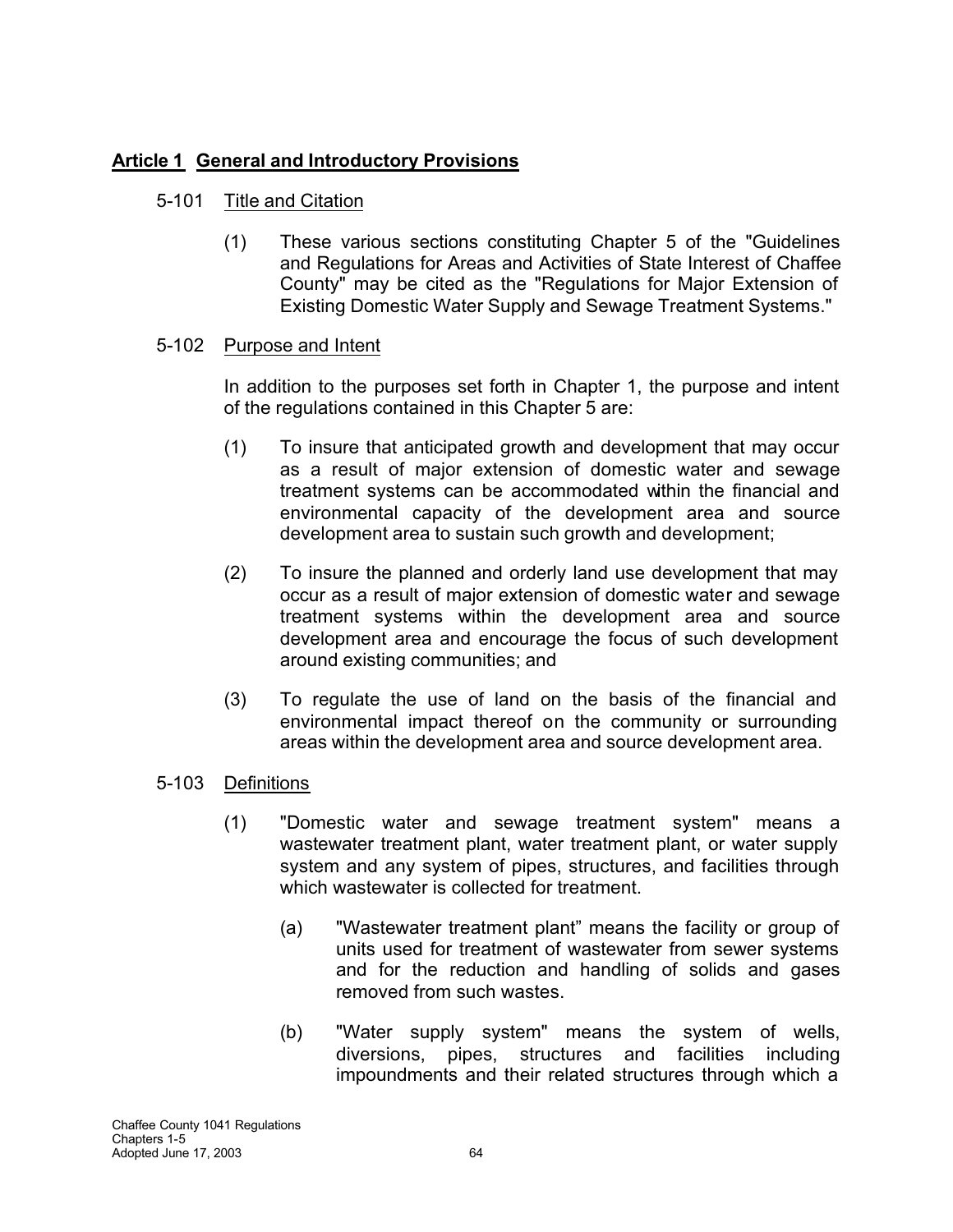# **Article 1 General and Introductory Provisions**

# 5-101 Title and Citation

(1) These various sections constituting Chapter 5 of the "Guidelines and Regulations for Areas and Activities of State Interest of Chaffee County" may be cited as the "Regulations for Major Extension of Existing Domestic Water Supply and Sewage Treatment Systems."

# 5-102 Purpose and Intent

In addition to the purposes set forth in Chapter 1, the purpose and intent of the regulations contained in this Chapter 5 are:

- (1) To insure that anticipated growth and development that may occur as a result of major extension of domestic water and sewage treatment systems can be accommodated within the financial and environmental capacity of the development area and source development area to sustain such growth and development;
- (2) To insure the planned and orderly land use development that may occur as a result of major extension of domestic water and sewage treatment systems within the development area and source development area and encourage the focus of such development around existing communities; and
- (3) To regulate the use of land on the basis of the financial and environmental impact thereof on the community or surrounding areas within the development area and source development area.
- 5-103 Definitions
	- (1) "Domestic water and sewage treatment system" means a wastewater treatment plant, water treatment plant, or water supply system and any system of pipes, structures, and facilities through which wastewater is collected for treatment.
		- (a) "Wastewater treatment plant" means the facility or group of units used for treatment of wastewater from sewer systems and for the reduction and handling of solids and gases removed from such wastes.
		- (b) "Water supply system" means the system of wells, diversions, pipes, structures and facilities including impoundments and their related structures through which a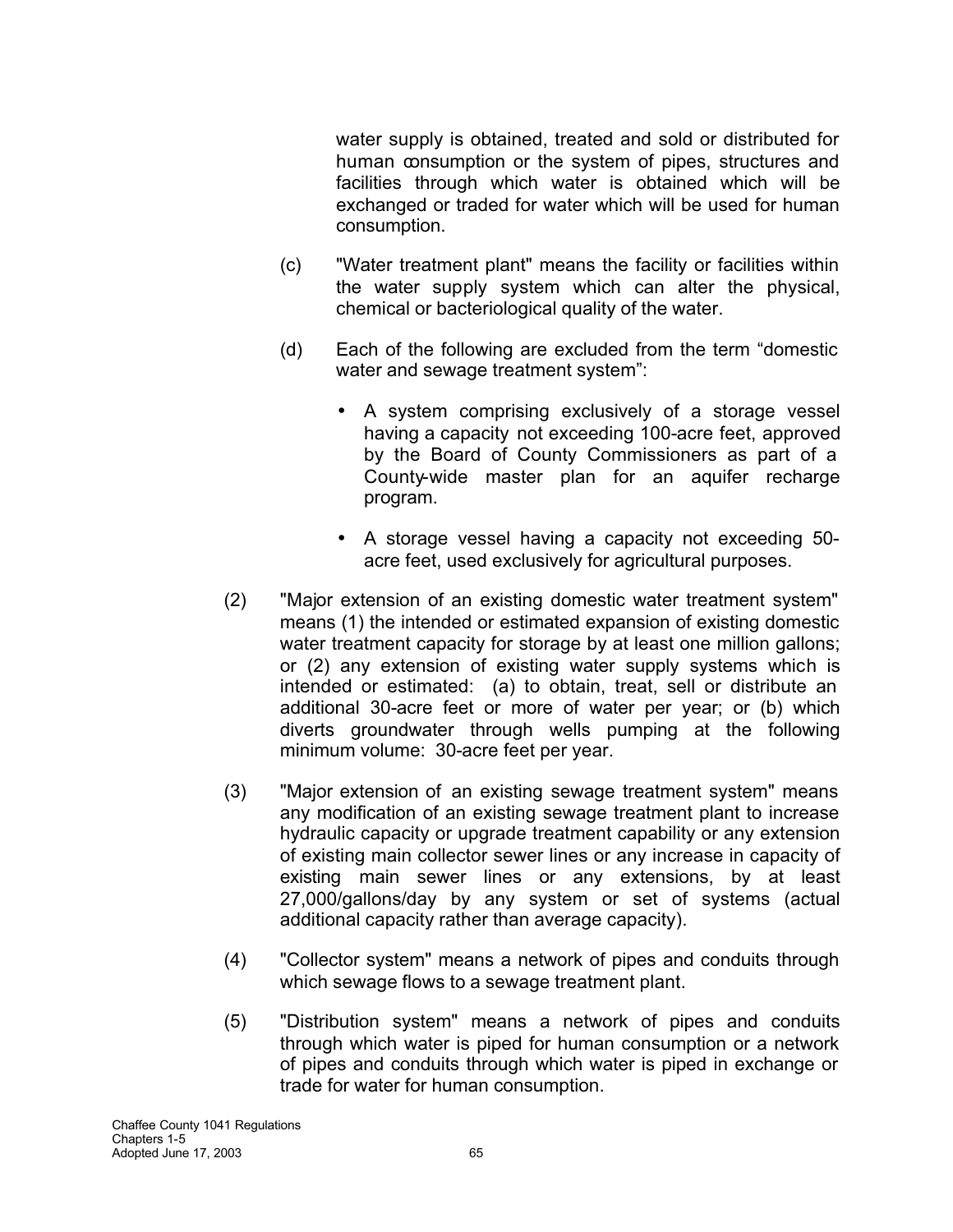water supply is obtained, treated and sold or distributed for human consumption or the system of pipes, structures and facilities through which water is obtained which will be exchanged or traded for water which will be used for human consumption.

- (c) "Water treatment plant" means the facility or facilities within the water supply system which can alter the physical, chemical or bacteriological quality of the water.
- (d) Each of the following are excluded from the term "domestic water and sewage treatment system":
	- A system comprising exclusively of a storage vessel having a capacity not exceeding 100-acre feet, approved by the Board of County Commissioners as part of a County-wide master plan for an aquifer recharge program.
	- A storage vessel having a capacity not exceeding 50 acre feet, used exclusively for agricultural purposes.
- (2) "Major extension of an existing domestic water treatment system" means (1) the intended or estimated expansion of existing domestic water treatment capacity for storage by at least one million gallons; or (2) any extension of existing water supply systems which is intended or estimated: (a) to obtain, treat, sell or distribute an additional 30-acre feet or more of water per year; or (b) which diverts groundwater through wells pumping at the following minimum volume: 30-acre feet per year.
- (3) "Major extension of an existing sewage treatment system" means any modification of an existing sewage treatment plant to increase hydraulic capacity or upgrade treatment capability or any extension of existing main collector sewer lines or any increase in capacity of existing main sewer lines or any extensions, by at least 27,000/gallons/day by any system or set of systems (actual additional capacity rather than average capacity).
- (4) "Collector system" means a network of pipes and conduits through which sewage flows to a sewage treatment plant.
- (5) "Distribution system" means a network of pipes and conduits through which water is piped for human consumption or a network of pipes and conduits through which water is piped in exchange or trade for water for human consumption.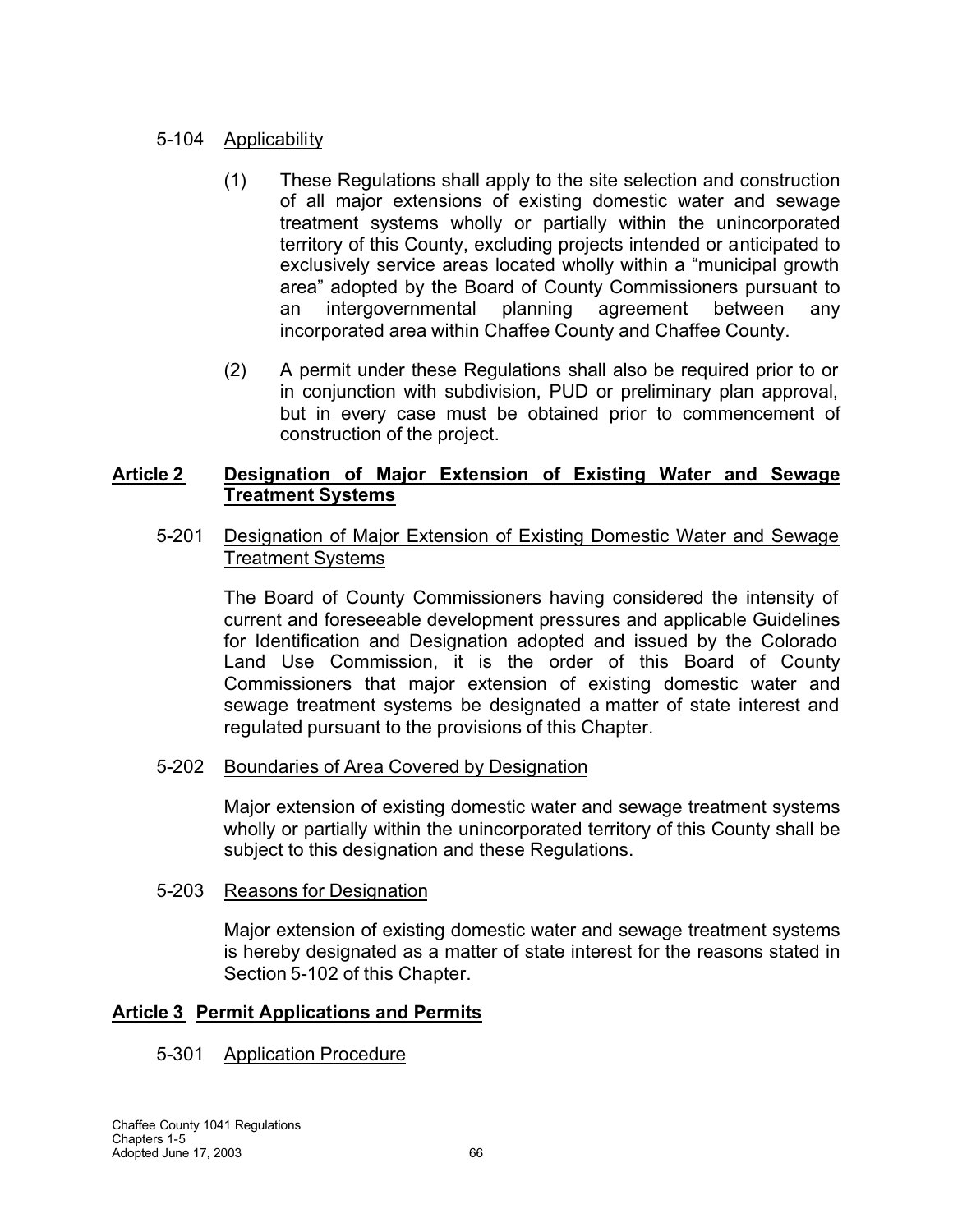## 5-104 Applicability

- (1) These Regulations shall apply to the site selection and construction of all major extensions of existing domestic water and sewage treatment systems wholly or partially within the unincorporated territory of this County, excluding projects intended or anticipated to exclusively service areas located wholly within a "municipal growth area" adopted by the Board of County Commissioners pursuant to an intergovernmental planning agreement between any incorporated area within Chaffee County and Chaffee County.
- (2) A permit under these Regulations shall also be required prior to or in conjunction with subdivision, PUD or preliminary plan approval, but in every case must be obtained prior to commencement of construction of the project.

### **Article 2 Designation of Major Extension of Existing Water and Sewage Treatment Systems**

5-201 Designation of Major Extension of Existing Domestic Water and Sewage Treatment Systems

The Board of County Commissioners having considered the intensity of current and foreseeable development pressures and applicable Guidelines for Identification and Designation adopted and issued by the Colorado Land Use Commission, it is the order of this Board of County Commissioners that major extension of existing domestic water and sewage treatment systems be designated a matter of state interest and regulated pursuant to the provisions of this Chapter.

### 5-202 Boundaries of Area Covered by Designation

Major extension of existing domestic water and sewage treatment systems wholly or partially within the unincorporated territory of this County shall be subject to this designation and these Regulations.

### 5-203 Reasons for Designation

Major extension of existing domestic water and sewage treatment systems is hereby designated as a matter of state interest for the reasons stated in Section 5-102 of this Chapter.

### **Article 3 Permit Applications and Permits**

### 5-301 Application Procedure